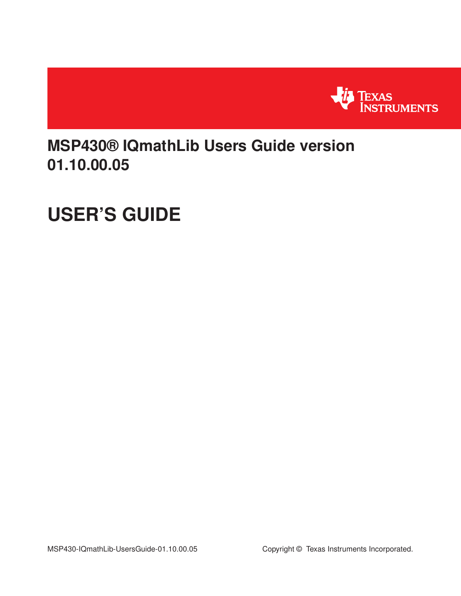

## **MSP430® IQmathLib Users Guide version 01.10.00.05**

# **USER'S GUIDE**

MSP430-IQmathLib-UsersGuide-01.10.00.05 Copyright © Texas Instruments Incorporated.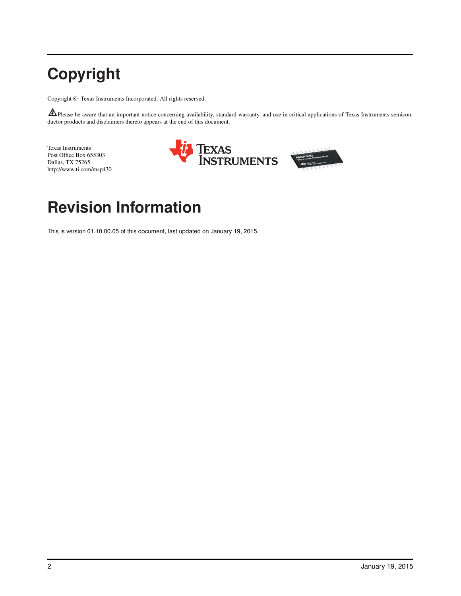# <span id="page-1-0"></span>**Copyright**

Copyright © Texas Instruments Incorporated. All rights reserved.

Please be aware that an important notice concerning availability, standard warranty, and use in critical applications of Texas Instruments semiconductor products and disclaimers thereto appears at the end of this document.

Texas Instruments Post Office Box 655303 Dallas, TX 75265 http://www.ti.com/msp430





# <span id="page-1-1"></span>**Revision Information**

This is version 01.10.00.05 of this document, last updated on January 19, 2015.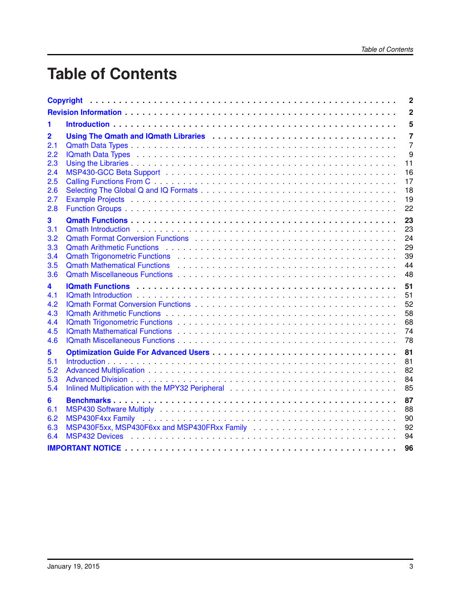## **Table of Contents**

|                |                                                                                                                                                                                                                                     | $\overline{2}$ |
|----------------|-------------------------------------------------------------------------------------------------------------------------------------------------------------------------------------------------------------------------------------|----------------|
|                | <b>Revision Information <i>CONDITION</i> Revision Information <i>CONDITION</i> CONDITION <i>CONDITION</i> CONDITION <i>CONDITION</i> <b>CONDITION CONDITION CONDITION CONDITION CONDITION CONDITION CONDITION CONDITION</b> </b>    | $\overline{2}$ |
| 1              |                                                                                                                                                                                                                                     | 5              |
| $\overline{2}$ | Using The Qmath and IQmath Libraries <b>Constructs</b> of the contract of the Construction of the Construction of the Construction of the Construction of the Construction of the Construction of the Construction of the Construct | $\overline{7}$ |
| 2.1            |                                                                                                                                                                                                                                     | $\overline{7}$ |
| 2.2            |                                                                                                                                                                                                                                     | 9              |
| 2.3            | 11                                                                                                                                                                                                                                  |                |
| 2.4            | 16                                                                                                                                                                                                                                  |                |
| 2.5            | 17                                                                                                                                                                                                                                  |                |
| 2.6            | 18                                                                                                                                                                                                                                  |                |
| 2.7            | 19<br>Example Projects (and a subsequently and a subsequently and a subsequently and a subsequently and a subsequently and $\alpha$                                                                                                 |                |
| 2.8            | 22                                                                                                                                                                                                                                  |                |
| 3              | 23                                                                                                                                                                                                                                  |                |
| 3.1            | 23                                                                                                                                                                                                                                  |                |
| 3.2            | 24                                                                                                                                                                                                                                  |                |
| 3.3            | 29                                                                                                                                                                                                                                  |                |
| 3.4            | 39                                                                                                                                                                                                                                  |                |
| 3.5            | 44                                                                                                                                                                                                                                  |                |
| 3.6            | 48                                                                                                                                                                                                                                  |                |
| 4              | 51                                                                                                                                                                                                                                  |                |
| 4.1            | 51                                                                                                                                                                                                                                  |                |
| 4.2            | 52                                                                                                                                                                                                                                  |                |
| 4.3            | 58                                                                                                                                                                                                                                  |                |
| 4.4            | 68                                                                                                                                                                                                                                  |                |
| 4.5            | 74                                                                                                                                                                                                                                  |                |
| 4.6            | 78                                                                                                                                                                                                                                  |                |
| 5.             | 81                                                                                                                                                                                                                                  |                |
| 5.1            | 81                                                                                                                                                                                                                                  |                |
| 5.2            | 82                                                                                                                                                                                                                                  |                |
| 5.3            | 84                                                                                                                                                                                                                                  |                |
| 5.4            | 85                                                                                                                                                                                                                                  |                |
| 6              | 87                                                                                                                                                                                                                                  |                |
| 6.1            | MSP430 Software Multiply Table 2014 and Table 2014 and Table 2014 and Table 2014 and Table 2014 and Table 2014<br>88                                                                                                                |                |
| 6.2            | 90                                                                                                                                                                                                                                  |                |
| 6.3            | 92                                                                                                                                                                                                                                  |                |
| 6.4            | MSP432 Devices and all and all and all and all and all and all and all and all and all and all and all and all a<br>94                                                                                                              |                |
|                | 96                                                                                                                                                                                                                                  |                |
|                |                                                                                                                                                                                                                                     |                |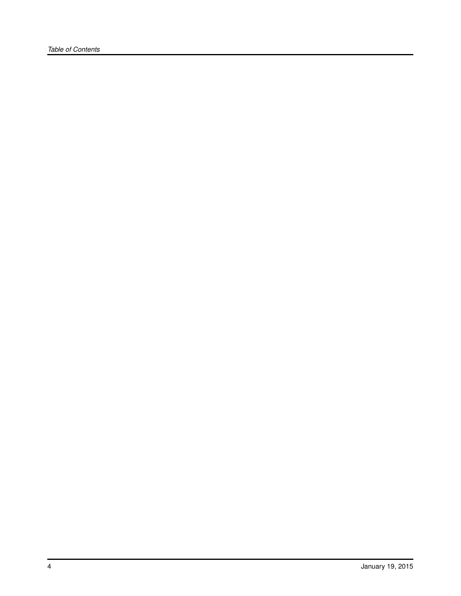*Table of Contents*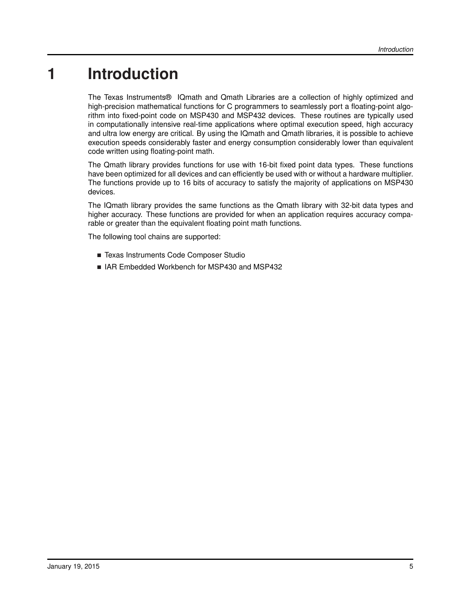# <span id="page-4-0"></span>**1 Introduction**

The Texas Instruments® IQmath and Qmath Libraries are a collection of highly optimized and high-precision mathematical functions for C programmers to seamlessly port a floating-point algorithm into fixed-point code on MSP430 and MSP432 devices. These routines are typically used in computationally intensive real-time applications where optimal execution speed, high accuracy and ultra low energy are critical. By using the IQmath and Qmath libraries, it is possible to achieve execution speeds considerably faster and energy consumption considerably lower than equivalent code written using floating-point math.

The Qmath library provides functions for use with 16-bit fixed point data types. These functions have been optimized for all devices and can efficiently be used with or without a hardware multiplier. The functions provide up to 16 bits of accuracy to satisfy the majority of applications on MSP430 devices.

The IQmath library provides the same functions as the Qmath library with 32-bit data types and higher accuracy. These functions are provided for when an application requires accuracy comparable or greater than the equivalent floating point math functions.

The following tool chains are supported:

- Texas Instruments Code Composer Studio
- IAR Embedded Workbench for MSP430 and MSP432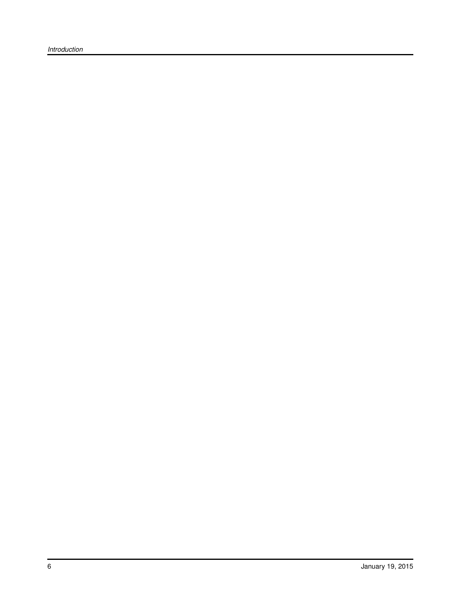*Introduction*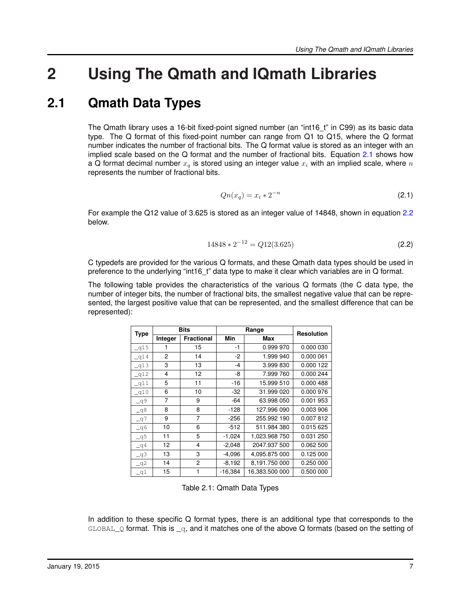## <span id="page-6-0"></span>**2 Using The Qmath and IQmath Libraries**

## <span id="page-6-1"></span>**2.1 Qmath Data Types**

The Qmath library uses a 16-bit fixed-point signed number (an "int16\_t" in C99) as its basic data type. The Q format of this fixed-point number can range from Q1 to Q15, where the Q format number indicates the number of fractional bits. The Q format value is stored as an integer with an implied scale based on the Q format and the number of fractional bits. Equation [2.1](#page-6-2) shows how a Q format decimal number  $x_q$  is stored using an integer value  $x_i$  with an implied scale, where n represents the number of fractional bits.

<span id="page-6-2"></span>
$$
Qn(x_q) = x_i * 2^{-n}
$$
 (2.1)

For example the Q12 value of 3.625 is stored as an integer value of 14848, shown in equation [2.2](#page-6-3) below.

<span id="page-6-3"></span>
$$
14848 * 2^{-12} = Q12(3.625)
$$
 (2.2)

C typedefs are provided for the various Q formats, and these Qmath data types should be used in preference to the underlying "int16\_t" data type to make it clear which variables are in Q format.

The following table provides the characteristics of the various Q formats (the C data type, the number of integer bits, the number of fractional bits, the smallest negative value that can be represented, the largest positive value that can be represented, and the smallest difference that can be represented):

| <b>Type</b>    |         | <b>Bits</b>       |           | Range          |                   |  |
|----------------|---------|-------------------|-----------|----------------|-------------------|--|
|                | Integer | <b>Fractional</b> | Min       | Max            | <b>Resolution</b> |  |
| q15            | 1       | 15                | -1        | 0.999 970      | 0.000 030         |  |
| q14            | 2       | 14                | -2        | 1.999 940      | 0.000 061         |  |
| q13            | 3       | 13                | $-4$      | 3.999 830      | 0.000 122         |  |
| q12            | 4       | 12                | -8        | 7.999 760      | 0.000 244         |  |
| q11            | 5       | 11                | $-16$     | 15.999 510     | 0.000 488         |  |
| $-910$         | 6       | 10                | $-32$     | 31.999 020     | 0.000 976         |  |
| $-99$          | 7       | 9                 | $-64$     | 63.998 050     | 0.001 953         |  |
| $-98$          | 8       | 8                 | $-128$    | 127.996 090    | 0.003 906         |  |
| $\lrcorner$ q7 | 9       | 7                 | -256      | 255.992 190    | 0.007812          |  |
| _q6            | 10      | 6                 | $-512$    | 511.984 380    | 0.015 625         |  |
| $-45$          | 11      | 5                 | $-1,024$  | 1,023.968 750  | 0.031 250         |  |
| _q4            | 12      | 4                 | $-2,048$  | 2047.937 500   | 0.062 500         |  |
| $-q3$          | 13      | 3                 | $-4,096$  | 4,095.875 000  | 0.125 000         |  |
| $-q2$          | 14      | $\overline{2}$    | $-8,192$  | 8,191.750 000  | 0.250 000         |  |
| $-q1$          | 15      |                   | $-16,384$ | 16,383.500 000 | 0.500 000         |  |

Table 2.1: Qmath Data Types

In addition to these specific Q format types, there is an additional type that corresponds to the  $GLOBAL\_Q$  format. This is  $_q$ , and it matches one of the above Q formats (based on the setting of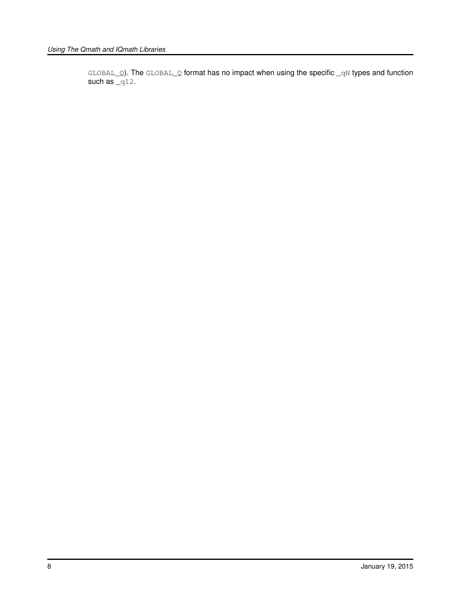GLOBAL\_Q). The GLOBAL\_Q format has no impact when using the specific \_qN types and function such as  $_q12$ .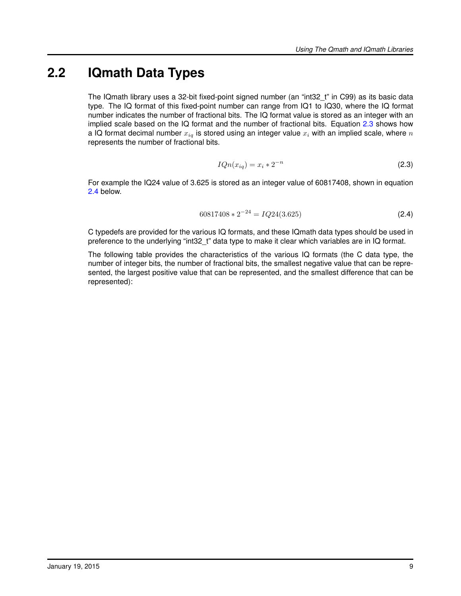## <span id="page-8-0"></span>**2.2 IQmath Data Types**

The IQmath library uses a 32-bit fixed-point signed number (an "int32\_t" in C99) as its basic data type. The IQ format of this fixed-point number can range from IQ1 to IQ30, where the IQ format number indicates the number of fractional bits. The IQ format value is stored as an integer with an implied scale based on the IQ format and the number of fractional bits. Equation [2.3](#page-8-1) shows how a IQ format decimal number  $x_{ia}$  is stored using an integer value  $x_i$  with an implied scale, where n represents the number of fractional bits.

<span id="page-8-1"></span>
$$
IQn(x_{iq}) = x_i * 2^{-n}
$$
\n
$$
(2.3)
$$

For example the IQ24 value of 3.625 is stored as an integer value of 60817408, shown in equation [2.4](#page-8-2) below.

<span id="page-8-2"></span>
$$
60817408 * 2^{-24} = IQ24(3.625)
$$
\n(2.4)

C typedefs are provided for the various IQ formats, and these IQmath data types should be used in preference to the underlying "int32 t" data type to make it clear which variables are in IQ format.

The following table provides the characteristics of the various IQ formats (the C data type, the number of integer bits, the number of fractional bits, the smallest negative value that can be represented, the largest positive value that can be represented, and the smallest difference that can be represented):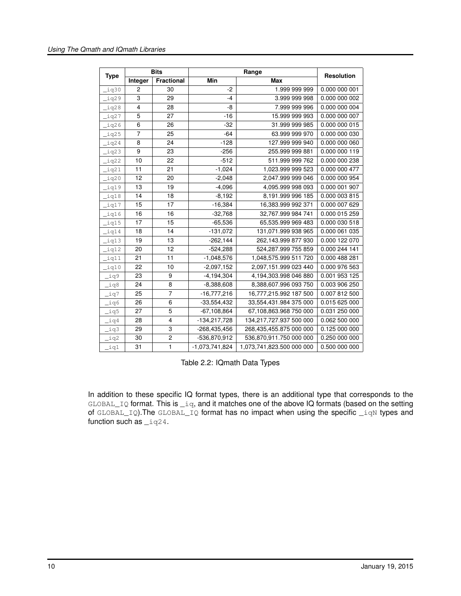|             | <b>Bits</b>    |                   |                  | Range                     |                   |  |  |  |
|-------------|----------------|-------------------|------------------|---------------------------|-------------------|--|--|--|
| <b>Type</b> | Integer        | <b>Fractional</b> | Min              | <b>Max</b>                | <b>Resolution</b> |  |  |  |
| $_iq30$     | $\overline{2}$ | 30                | -2               | 1.999 999 999             | 0.000 000 001     |  |  |  |
| $_iqq29$    | 3              | 29                | $-4$             | 3.999 999 998             | 0.000 000 002     |  |  |  |
| $_iq28$     | $\overline{4}$ | 28                | -8               | 7.999 999 996             | 0.000 000 004     |  |  |  |
| $_iqq27$    | 5              | 27                | $-16$            | 15.999 999 993            | 0.000 000 007     |  |  |  |
| $_iqq26$    | 6              | 26                | $-32$            | 31.999 999 985            | 0.000 000 015     |  |  |  |
| $_iq25$     | $\overline{7}$ | 25                | $-64$            | 63.999 999 970            | 0.000 000 030     |  |  |  |
| $_iqq24$    | 8              | 24                | $-128$           | 127.999 999 940           | 0.000 000 060     |  |  |  |
| $_iq23$     | 9              | 23                | $-256$           | 255.999 999 881           | 0.000 000 119     |  |  |  |
| $_iqq22$    | 10             | 22                | $-512$           | 511.999 999 762           | 0.000 000 238     |  |  |  |
| $_iq21$     | 11             | 21                | $-1,024$         | 1,023.999 999 523         | 0.000 000 477     |  |  |  |
| $_iqq20$    | 12             | 20                | $-2,048$         | 2,047.999 999 046         | 0.000 000 954     |  |  |  |
| $_i$ q19    | 13             | 19                | $-4,096$         | 4,095.999 998 093         | 0.000 001 907     |  |  |  |
| $_iq18$     | 14             | 18                | $-8,192$         | 8,191.999 996 185         | 0.000 003 815     |  |  |  |
| $_iq17$     | 15             | 17                | $-16,384$        | 16,383.999 992 371        | 0.000 007 629     |  |  |  |
| $_iq16$     | 16             | 16                | $-32,768$        | 32,767.999 984 741        | 0.000 015 259     |  |  |  |
| $_iq15$     | 17             | 15                | $-65,536$        | 65,535.999 969 483        | 0.000 030 518     |  |  |  |
| $_iq14$     | 18             | 14                | $-131,072$       | 131,071.999 938 965       | 0.000 061 035     |  |  |  |
| $_iq13$     | 19             | 13                | $-262,144$       | 262,143.999 877 930       | 0.000 122 070     |  |  |  |
| $_iq12$     | 20             | 12                | $-524,288$       | 524,287.999 755 859       | 0.000 244 141     |  |  |  |
| $_iq11$     | 21             | 11                | $-1,048,576$     | 1,048,575.999 511 720     | 0.000 488 281     |  |  |  |
| $_i$ q10    | 22             | 10                | $-2,097,152$     | 2,097,151.999 023 440     | 0.000 976 563     |  |  |  |
| $_i$ q9     | 23             | 9                 | $-4,194,304$     | 4,194,303.998 046 880     | 0.001 953 125     |  |  |  |
| $_i$ q8     | 24             | 8                 | $-8,388,608$     | 8,388,607.996 093 750     | 0.003 906 250     |  |  |  |
| $-iq7$      | 25             | $\overline{7}$    | $-16,777,216$    | 16,777,215.992 187 500    | 0.007 812 500     |  |  |  |
| $\_iq6$     | 26             | 6                 | $-33,554,432$    | 33,554,431.984 375 000    | 0.015 625 000     |  |  |  |
| $_iq5$      | 27             | 5                 | $-67, 108, 864$  | 67,108,863.968 750 000    | 0.031 250 000     |  |  |  |
| $-iq4$      | 28             | 4                 | -134,217,728     | 134,217,727.937 500 000   | 0.062 500 000     |  |  |  |
| $_iq3$      | 29             | 3                 | $-268,435,456$   | 268,435,455.875 000 000   | 0.125 000 000     |  |  |  |
| $_iq2$      | 30             | $\overline{c}$    | -536,870,912     | 536,870,911.750 000 000   | 0.250 000 000     |  |  |  |
| $\_iq1$     | 31             | 1                 | $-1,073,741,824$ | 1,073,741,823.500 000 000 | 0.500 000 000     |  |  |  |

Table 2.2: IQmath Data Types

In addition to these specific IQ format types, there is an additional type that corresponds to the GLOBAL\_IQ format. This is \_iq, and it matches one of the above IQ formats (based on the setting of GLOBAL\_IQ).The GLOBAL\_IQ format has no impact when using the specific \_iqN types and function such as \_iq24.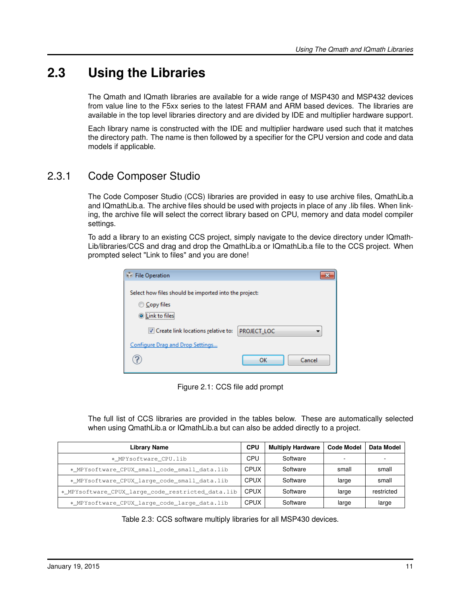## <span id="page-10-0"></span>**2.3 Using the Libraries**

The Qmath and IQmath libraries are available for a wide range of MSP430 and MSP432 devices from value line to the F5xx series to the latest FRAM and ARM based devices. The libraries are available in the top level libraries directory and are divided by IDE and multiplier hardware support.

Each library name is constructed with the IDE and multiplier hardware used such that it matches the directory path. The name is then followed by a specifier for the CPU version and code and data models if applicable.

## 2.3.1 Code Composer Studio

The Code Composer Studio (CCS) libraries are provided in easy to use archive files, QmathLib.a and IQmathLib.a. The archive files should be used with projects in place of any .lib files. When linking, the archive file will select the correct library based on CPU, memory and data model compiler settings.

To add a library to an existing CCS project, simply navigate to the device directory under IQmath-Lib/libraries/CCS and drag and drop the QmathLib.a or IQmathLib.a file to the CCS project. When prompted select "Link to files" and you are done!

| <b>File Operation</b>                                 |              |
|-------------------------------------------------------|--------------|
| Select how files should be imported into the project: |              |
| © Copy files                                          |              |
| <b>O</b> Link to files                                |              |
| $\triangledown$ Create link locations relative to:    | PROJECT_LOC  |
| Configure Drag and Drop Settings                      |              |
| ¥                                                     | OK<br>Cancel |

Figure 2.1: CCS file add prompt

The full list of CCS libraries are provided in the tables below. These are automatically selected when using QmathLib.a or IQmathLib.a but can also be added directly to a project.

| <b>Library Name</b>                               |             | <b>Multiply Hardware</b> | <b>Code Model</b> | Data Model |
|---------------------------------------------------|-------------|--------------------------|-------------------|------------|
| * MPYsoftware CPU.lib                             | CPU         | Software                 |                   | ۰          |
| *_MPYsoftware_CPUX_small_code_small_data.lib      | <b>CPUX</b> | Software                 | small             | small      |
| *_MPYsoftware_CPUX_large_code_small_data.lib      | <b>CPUX</b> | Software                 | large             | small      |
| * MPYsoftware CPUX large code restricted data.lib | <b>CPUX</b> | Software                 | large             | restricted |
| *_MPYsoftware_CPUX_large_code_large_data.lib      | <b>CPUX</b> | Software                 | large             | large      |

Table 2.3: CCS software multiply libraries for all MSP430 devices.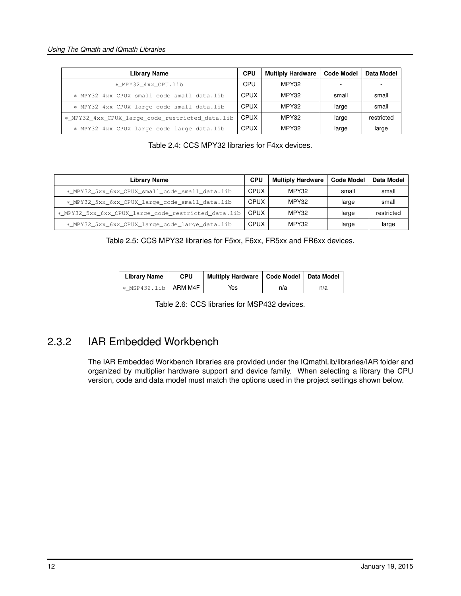| <b>Library Name</b>                             | <b>CPU</b>  | <b>Multiply Hardware</b> | <b>Code Model</b> | Data Model |
|-------------------------------------------------|-------------|--------------------------|-------------------|------------|
| * MPY32 4xx CPU.lib                             | CPU         | MPY32                    |                   | -          |
| * MPY32 4xx CPUX small code small data.lib      | <b>CPUX</b> | MPY32                    | small             | small      |
| * MPY32_4xx_CPUX_large_code_small_data.lib      | <b>CPUX</b> | MPY32                    | large             | small      |
| *_MPY32_4xx_CPUX_large_code_restricted_data.lib | <b>CPUX</b> | MPY32                    | large             | restricted |
| * MPY32_4xx_CPUX_large_code_large_data.lib      | <b>CPUX</b> | MPY32                    | large             | large      |

Table 2.4: CCS MPY32 libraries for F4xx devices.

| Library Name                                        |             | <b>Multiply Hardware</b> | <b>Code Model</b> | Data Model |
|-----------------------------------------------------|-------------|--------------------------|-------------------|------------|
| *_MPY32_5xx_6xx_CPUX_small_code_small_data.lib      | <b>CPUX</b> | MPY32                    | small             | small      |
| *_MPY32_5xx_6xx_CPUX_large_code_small_data.lib      | <b>CPUX</b> | MPY32                    | large             | small      |
| * MPY32_5xx_6xx_CPUX_large_code_restricted_data.lib | CPUX        | MPY32                    | large             | restricted |
| *_MPY32_5xx_6xx_CPUX_large_code_large_data.lib      | <b>CPUX</b> | MPY32                    | large             | large      |

Table 2.5: CCS MPY32 libraries for F5xx, F6xx, FR5xx and FR6xx devices.

| <b>Library Name</b>      | <b>CPU</b> | Multiply Hardware   Code Model   Data Model |     |     |
|--------------------------|------------|---------------------------------------------|-----|-----|
| $*$ MSP432.lib   ARM M4F |            | Yes                                         | n/a | n/a |

| Table 2.6: CCS libraries for MSP432 devices. |  |
|----------------------------------------------|--|
|----------------------------------------------|--|

## 2.3.2 IAR Embedded Workbench

The IAR Embedded Workbench libraries are provided under the IQmathLib/libraries/IAR folder and organized by multiplier hardware support and device family. When selecting a library the CPU version, code and data model must match the options used in the project settings shown below.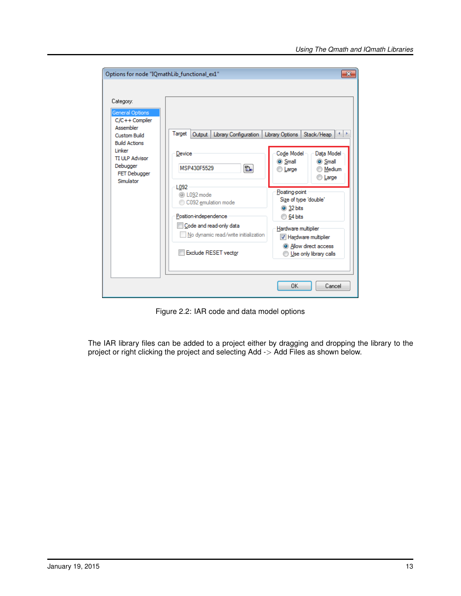| Options for node "IQmathLib_functional_ex1"                                                                                                                                                                 |                                                                                                                                                                                                                                            | $\mathbf{x}$                                                                                                                                                                                                                                                                                                       |
|-------------------------------------------------------------------------------------------------------------------------------------------------------------------------------------------------------------|--------------------------------------------------------------------------------------------------------------------------------------------------------------------------------------------------------------------------------------------|--------------------------------------------------------------------------------------------------------------------------------------------------------------------------------------------------------------------------------------------------------------------------------------------------------------------|
| Category:<br><b>General Options</b><br>C/C++ Compiler<br><b>Assembler</b><br><b>Custom Build</b><br><b>Build Actions</b><br>Linker<br><b>TI ULP Advisor</b><br>Debugger<br><b>FET Debugger</b><br>Simulator | Target<br>Output<br>Library Configuration<br>Device<br>t.<br>MSP430F5529<br>L092<br>@ L092 mode<br>C092 emulation mode<br>Position-independence<br>Code and read-only data<br>No dynamic read/write initialization<br>Exclude RESET vector | Library Options<br>Stack/Heap<br>$\sim$ $\rightarrow$<br>Code Model<br>Data Model<br>Small<br>Small<br>Medium<br><b>C</b> Large<br>Large<br>Floating-point<br>Size of type 'double'<br>$\odot$ 32 bits<br>64 bits<br>Hardware multiplier<br>V Hardware multiplier<br>Allow direct access<br>Use only library calls |
|                                                                                                                                                                                                             |                                                                                                                                                                                                                                            | 0K<br>Cancel                                                                                                                                                                                                                                                                                                       |

Figure 2.2: IAR code and data model options

The IAR library files can be added to a project either by dragging and dropping the library to the project or right clicking the project and selecting Add -> Add Files as shown below.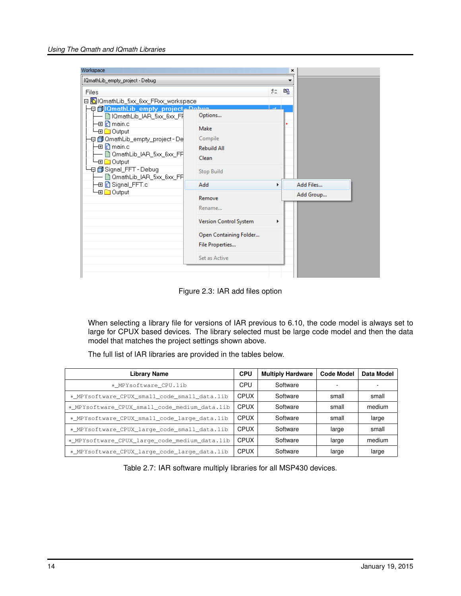| Workspace                                             |                               |    | ×   |           |
|-------------------------------------------------------|-------------------------------|----|-----|-----------|
| IQmathLib_empty_project - Debug                       |                               |    |     |           |
| Files                                                 |                               | ీన | Gģ. |           |
| 日 © IQmathLib_5xx_6xx_FRxx_workspace                  |                               |    |     |           |
| 日日 <mark>IQmathLib_empty_project = Dobus.</mark>      |                               |    |     |           |
| QmathLib_IAR_5xx_6xx_FI                               | Options                       |    |     |           |
| Đ <mark>cì</mark> main.c<br>⊕ □ Output                | Make                          |    |     |           |
| 日 <mark>1</mark> QmathLib_empty_project - De          | Compile                       |    |     |           |
| ⊕ <mark>c</mark> ] main.c                             | <b>Rebuild All</b>            |    |     |           |
| ■ QmathLib_IAR_5xx_6xx_FF <br>⊞ <mark>⊡</mark> Output | Clean                         |    |     |           |
| 日□ Signal_FFT - Debug                                 | <b>Stop Build</b>             |    |     |           |
| ■ QmathLib_IAR_5xx_6xx_FF                             |                               |    |     |           |
| ⊕ <mark>C</mark> Signal_FFT.c                         | Add                           | ь  |     | Add Files |
| ⊞ □ Output                                            | Remove                        |    |     | Add Group |
|                                                       | Rename                        |    |     |           |
|                                                       | <b>Version Control System</b> | ь  |     |           |
|                                                       | Open Containing Folder        |    |     |           |
|                                                       | File Properties               |    |     |           |
|                                                       |                               |    |     |           |
|                                                       | Set as Active                 |    |     |           |

Figure 2.3: IAR add files option

When selecting a library file for versions of IAR previous to 6.10, the code model is always set to large for CPUX based devices. The library selected must be large code model and then the data model that matches the project settings shown above.

The full list of IAR libraries are provided in the tables below.

| <b>Library Name</b>                           | <b>CPU</b>  | <b>Multiply Hardware</b> | <b>Code Model</b> | Data Model |
|-----------------------------------------------|-------------|--------------------------|-------------------|------------|
| * MPYsoftware CPU.lib                         | CPU         | Software                 |                   |            |
| *_MPYsoftware_CPUX_small_code_small_data.lib  | <b>CPUX</b> | Software                 | small             | small      |
| *_MPYsoftware_CPUX_small_code_medium_data.lib | <b>CPUX</b> | Software                 | small             | medium     |
| *_MPYsoftware_CPUX_small_code_large_data.lib  | <b>CPUX</b> | Software                 | small             | large      |
| *_MPYsoftware_CPUX_large_code_small_data.lib  | <b>CPUX</b> | Software                 | large             | small      |
| *_MPYsoftware_CPUX_large_code_medium_data.lib | <b>CPUX</b> | Software                 | large             | medium     |
| *_MPYsoftware_CPUX_large_code_large_data.lib  | CPUX        | Software                 | large             | large      |

Table 2.7: IAR software multiply libraries for all MSP430 devices.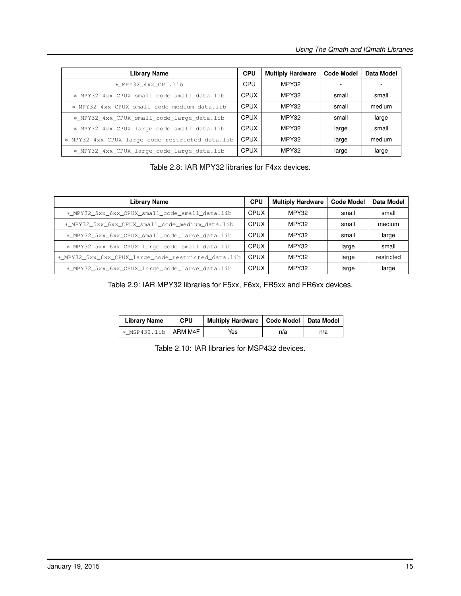| <b>Library Name</b>                             | <b>CPU</b>  | <b>Multiply Hardware</b> | <b>Code Model</b> | Data Model |
|-------------------------------------------------|-------------|--------------------------|-------------------|------------|
| * MPY32 4xx CPU.lib                             | CPU         | MPY32                    |                   |            |
| *_MPY32_4xx_CPUX_small_code_small_data.lib      | <b>CPUX</b> | MPY32                    | small             | small      |
| *_MPY32_4xx_CPUX_small_code_medium_data.lib     | <b>CPUX</b> | MPY32                    | small             | medium     |
| *_MPY32_4xx_CPUX_small_code_large_data.lib      | <b>CPUX</b> | MPY32                    | small             | large      |
| *_MPY32_4xx_CPUX_large_code_small_data.lib      | <b>CPUX</b> | MPY32                    | large             | small      |
| *_MPY32_4xx_CPUX_large_code_restricted_data.lib | <b>CPUX</b> | MPY32                    | large             | medium     |
| *_MPY32_4xx_CPUX_large_code_large_data.lib      | <b>CPUX</b> | MPY32                    | large             | large      |

Table 2.8: IAR MPY32 libraries for F4xx devices.

| Library Name                                        | <b>CPU</b>  | <b>Multiply Hardware</b> | <b>Code Model</b> | Data Model |
|-----------------------------------------------------|-------------|--------------------------|-------------------|------------|
| *_MPY32_5xx_6xx_CPUX_small_code_small_data.lib      | CPUX        | MPY32                    | small             | small      |
| *_MPY32_5xx_6xx_CPUX_small_code_medium_data.lib     | <b>CPUX</b> | MPY32                    | small             | medium     |
| *_MPY32_5xx_6xx_CPUX_small_code_large_data.lib      | <b>CPUX</b> | MPY32                    | small             | large      |
| *_MPY32_5xx_6xx_CPUX_large_code_small_data.lib      | <b>CPUX</b> | MPY32                    | large             | small      |
| * MPY32_5xx_6xx_CPUX_large_code_restricted_data.lib | <b>CPUX</b> | MPY32                    | large             | restricted |
| *_MPY32_5xx_6xx_CPUX_large_code_large_data.lib      | CPUX        | MPY32                    | large             | large      |

Table 2.9: IAR MPY32 libraries for F5xx, F6xx, FR5xx and FR6xx devices.

| Library Name             | <b>CPU</b> | Multiply Hardware   Code Model   Data Model |     |     |
|--------------------------|------------|---------------------------------------------|-----|-----|
| $*$ MSP432.1ib   ARM M4F |            | Yes                                         | n/a | n/a |

Table 2.10: IAR libraries for MSP432 devices.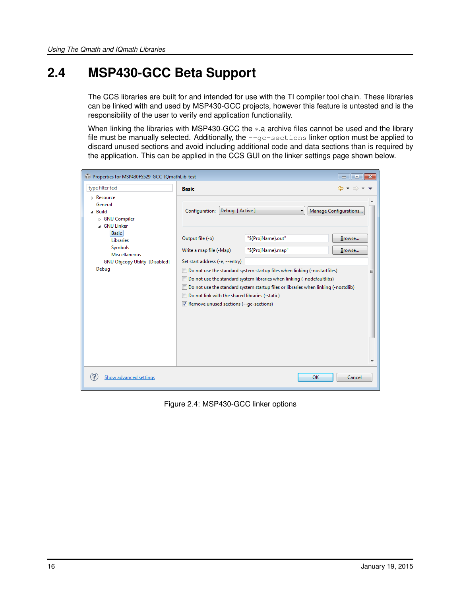## <span id="page-15-0"></span>**2.4 MSP430-GCC Beta Support**

The CCS libraries are built for and intended for use with the TI compiler tool chain. These libraries can be linked with and used by MSP430-GCC projects, however this feature is untested and is the responsibility of the user to verify end application functionality.

When linking the libraries with MSP430-GCC the ∗.a archive files cannot be used and the library file must be manually selected. Additionally, the  $-\text{q}\text{-}$  sections linker option must be applied to discard unused sections and avoid including additional code and data sections than is required by the application. This can be applied in the CCS GUI on the linker settings page shown below.

| Properties for MSP430F5529_GCC_IQmathLib_test                                          |                                                                                                                                |                                                                                                                                                                                                                                           | $\begin{array}{c c c c c c} \hline \multicolumn{3}{c }{\mathbf{C}} & \multicolumn{3}{c }{\mathbf{C}} & \multicolumn{3}{c }{\mathbf{X}} \end{array}$ |
|----------------------------------------------------------------------------------------|--------------------------------------------------------------------------------------------------------------------------------|-------------------------------------------------------------------------------------------------------------------------------------------------------------------------------------------------------------------------------------------|-----------------------------------------------------------------------------------------------------------------------------------------------------|
| type filter text                                                                       | <b>Basic</b>                                                                                                                   |                                                                                                                                                                                                                                           | $\triangle$ $\star$ $\Rightarrow$ $\star$                                                                                                           |
| $\triangleright$ Resource<br>General<br>a Build<br><b>SNU Compiler</b><br>4 GNU Linker | Debug [ Active ]<br>Configuration:                                                                                             | ۰                                                                                                                                                                                                                                         | Manage Configurations                                                                                                                               |
| <b>Basic</b><br><b>Libraries</b>                                                       | Output file (-o)                                                                                                               | "\${ProjName}.out"                                                                                                                                                                                                                        | Browse                                                                                                                                              |
| Symbols<br>Miscellaneous                                                               | Write a map file (-Map)                                                                                                        | "\${ProjName}.map"                                                                                                                                                                                                                        | Browse                                                                                                                                              |
| <b>GNU Objcopy Utility [Disabled]</b><br>Debug                                         | Set start address (-e, --entry)<br>Do not link with the shared libraries (-static)<br>V Remove unused sections (--gc-sections) | Do not use the standard system startup files when linking (-nostartfiles)<br>Do not use the standard system libraries when linking (-nodefaultlibs)<br>Do not use the standard system startup files or libraries when linking (-nostdlib) | Ξ                                                                                                                                                   |
| Show advanced settings                                                                 |                                                                                                                                |                                                                                                                                                                                                                                           | OK<br>Cancel                                                                                                                                        |

Figure 2.4: MSP430-GCC linker options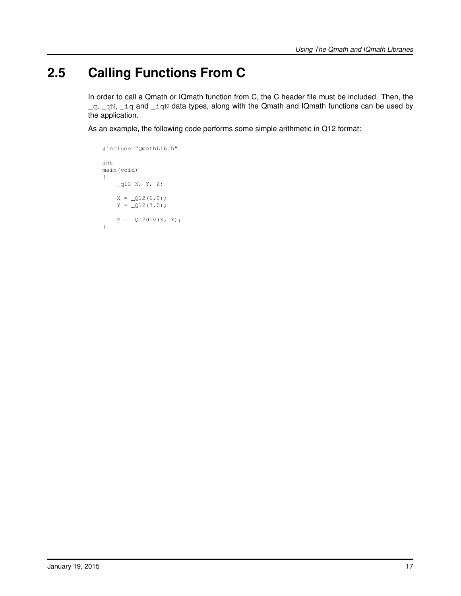## <span id="page-16-0"></span>**2.5 Calling Functions From C**

In order to call a Qmath or IQmath function from C, the C header file must be included. Then, the  $q$ ,  $qN$ ,  $iqN$  and  $iqN$  data types, along with the Qmath and IQmath functions can be used by the application.

As an example, the following code performs some simple arithmetic in Q12 format:

```
#include "QmathLib.h"
int
main(void)
{
   q12 X, Y, Z;X = \_Q12(1.0);Y = 212(7.0);Z = \_Q12div(X, Y);}
```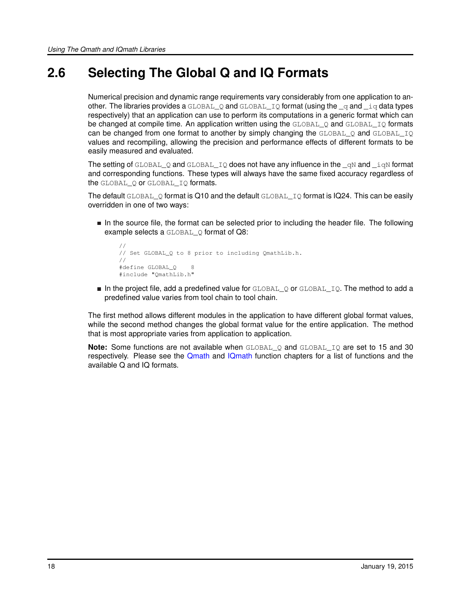## <span id="page-17-0"></span>**2.6 Selecting The Global Q and IQ Formats**

Numerical precision and dynamic range requirements vary considerably from one application to another. The libraries provides a  $GLOBAL_Q$  and  $GLOBAL_Q$  format (using the  $q$  and  $q$  iq data types respectively) that an application can use to perform its computations in a generic format which can be changed at compile time. An application written using the GLOBAL\_Q and GLOBAL\_IQ formats can be changed from one format to another by simply changing the  $GLOBAL$   $Q$  and  $GLOBAL$   $IQ$ values and recompiling, allowing the precision and performance effects of different formats to be easily measured and evaluated.

The setting of GLOBAL Q and GLOBAL IQ does not have any influence in the  $\alpha_N$  and  $\alpha_N$  format and corresponding functions. These types will always have the same fixed accuracy regardless of the GLOBAL Q or GLOBAL IQ formats.

The default GLOBAL  $\circ$  format is Q10 and the default GLOBAL  $\circ$  format is IQ24. This can be easily overridden in one of two ways:

In the source file, the format can be selected prior to including the header file. The following example selects a GLOBAL\_Q format of Q8:

```
//
// Set GLOBAL_Q to 8 prior to including QmathLib.h.
//
#define GLOBAL 0 8
#include "QmathLib.h"
```
In the project file, add a predefined value for  $GLOBAL_Q$  or  $GLOBAL_IQ$ . The method to add a predefined value varies from tool chain to tool chain.

The first method allows different modules in the application to have different global format values, while the second method changes the global format value for the entire application. The method that is most appropriate varies from application to application.

**Note:** Some functions are not available when GLOBAL\_Q and GLOBAL\_IQ are set to 15 and 30 respectively. Please see the [Qmath](#page-22-2) and [IQmath](#page-50-2) function chapters for a list of functions and the available Q and IQ formats.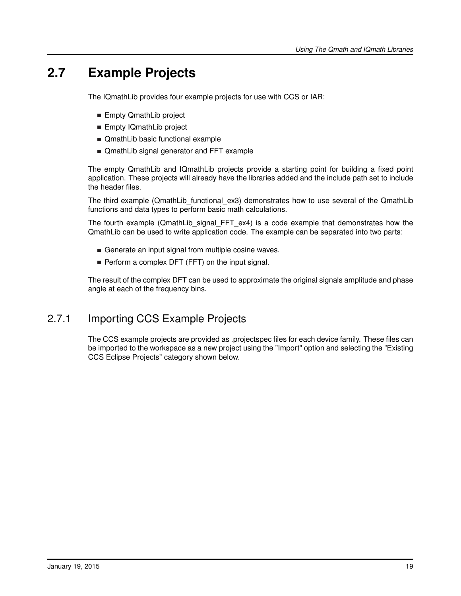## <span id="page-18-0"></span>**2.7 Example Projects**

The IQmathLib provides four example projects for use with CCS or IAR:

- **Empty QmathLib project**
- Empty IQmathLib project
- QmathLib basic functional example
- QmathLib signal generator and FFT example

The empty QmathLib and IQmathLib projects provide a starting point for building a fixed point application. These projects will already have the libraries added and the include path set to include the header files.

The third example (QmathLib\_functional\_ex3) demonstrates how to use several of the QmathLib functions and data types to perform basic math calculations.

The fourth example (QmathLib\_signal\_FFT\_ex4) is a code example that demonstrates how the QmathLib can be used to write application code. The example can be separated into two parts:

- Generate an input signal from multiple cosine waves.
- Perform a complex DFT (FFT) on the input signal.

The result of the complex DFT can be used to approximate the original signals amplitude and phase angle at each of the frequency bins.

## 2.7.1 Importing CCS Example Projects

The CCS example projects are provided as .projectspec files for each device family. These files can be imported to the workspace as a new project using the "Import" option and selecting the "Existing CCS Eclipse Projects" category shown below.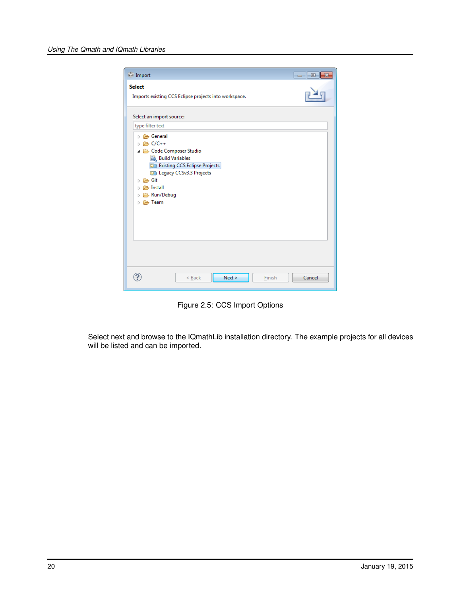| Import                                                                                                                                                                                                                                          | $\begin{array}{c c c c c c c} \hline \multicolumn{3}{c }{\mathbf{C}} & \multicolumn{3}{c }{\mathbf{C}} & \multicolumn{3}{c }{\mathbf{X}} \end{array}$ |
|-------------------------------------------------------------------------------------------------------------------------------------------------------------------------------------------------------------------------------------------------|-------------------------------------------------------------------------------------------------------------------------------------------------------|
| <b>Select</b><br>Imports existing CCS Eclipse projects into workspace.                                                                                                                                                                          |                                                                                                                                                       |
| Select an import source:                                                                                                                                                                                                                        |                                                                                                                                                       |
| type filter text                                                                                                                                                                                                                                |                                                                                                                                                       |
| D General<br>D <del>D</del> C/C++<br>Code Composer Studio<br><b>Build Variables</b><br>ED Existing CCS Eclipse Projects<br>Legacy CCSv3.3 Projects<br>ে Git<br>$\triangleright$<br>Install<br>Þ<br>Run/Debug<br>Þ<br>户 Team<br>$\triangleright$ |                                                                                                                                                       |
| Next<br>Finish<br>< Back                                                                                                                                                                                                                        | Cancel                                                                                                                                                |

Figure 2.5: CCS Import Options

Select next and browse to the IQmathLib installation directory. The example projects for all devices will be listed and can be imported.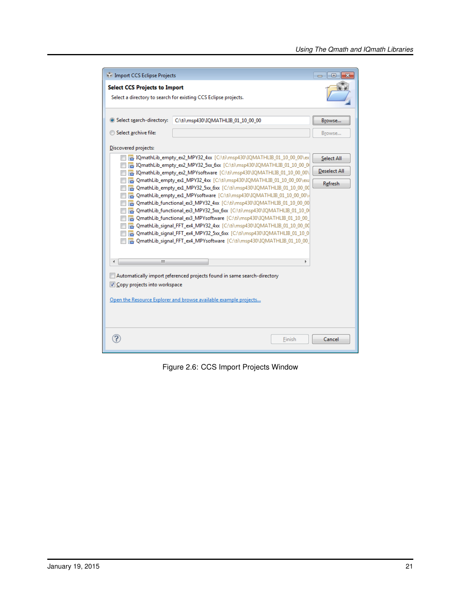| <b>Manufacture 1 Import CCS Eclipse Projects</b>                                                                                                                                          |                                                                                                                                                                                                                                                                                                                                                                                                                                                                                                                                                                                                                                                                                                | 同<br>x<br>$\Box$    |  |  |
|-------------------------------------------------------------------------------------------------------------------------------------------------------------------------------------------|------------------------------------------------------------------------------------------------------------------------------------------------------------------------------------------------------------------------------------------------------------------------------------------------------------------------------------------------------------------------------------------------------------------------------------------------------------------------------------------------------------------------------------------------------------------------------------------------------------------------------------------------------------------------------------------------|---------------------|--|--|
| <b>Select CCS Projects to Import</b>                                                                                                                                                      | Select a directory to search for existing CCS Eclipse projects.                                                                                                                                                                                                                                                                                                                                                                                                                                                                                                                                                                                                                                |                     |  |  |
| Select search-directory:<br>Select archive file:                                                                                                                                          | C:\ti\msp430\IQMATHLIB_01_10_00_00                                                                                                                                                                                                                                                                                                                                                                                                                                                                                                                                                                                                                                                             | Browse<br>Browse    |  |  |
| Discovered projects:                                                                                                                                                                      |                                                                                                                                                                                                                                                                                                                                                                                                                                                                                                                                                                                                                                                                                                |                     |  |  |
|                                                                                                                                                                                           | 2 IQmathLib_empty_ex2_MPY32_4xx [C:\ti\msp430\IQMATHLIB_01_10_00_00\ex                                                                                                                                                                                                                                                                                                                                                                                                                                                                                                                                                                                                                         | <b>Select All</b>   |  |  |
|                                                                                                                                                                                           | a IQmathLib_empty_ex2_MPY32_5xx_6xx [C:\ti\msp430\IQMATHLIB_01_10_00_0 <br>a IQmathLib_empty_ex2_MPYsoftware [C:\ti\msp430\IQMATHLIB_01_10_00_00\                                                                                                                                                                                                                                                                                                                                                                                                                                                                                                                                              | <b>Deselect All</b> |  |  |
|                                                                                                                                                                                           | 2 QmathLib_empty_ex1_MPY32_4xx [C:\ti\msp430\IQMATHLIB_01_10_00_00\exi<br>2 QmathLib_empty_ex1_MPY32_5xx_6xx [C:\ti\msp430\IQMATHLIB_01_10_00_00<br>a QmathLib_empty_ex1_MPYsoftware [C:\ti\msp430\IQMATHLIB_01_10_00_00\+<br>2 QmathLib_functional_ex3_MPY32_4xx [C:\ti\msp430\IQMATHLIB_01_10_00_00<br>a QmathLib_functional_ex3_MPY32_5xx_6xx [C:\ti\msp430\IQMATHLIB_01_10_0 <br>국 QmathLib_functional_ex3_MPYsoftware [C:\ti\msp430\IQMATHLIB_01_10_00_<br>2. QmathLib_signal_FFT_ex4_MPY32_4xx [C:\ti\msp430\IQMATHLIB_01_10_00_00<br>2 QmathLib_signal_FFT_ex4_MPY32_5xx_6xx [C:\ti\msp430\IQMATHLIB_01_10_0<br>R QmathLib_signal_FFT_ex4_MPYsoftware [C:\ti\msp430\IQMATHLIB_01_10_00_ | Refresh             |  |  |
| Ш<br>Þ<br>∢<br>Automatically import referenced projects found in same search-directory<br>Opy projects into workspace<br>Open the Resource Explorer and browse available example projects |                                                                                                                                                                                                                                                                                                                                                                                                                                                                                                                                                                                                                                                                                                |                     |  |  |
|                                                                                                                                                                                           | Finish                                                                                                                                                                                                                                                                                                                                                                                                                                                                                                                                                                                                                                                                                         | Cancel              |  |  |

Figure 2.6: CCS Import Projects Window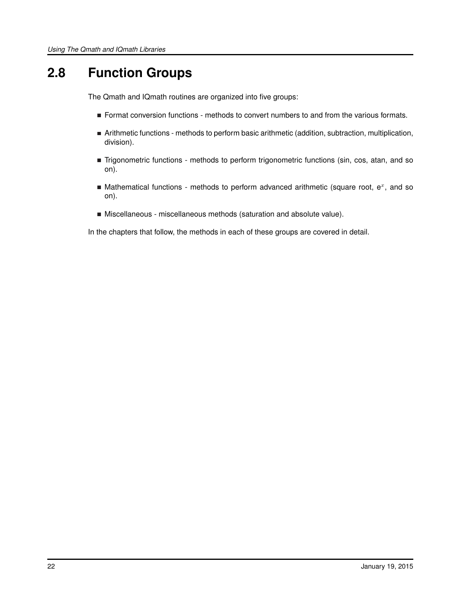## <span id="page-21-0"></span>**2.8 Function Groups**

The Qmath and IQmath routines are organized into five groups:

- Format conversion functions methods to convert numbers to and from the various formats.
- Arithmetic functions methods to perform basic arithmetic (addition, subtraction, multiplication, division).
- **Trigonometric functions methods to perform trigonometric functions (sin, cos, atan, and so** on).
- Mathematical functions methods to perform advanced arithmetic (square root,  $e<sup>x</sup>$ , and so on).
- Miscellaneous miscellaneous methods (saturation and absolute value).

In the chapters that follow, the methods in each of these groups are covered in detail.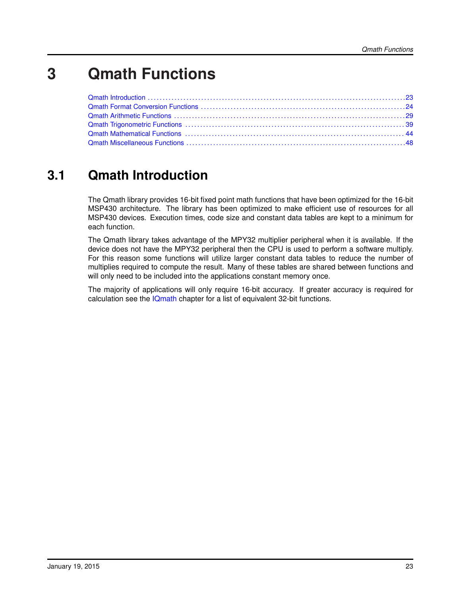## <span id="page-22-2"></span><span id="page-22-0"></span>**3 Qmath Functions**

<span id="page-22-3"></span>

## <span id="page-22-1"></span>**3.1 Qmath Introduction**

The Qmath library provides 16-bit fixed point math functions that have been optimized for the 16-bit MSP430 architecture. The library has been optimized to make efficient use of resources for all MSP430 devices. Execution times, code size and constant data tables are kept to a minimum for each function.

The Qmath library takes advantage of the MPY32 multiplier peripheral when it is available. If the device does not have the MPY32 peripheral then the CPU is used to perform a software multiply. For this reason some functions will utilize larger constant data tables to reduce the number of multiplies required to compute the result. Many of these tables are shared between functions and will only need to be included into the applications constant memory once.

The majority of applications will only require 16-bit accuracy. If greater accuracy is required for calculation see the [IQmath](#page-50-2) chapter for a list of equivalent 32-bit functions.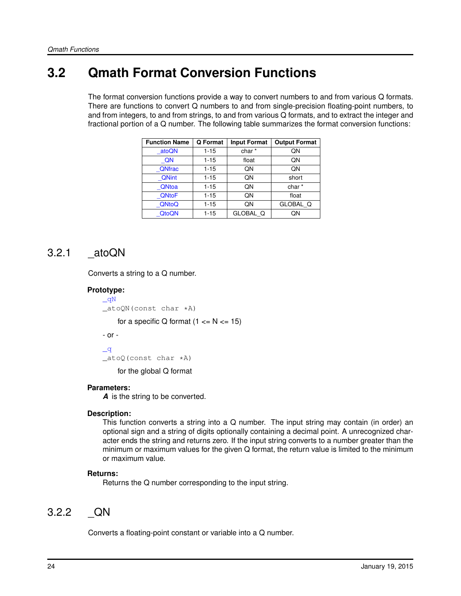## <span id="page-23-0"></span>**3.2 Qmath Format Conversion Functions**

The format conversion functions provide a way to convert numbers to and from various Q formats. There are functions to convert Q numbers to and from single-precision floating-point numbers, to and from integers, to and from strings, to and from various Q formats, and to extract the integer and fractional portion of a Q number. The following table summarizes the format conversion functions:

| <b>Function Name</b> | <b>Q</b> Format | <b>Input Format</b> | <b>Output Format</b> |
|----------------------|-----------------|---------------------|----------------------|
| atoQN                | $1 - 15$        | char*               | QΝ                   |
| QN                   | $1 - 15$        | float               | QN                   |
| <b>QNfrac</b>        | $1 - 15$        | QN                  | QN                   |
| <b>QNint</b>         | $1 - 15$        | QN                  | short                |
| <b>QNtoa</b>         | $1 - 15$        | QN                  | char*                |
| <b>QNtoF</b>         | $1 - 15$        | QN                  | float                |
| QNtoQ                | $1 - 15$        | QN                  | GLOBAL Q             |
| <b>QtoQN</b>         | $1 - 15$        | GLOBAL Q            | QΝ                   |

## <span id="page-23-1"></span>3.2.1 \_atoQN

Converts a string to a Q number.

#### **Pro[totyp](#page-6-1)e:**

```
qN_atoQN(const char *A)
```
for a specific Q format  $(1 \leq N \leq 15)$ 

```
- or -
```

```
q_atoQ(const char *A)
```
for the global Q format

#### **Parameters:**

A is the string to be converted.

#### **Description:**

This function converts a string into a Q number. The input string may contain (in order) an optional sign and a string of digits optionally containing a decimal point. A unrecognized character ends the string and returns zero. If the input string converts to a number greater than the minimum or maximum values for the given Q format, the return value is limited to the minimum or maximum value.

#### **Returns:**

Returns the Q number corresponding to the input string.

## <span id="page-23-2"></span>3.2.2 QN

Converts a floating-point constant or variable into a Q number.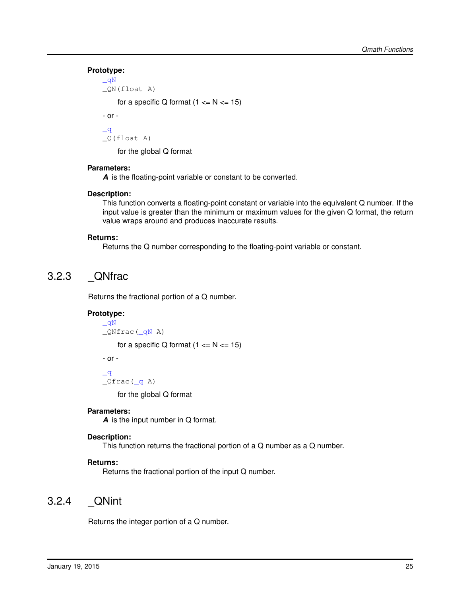$qN$ \_QN(float A) for a specific Q format  $(1 \le N \le 15)$ - or -

 $q$ \_Q(float A)

for the global Q format

#### **Parameters:**

*A* is the floating-point variable or constant to be converted.

#### **Description:**

This function converts a floating-point constant or variable into the equivalent Q number. If the input value is greater than the minimum or maximum values for the given Q format, the return value wraps around and produces inaccurate results.

#### **Returns:**

Returns the Q number corresponding to the floating-point variable or constant.

## <span id="page-24-0"></span>3.2.3 \_QNfrac

Returns the fractional portion of a Q number.

#### **Pro[totyp](#page-6-1)e:**

```
qN_QNfrac(_qN A)
```
for a specific Q format  $(1 \leq N \leq 15)$ 

- or -

 $q$  $Qfrac(-q A)$ 

for the global Q format

#### **Parameters:**

*A* is the input number in Q format.

#### **Description:**

This function returns the fractional portion of a Q number as a Q number.

#### **Returns:**

Returns the fractional portion of the input Q number.

## <span id="page-24-1"></span>3.2.4 \_QNint

Returns the integer portion of a Q number.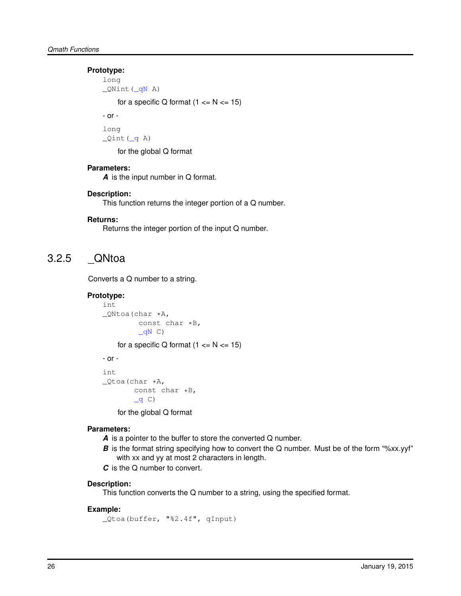long  $_Q$ Nint $(\overline{qN} A)$ for a specific Q format  $(1 \le N \le 15)$ - or -

long  $Qint (q A)$ 

for the global Q format

#### **Parameters:**

*A* is the input number in Q format.

#### **Description:**

This function returns the integer portion of a Q number.

#### **Returns:**

Returns the integer portion of the input Q number.

## <span id="page-25-0"></span>3.2.5 \_QNtoa

Converts a Q number to a string.

#### **Prototype:**

```
int
QNtoa(char *A,
        const char *B,
        qN C)
```

```
for a specific Q format (1 \le N \le 15)
```
- or -

```
int
Qtoa(char *A,
       const char *B,
       q C)
```
for the global Q format

#### **Parameters:**

- *A* is a pointer to the buffer to store the converted Q number.
- **B** is the format string specifying how to convert the Q number. Must be of the form "%xx.yyf" with xx and yy at most 2 characters in length.
- *C* is the Q number to convert.

#### **Description:**

This function converts the Q number to a string, using the specified format.

#### **Example:**

```
_Qtoa(buffer, "%2.4f", qInput)
```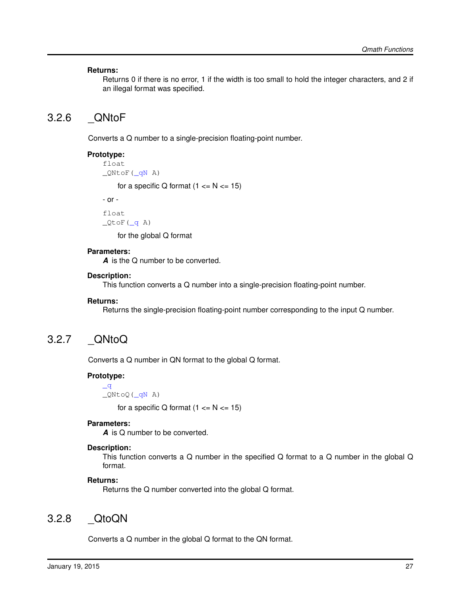#### **Returns:**

Returns 0 if there is no error, 1 if the width is too small to hold the integer characters, and 2 if an illegal format was specified.

### <span id="page-26-0"></span>3.2.6 \_QNtoF

Converts a Q number to a single-precision floating-point number.

#### **Prototype:**

```
float
_QNtoF _QN A)
    for a specific Q format (1 \le N \le 15)- or -
```
float  $QtoF(Q A)$ 

for the global Q format

#### **Parameters:**

*A* is the Q number to be converted.

#### **Description:**

This function converts a Q number into a single-precision floating-point number.

#### **Returns:**

Returns the single-precision floating-point number corresponding to the input Q number.

### <span id="page-26-1"></span>3.2.7 \_QNtoQ

Converts a Q number in QN format to the global Q format.

#### **Pro[toty](#page-6-1)pe:**

 $-q$  $_QNtoQ($  $QN A)$ 

for a specific Q format  $(1 \le N \le 15)$ 

#### **Parameters:**

*A* is Q number to be converted.

#### **Description:**

This function converts a Q number in the specified Q format to a Q number in the global Q format.

#### **Returns:**

Returns the Q number converted into the global Q format.

### <span id="page-26-2"></span>3.2.8 \_QtoQN

Converts a Q number in the global Q format to the QN format.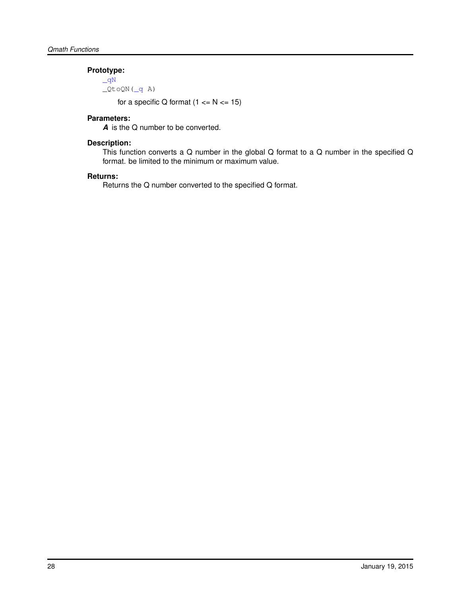$qN$  $_QtoQN(Qq A)$ 

for a specific Q format  $(1 \leq N \leq 15)$ 

#### **Parameters:**

*A* is the Q number to be converted.

#### **Description:**

This function converts a Q number in the global Q format to a Q number in the specified Q format. be limited to the minimum or maximum value.

#### **Returns:**

Returns the Q number converted to the specified Q format.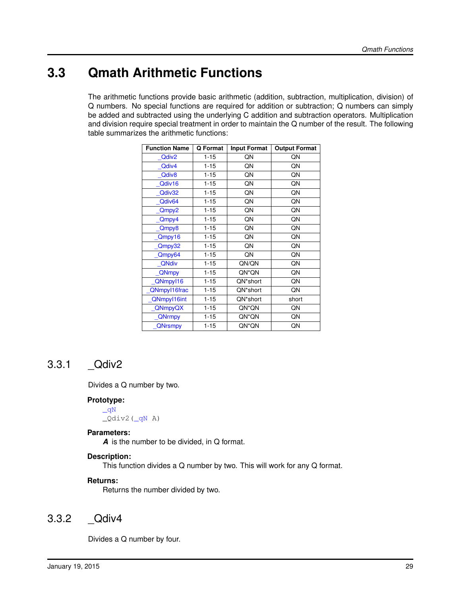## <span id="page-28-0"></span>**3.3 Qmath Arithmetic Functions**

The arithmetic functions provide basic arithmetic (addition, subtraction, multiplication, division) of Q numbers. No special functions are required for addition or subtraction; Q numbers can simply be added and subtracted using the underlying C addition and subtraction operators. Multiplication and division require special treatment in order to maintain the Q number of the result. The following table summarizes the arithmetic functions:

| <b>Function Name</b> | Q Format | <b>Input Format</b> | <b>Output Format</b> |
|----------------------|----------|---------------------|----------------------|
| Qdiv <sub>2</sub>    | $1 - 15$ | QN                  | QN                   |
| Qdiv4                | $1 - 15$ | QN                  | QN                   |
| Qdiv <sub>8</sub>    | $1 - 15$ | QN                  | QN                   |
| Qdiv16               | $1 - 15$ | QN                  | QN                   |
| Qdiv32               | $1 - 15$ | QN                  | QN                   |
| Qdiv <sub>64</sub>   | $1 - 15$ | QN                  | QN                   |
| Qmpy2                | $1 - 15$ | QN                  | QN                   |
| Qmpy4                | $1 - 15$ | QN                  | QN                   |
| Qmpy8                | $1 - 15$ | QN                  | QN                   |
| Qmpy16               | $1 - 15$ | QN                  | QN                   |
| Qmpy32               | $1 - 15$ | QN                  | QN                   |
| Qmpy64               | $1 - 15$ | QN                  | QN                   |
| <b>QNdiv</b>         | $1 - 15$ | QN/QN               | QN                   |
| <b>QNmpy</b>         | $1 - 15$ | QN*QN               | QN                   |
| QNmpy116             | $1 - 15$ | QN*short            | QN                   |
| QNmpyl16frac         | $1 - 15$ | QN*short            | QN                   |
| QNmpy116int          | $1 - 15$ | QN*short            | short                |
| QNmpyQX              | $1 - 15$ | QN*QN               | QN                   |
| <b>QNrmpy</b>        | $1 - 15$ | QN*QN               | QN                   |
| <b>QNrsmpy</b>       | $1 - 15$ | QN*QN               | QN                   |

### <span id="page-28-1"></span>3.3.1 \_Qdiv2

Divides a Q number by two.

#### **Pro[totyp](#page-6-1)e:**

 $qN$  $_Qdiv2(_qN A)$  $_Qdiv2(_qN A)$  $_Qdiv2(_qN A)$ 

#### **Parameters:**

*A* is the number to be divided, in Q format.

#### **Description:**

This function divides a Q number by two. This will work for any Q format.

#### **Returns:**

Returns the number divided by two.

### <span id="page-28-2"></span>3.3.2 \_Qdiv4

Divides a Q number by four.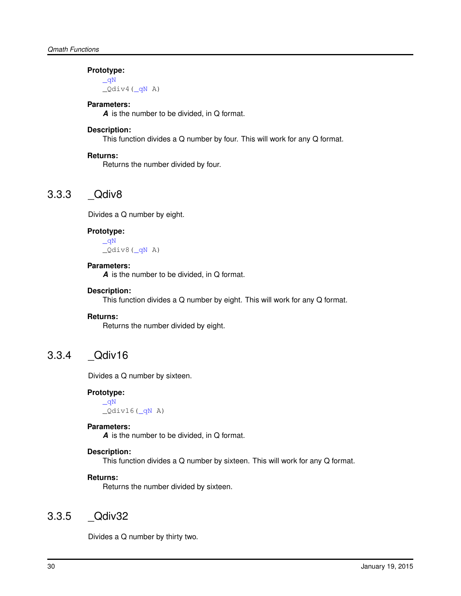$qN$  $Qdiv4$  ( $qN$  A)

#### **Parameters:**

*A* is the number to be divided, in Q format.

#### **Description:**

This function divides a Q number by four. This will work for any Q format.

#### **Returns:**

Returns the number divided by four.

### <span id="page-29-0"></span>3.3.3 \_Qdiv8

Divides a Q number by eight.

#### **Pro[totyp](#page-6-1)e:**

 $qN$  $_Q$ div8( $_Q$ N A)

#### **Parameters:**

*A* is the number to be divided, in Q format.

#### **Description:**

This function divides a Q number by eight. This will work for any Q format.

#### **Returns:**

Returns the number divided by eight.

### <span id="page-29-1"></span>3.3.4 \_Qdiv16

Divides a Q number by sixteen.

#### **Pro[totyp](#page-6-1)e:**

 $qN$  $_Q$ div16( $_Q$ N A)

#### **Parameters:**

*A* is the number to be divided, in Q format.

#### **Description:**

This function divides a Q number by sixteen. This will work for any Q format.

#### **Returns:**

Returns the number divided by sixteen.

### <span id="page-29-2"></span>3.3.5 \_Qdiv32

Divides a Q number by thirty two.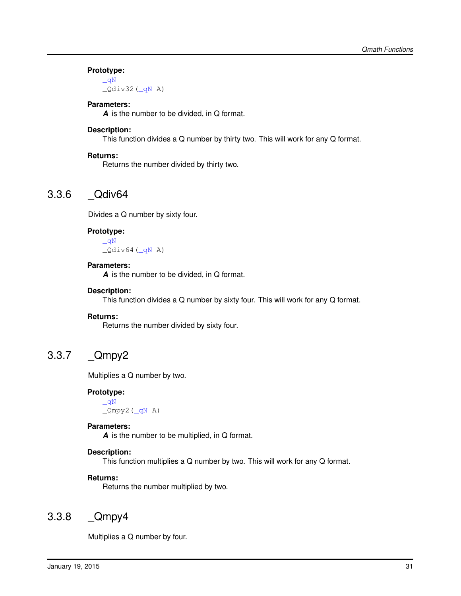$qN$  $Qdiv32($ <sup>qN</sup> A)

#### **Parameters:**

*A* is the number to be divided, in Q format.

#### **Description:**

This function divides a Q number by thirty two. This will work for any Q format.

#### **Returns:**

Returns the number divided by thirty two.

### <span id="page-30-0"></span>3.3.6 \_Qdiv64

Divides a Q number by sixty four.

#### **Pro[totyp](#page-6-1)e:**

 $qN$  $Qdiv64$  ( $qN$  A)

#### **Parameters:**

*A* is the number to be divided, in Q format.

#### **Description:**

This function divides a Q number by sixty four. This will work for any Q format.

#### **Returns:**

Returns the number divided by sixty four.

### <span id="page-30-1"></span>3.3.7 \_Qmpy2

Multiplies a Q number by two.

#### **Pro[totyp](#page-6-1)e:**

 $_qN$  $_Q$ mpy2( $_Q$ N A)

#### **Parameters:**

*A* is the number to be multiplied, in Q format.

#### **Description:**

This function multiplies a Q number by two. This will work for any Q format.

#### **Returns:**

Returns the number multiplied by two.

### <span id="page-30-2"></span>3.3.8 \_Qmpy4

Multiplies a Q number by four.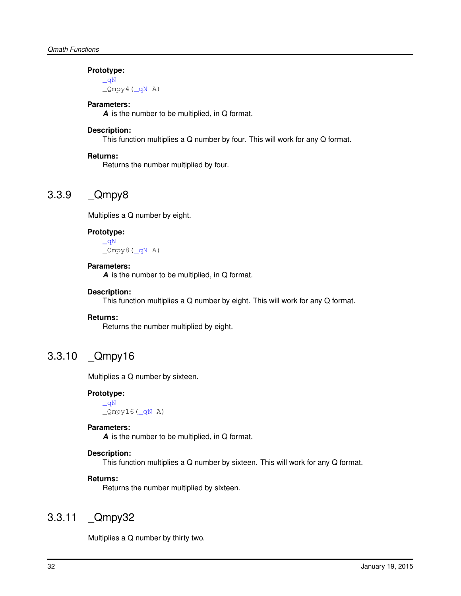$qN$  $_Q$ mpy4 $(QM A)$ 

#### **Parameters:**

*A* is the number to be multiplied, in Q format.

#### **Description:**

This function multiplies a Q number by four. This will work for any Q format.

#### **Returns:**

Returns the number multiplied by four.

### <span id="page-31-0"></span>3.3.9 \_Qmpy8

Multiplies a Q number by eight.

#### **Pro[totyp](#page-6-1)e:**

 $qN$  $_Q$ mpy8 $($ <sup>qN</sup> A)

#### **Parameters:**

*A* is the number to be multiplied, in Q format.

#### **Description:**

This function multiplies a Q number by eight. This will work for any Q format.

#### **Returns:**

Returns the number multiplied by eight.

## <span id="page-31-1"></span>3.3.10 \_Qmpy16

Multiplies a Q number by sixteen.

#### **Pro[totyp](#page-6-1)e:**

 $qN$  $_Q$ mpy16( $_Q$ N A)

#### **Parameters:**

*A* is the number to be multiplied, in Q format.

#### **Description:**

This function multiplies a Q number by sixteen. This will work for any Q format.

#### **Returns:**

Returns the number multiplied by sixteen.

## <span id="page-31-2"></span>3.3.11 \_Qmpy32

Multiplies a Q number by thirty two.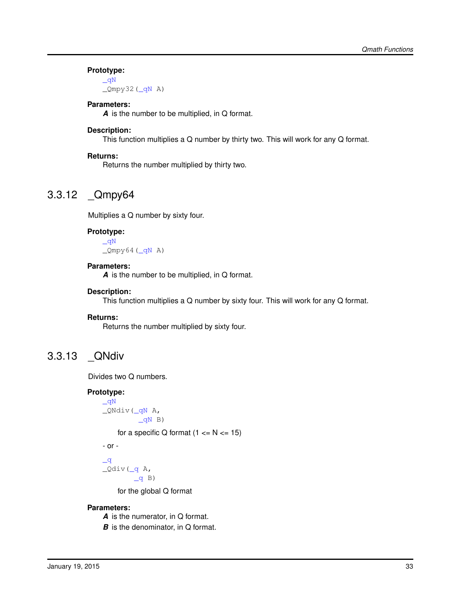$qN$  $_Q$ mpy32( $_Q$ N A)

#### **Parameters:**

*A* is the number to be multiplied, in Q format.

#### **Description:**

This function multiplies a Q number by thirty two. This will work for any Q format.

#### **Returns:**

Returns the number multiplied by thirty two.

## <span id="page-32-0"></span>3.3.12 \_Qmpy64

Multiplies a Q number by sixty four.

#### **Pro[totyp](#page-6-1)e:**

 $qN$  $\angle$ Ompy64( $\angle$ qN A)

#### **Parameters:**

*A* is the number to be multiplied, in Q format.

#### **Description:**

This function multiplies a Q number by sixty four. This will work for any Q format.

#### **Returns:**

Returns the number multiplied by sixty four.

## <span id="page-32-1"></span>3.3.13 \_QNdiv

Divides two Q numbers.

#### **Pro[totyp](#page-6-1)e:**

```
qN_QNdiv(_qN A,
       _qN B)
```
for a specific Q format  $(1 \le N \le 15)$ 

$$
- or -
$$

$$
\begin{array}{c}\nQ\text{div} (\text{q A,} \\
Q\text{div} (\text{q B})\n\end{array}
$$

for the global Q format

#### **Parameters:**

A is the numerator, in Q format.

*B* is the denominator, in Q format.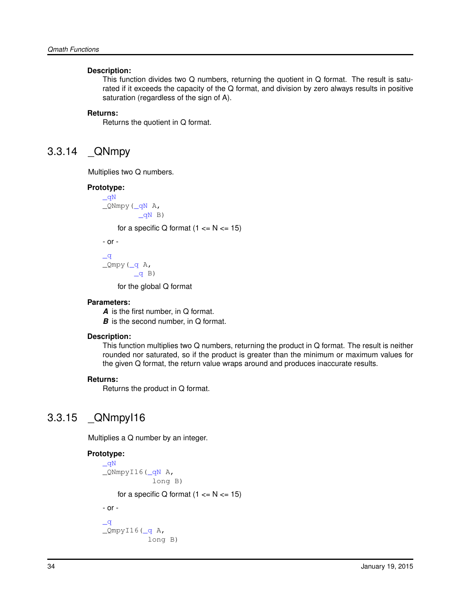#### **Description:**

This function divides two Q numbers, returning the quotient in Q format. The result is saturated if it exceeds the capacity of the Q format, and division by zero always results in positive saturation (regardless of the sign of A).

#### **Returns:**

Returns the quotient in Q format.

## <span id="page-33-0"></span>3.3.14 \_QNmpy

Multiplies two Q numbers.

#### **Pro[totyp](#page-6-1)e:**

```
qN_QNmpy _QN A,
       _qN_B)
```
for a specific Q format  $(1 \leq N \leq 15)$ 

- or -

 $q$  $Qmpy$  ( $q A$ ,  $_q$  B)

for the global Q format

#### **Parameters:**

A is the first number, in Q format.

*B* is the second number, in Q format.

#### **Description:**

This function multiplies two Q numbers, returning the product in Q format. The result is neither rounded nor saturated, so if the product is greater than the minimum or maximum values for the given Q format, the return value wraps around and produces inaccurate results.

#### **Returns:**

Returns the product in Q format.

## <span id="page-33-1"></span>3.3.15 \_QNmpyI16

Multiplies a Q number by an integer.

#### **Pro[totyp](#page-6-1)e:**

```
qN_QNmpy116(QN A,long B)
   for a specific Q format (1 \leq N \leq 15)- or -
q_QmpyI16(_qA,
           long B)
```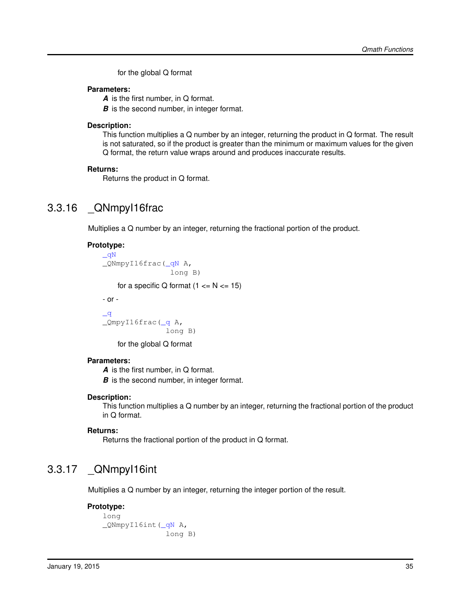for the global Q format

#### **Parameters:**

A is the first number, in Q format.

*B* is the second number, in integer format.

#### **Description:**

This function multiplies a Q number by an integer, returning the product in Q format. The result is not saturated, so if the product is greater than the minimum or maximum values for the given Q format, the return value wraps around and produces inaccurate results.

#### **Returns:**

Returns the product in Q format.

## <span id="page-34-0"></span>3.3.16 \_QNmpyI16frac

Multiplies a Q number by an integer, returning the fractional portion of the product.

#### **Pro[totyp](#page-6-1)e:**

```
qN_QNmpyI16frac(_qN A,
                  long B)
    for a specific Q format (1 \le N \le 15)
```
- or -

 $q$ \_QmpyI16frac[\(\\_q](#page-6-1) A, long B)

for the global Q format

#### **Parameters:**

*A* is the first number, in Q format.

*B* is the second number, in integer format.

#### **Description:**

This function multiplies a Q number by an integer, returning the fractional portion of the product in Q format.

#### **Returns:**

Returns the fractional portion of the product in Q format.

## <span id="page-34-1"></span>3.3.17 \_QNmpyI16int

Multiplies a Q number by an integer, returning the integer portion of the result.

#### **Prototype:**

```
long
_QNmpyI16int(_qN A,
               long B)
```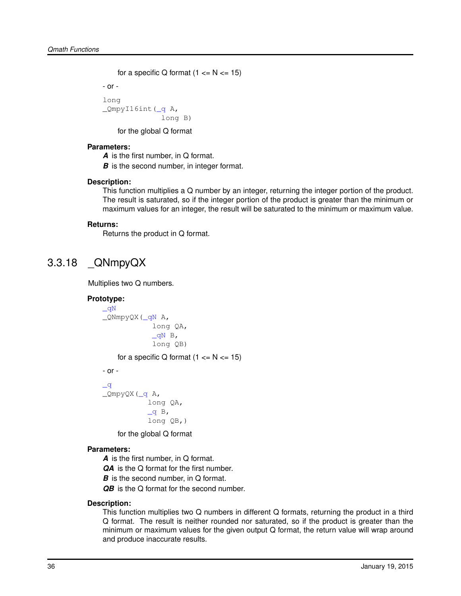for a specific Q format  $(1 \leq N \leq 15)$ 

```
- or -
long
_QmpyI16int(_q A,
               long B)
```
for the global Q format

#### **Parameters:**

A is the first number, in Q format.

*B* is the second number, in integer format.

#### **Description:**

This function multiplies a Q number by an integer, returning the integer portion of the product. The result is saturated, so if the integer portion of the product is greater than the minimum or maximum values for an integer, the result will be saturated to the minimum or maximum value.

#### **Returns:**

Returns the product in Q format.

## <span id="page-35-0"></span>3.3.18 \_QNmpyQX

Multiplies two Q numbers.

#### **Pro[totyp](#page-6-1)e:**

```
qN_QNmpyQX (_qN A,
           long QA,
           qN B,
           long QB)
```
for a specific Q format  $(1 \leq N \leq 15)$ 

- or -

```
q\angle<sup>QmpyQX(\angleq A,</sup>
                  long QA,
                   q \overline{q},
                  long QB,)
```
for the global Q format

#### **Parameters:**

A is the first number, in Q format.

*QA* is the Q format for the first number.

*B* is the second number, in Q format.

**QB** is the Q format for the second number.

#### **Description:**

This function multiplies two Q numbers in different Q formats, returning the product in a third Q format. The result is neither rounded nor saturated, so if the product is greater than the minimum or maximum values for the given output Q format, the return value will wrap around and produce inaccurate results.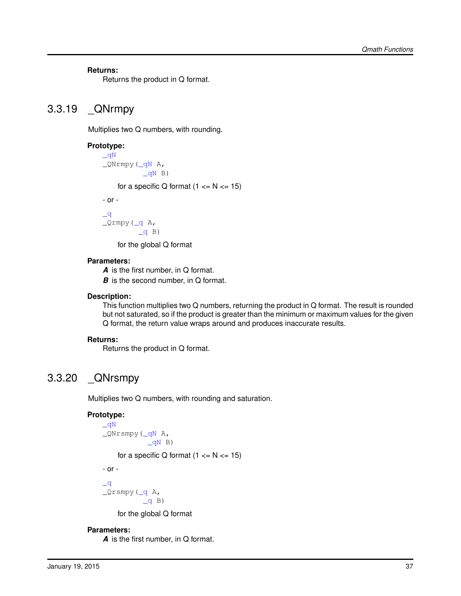**Returns:**

Returns the product in Q format.

### <span id="page-36-0"></span>3.3.19 \_QNrmpy

Multiplies two Q numbers, with rounding.

#### **Pro[totyp](#page-6-0)e:**

```
\_q\rm{N}_QNrmpy(qN A,
            _qN B)
    for a specific Q format (1 \le N \le 15)- or -
```
 $q$  $Q$ rmpy( $q$  A,  $_q$  B)

for the global Q format

#### **Parameters:**

*A* is the first number, in Q format.

*B* is the second number, in Q format.

#### **Description:**

This function multiplies two Q numbers, returning the product in Q format. The result is rounded but not saturated, so if the product is greater than the minimum or maximum values for the given Q format, the return value wraps around and produces inaccurate results.

#### **Returns:**

Returns the product in Q format.

### 3.3.20 \_QNrsmpy

Multiplies two Q numbers, with rounding and saturation.

#### **Pro[totyp](#page-6-0)e:**

```
qN_QNrsmpy(_qN A,
          _qN B)
```
for a specific Q format  $(1 \leq N \leq 15)$ 

- or -

 $q$  $_Q$ rsmpy $( q A, )$  $_q$  B)

for the global Q format

#### **Parameters:**

*A* is the first number, in Q format.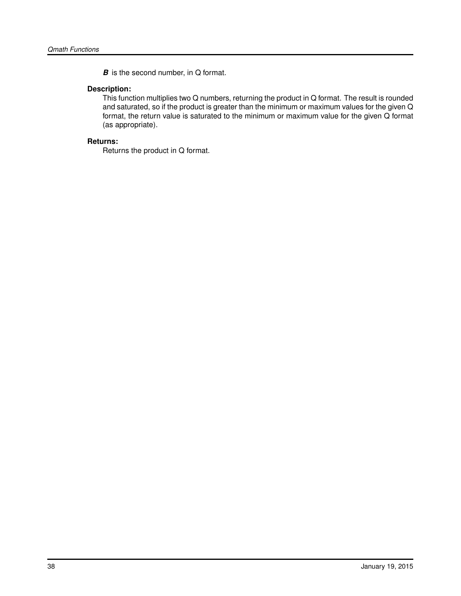*B* is the second number, in Q format.

#### **Description:**

This function multiplies two Q numbers, returning the product in Q format. The result is rounded and saturated, so if the product is greater than the minimum or maximum values for the given Q format, the return value is saturated to the minimum or maximum value for the given Q format (as appropriate).

#### **Returns:**

Returns the product in Q format.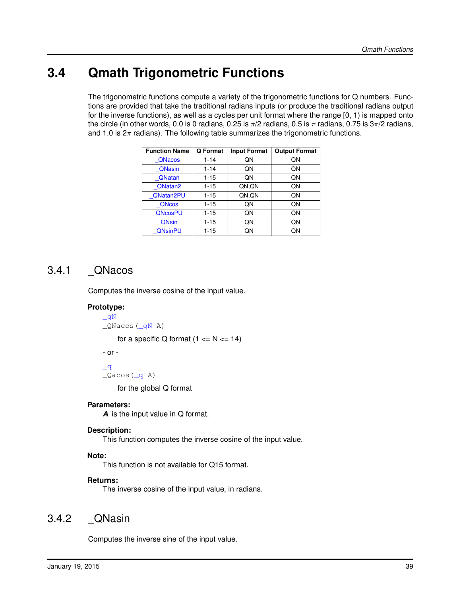# **3.4 Qmath Trigonometric Functions**

The trigonometric functions compute a variety of the trigonometric functions for Q numbers. Functions are provided that take the traditional radians inputs (or produce the traditional radians output for the inverse functions), as well as a cycles per unit format where the range [0, 1) is mapped onto the circle (in other words, 0.0 is 0 radians, 0.25 is  $\pi/2$  radians, 0.5 is  $\pi$  radians, 0.75 is  $3\pi/2$  radians, and 1.0 is  $2\pi$  radians). The following table summarizes the trigonometric functions.

| <b>Function Name</b> | Q Format | <b>Input Format</b> | <b>Output Format</b> |
|----------------------|----------|---------------------|----------------------|
| <b>QNacos</b>        | $1 - 14$ | QN                  | QN                   |
| QNasin               | $1 - 14$ | QN                  | QN                   |
| QNatan               | $1 - 15$ | QN                  | QN                   |
| QNatan2              | $1 - 15$ | QN,QN               | QN                   |
| QNatan2PU            | $1 - 15$ | QN,QN               | QN                   |
| <b>QNcos</b>         | $1 - 15$ | QN                  | QN                   |
| <b>QNcosPU</b>       | $1 - 15$ | QN                  | QN                   |
| <b>QNsin</b>         | $1 - 15$ | QN                  | QN                   |
| <b>QNsinPU</b>       | $1 - 15$ | QΝ                  | QN                   |

### <span id="page-38-0"></span>3.4.1 \_QNacos

Computes the inverse cosine of the input value.

#### **Pro[totyp](#page-6-0)e:**

```
qN_QNacos(_qN A)
    for a specific Q format (1 \le N \le 14)
```
- or -

 $-q$  $_Q$ acos $(\underline{q} A)$ 

for the global Q format

#### **Parameters:**

*A* is the input value in Q format.

#### **Description:**

This function computes the inverse cosine of the input value.

#### **Note:**

This function is not available for Q15 format.

#### **Returns:**

The inverse cosine of the input value, in radians.

### <span id="page-38-1"></span>3.4.2 \_QNasin

Computes the inverse sine of the input value.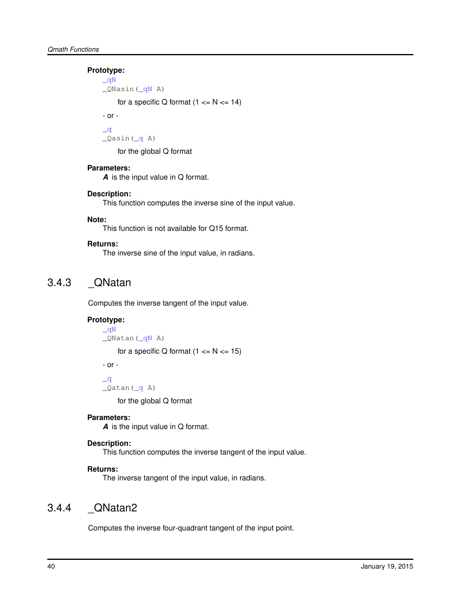**Pro[totyp](#page-6-0)e:**  $qN$ \_QNasin[\(\\_qN](#page-6-0) A) for a specific Q format  $(1 \le N \le 14)$ - or -

 $q$  $Qasin(\_q A)$ 

for the global Q format

#### **Parameters:**

*A* is the input value in Q format.

#### **Description:**

This function computes the inverse sine of the input value.

#### **Note:**

This function is not available for Q15 format.

#### **Returns:**

The inverse sine of the input value, in radians.

### <span id="page-39-0"></span>3.4.3 \_QNatan

Computes the inverse tangent of the input value.

#### **Pro[totyp](#page-6-0)e:**

```
qN_QNatan(_qN A)
    for a specific Q format (1 \le N \le 15)- or -
```
 $q$  $Qatan( q A)$ 

for the global Q format

#### **Parameters:**

*A* is the input value in Q format.

#### **Description:**

This function computes the inverse tangent of the input value.

#### **Returns:**

The inverse tangent of the input value, in radians.

### <span id="page-39-1"></span>3.4.4 \_QNatan2

Computes the inverse four-quadrant tangent of the input point.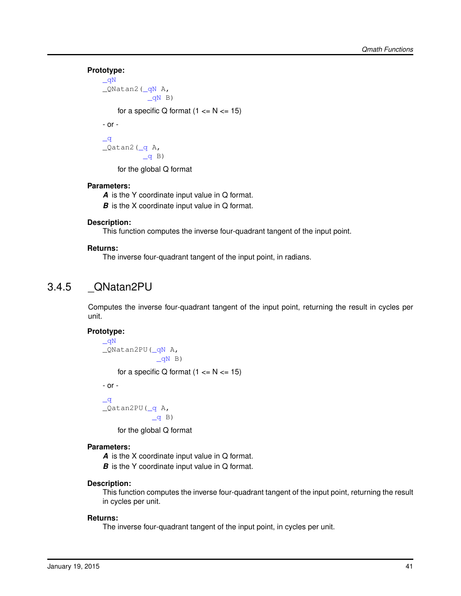$qN$  $_Q$ Natan2( $_Q$ N A,  $_qN$  B) for a specific Q format  $(1 \leq N \leq 15)$ - or -

 $q$  $\angle$ Qatan2( $\angle$ q A,  $_q$  B)

for the global Q format

#### **Parameters:**

*A* is the Y coordinate input value in Q format.

*B* is the X coordinate input value in Q format.

#### **Description:**

This function computes the inverse four-quadrant tangent of the input point.

#### **Returns:**

The inverse four-quadrant tangent of the input point, in radians.

### <span id="page-40-0"></span>3.4.5 \_QNatan2PU

Computes the inverse four-quadrant tangent of the input point, returning the result in cycles per unit.

#### **Pro[totyp](#page-6-0)e:**

```
qN_QNatan2PU(_qN A,
              _qN B)
    for a specific Q format (1 \leq N \leq 15)- or -
q_Qatan2PU(_q A,
             _q B)
```
for the global Q format

#### **Parameters:**

*A* is the X coordinate input value in Q format.

*B* is the Y coordinate input value in Q format.

#### **Description:**

This function computes the inverse four-quadrant tangent of the input point, returning the result in cycles per unit.

#### <span id="page-40-1"></span>**Returns:**

The inverse four-quadrant tangent of the input point, in cycles per unit.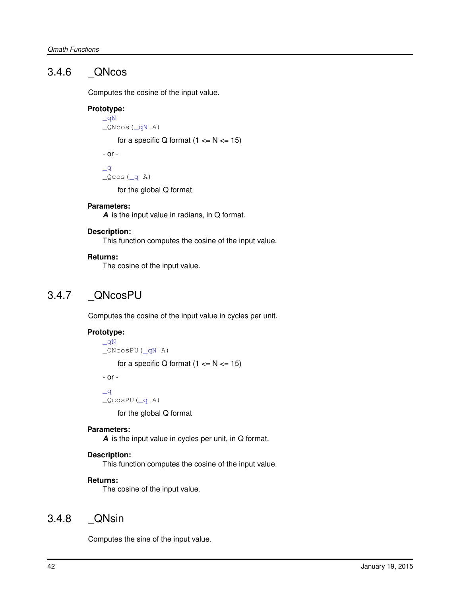### 3.4.6 \_QNcos

Computes the cosine of the input value.

#### **Pro[totyp](#page-6-0)e:**

```
qN(_qN A)for a specific Q format (1 \le N \le 15)- or -
```
 $q$  $_Qcos(_q A)$  $_Qcos(_q A)$  $_Qcos(_q A)$ 

for the global Q format

#### **Parameters:**

*A* is the input value in radians, in Q format.

#### **Description:**

This function computes the cosine of the input value.

#### **Returns:**

The cosine of the input value.

### <span id="page-41-0"></span>3.4.7 \_QNcosPU

Computes the cosine of the input value in cycles per unit.

#### **Pro[totyp](#page-6-0)e:**

```
qN_QNcosPU(_qN A)
```
for a specific Q format  $(1 \le N \le 15)$ 

- or -

 $q$  $_Q \cos PU ( q A)$ 

for the global Q format

#### **Parameters:**

*A* is the input value in cycles per unit, in Q format.

#### **Description:**

This function computes the cosine of the input value.

#### **Returns:**

The cosine of the input value.

### <span id="page-41-1"></span>3.4.8 \_QNsin

Computes the sine of the input value.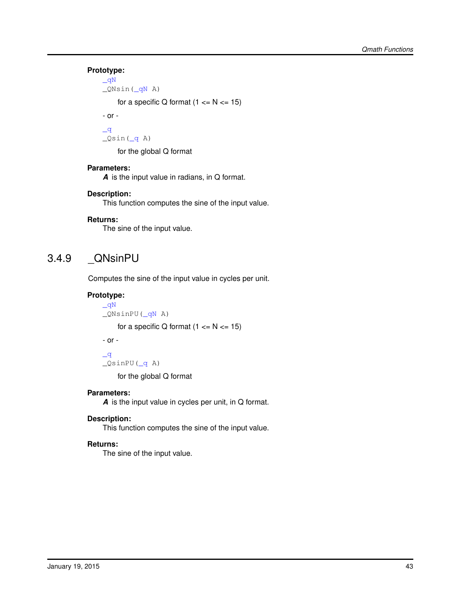$qN$  $_QN\sin(QN A)$ for a specific Q format  $(1 \le N \le 15)$ 

- or -

 $-q$  $Qsin(_q A)$  $Qsin(_q A)$  $Qsin(_q A)$ 

for the global Q format

#### **Parameters:**

*A* is the input value in radians, in Q format.

#### **Description:**

This function computes the sine of the input value.

#### **Returns:**

The sine of the input value.

### <span id="page-42-0"></span>3.4.9 \_QNsinPU

Computes the sine of the input value in cycles per unit.

#### **Pro[totyp](#page-6-0)e:**

```
qN_QNsinPU(_qN A)
    for a specific Q format (1 \le N \le 15)- or -
```
 $-q$  $_Q$ sinPU( $_q$ A)

for the global Q format

#### **Parameters:**

*A* is the input value in cycles per unit, in Q format.

#### **Description:**

This function computes the sine of the input value.

#### **Returns:**

The sine of the input value.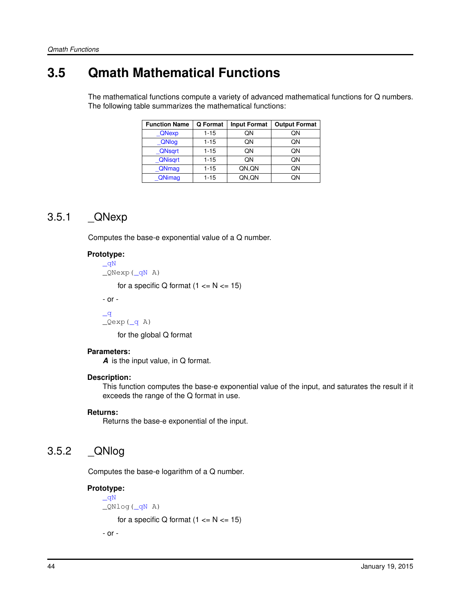# **3.5 Qmath Mathematical Functions**

The mathematical functions compute a variety of advanced mathematical functions for Q numbers. The following table summarizes the mathematical functions:

| <b>Function Name</b> | Q Format | <b>Input Format</b> | <b>Output Format</b> |
|----------------------|----------|---------------------|----------------------|
| <b>QNexp</b>         | $1 - 15$ | ΟN                  | ΟN                   |
| _QNlog               | $1 - 15$ | OΝ                  | ΟN                   |
| <b>QNsqrt</b>        | $1 - 15$ | ΟN                  | ΟN                   |
| <b>QNisgrt</b>       | $1 - 15$ | OΝ                  | ΟN                   |
| QNmag                | $1 - 15$ | QN,QN               | QΝ                   |
| QNimag               | $1 - 15$ | QN,QN               | ΟN                   |

### <span id="page-43-0"></span>3.5.1 \_QNexp

Computes the base-e exponential value of a Q number.

#### **Pro[totyp](#page-6-0)e:**

 $qN$ 

 $_QNexp(1)$  A)

for a specific Q format  $(1 \le N \le 15)$ 

- or -

 $q$  $Qexp(1 q A)$ 

for the global Q format

#### **Parameters:**

*A* is the input value, in Q format.

#### **Description:**

This function computes the base-e exponential value of the input, and saturates the result if it exceeds the range of the Q format in use.

#### **Returns:**

Returns the base-e exponential of the input.

### <span id="page-43-1"></span>3.5.2 \_QNlog

Computes the base-e logarithm of a Q number.

#### **Pro[totyp](#page-6-0)e:**

```
qN_QNlog(qN A)
```
for a specific Q format  $(1 \leq N \leq 15)$ 

- or -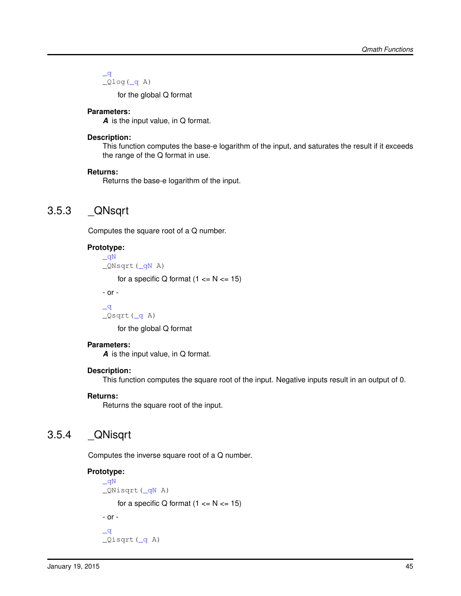$q$  $Qlog( q A)$ 

for the global Q format

#### **Parameters:**

*A* is the input value, in Q format.

#### **Description:**

This function computes the base-e logarithm of the input, and saturates the result if it exceeds the range of the Q format in use.

#### **Returns:**

Returns the base-e logarithm of the input.

### <span id="page-44-0"></span>3.5.3 \_QNsqrt

Computes the square root of a Q number.

#### **Pro[totyp](#page-6-0)e:**

```
qN_QNsqrt(_qN A)
```
for a specific Q format  $(1 \le N \le 15)$ 

- or -

 $-q$  $_Q$ sqrt $( q A )$ 

for the global Q format

#### **Parameters:**

*A* is the input value, in Q format.

#### **Description:**

This function computes the square root of the input. Negative inputs result in an output of 0.

#### **Returns:**

Returns the square root of the input.

### <span id="page-44-1"></span>3.5.4 \_QNisqrt

Computes the inverse square root of a Q number.

#### **Pro[totyp](#page-6-0)e:**

```
qN_QNisqrt(_qN A)
    for a specific Q format (1 \le N \le 15)- or -
qQisqrt(\overline{q} A)
```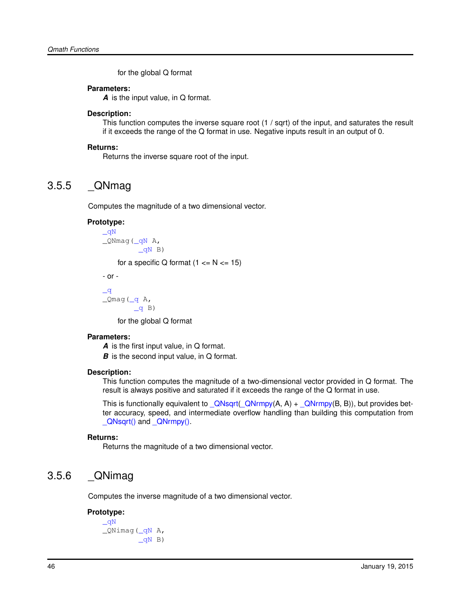for the global Q format

#### **Parameters:**

*A* is the input value, in Q format.

#### **Description:**

This function computes the inverse square root (1 / sqrt) of the input, and saturates the result if it exceeds the range of the Q format in use. Negative inputs result in an output of 0.

#### **Returns:**

Returns the inverse square root of the input.

### <span id="page-45-0"></span>3.5.5 \_QNmag

Computes the magnitude of a two dimensional vector.

#### **Pro[totyp](#page-6-0)e:**

```
qN_QNmag(qN A,
          _qN B)
    for a specific Q format (1 \leq N \leq 15)
```

```
- or -
q\_Qmag(\_q A,
        _q B)
```
for the global Q format

#### **Parameters:**

*A* is the first input value, in Q format. *B* is the second input value, in Q format.

#### **Description:**

This function computes the magnitude of a two-dimensional vector provided in Q format. The result is always positive and saturated if it exceeds the range of the Q format in use.

This is functionally equivalent to  $\sqrt{N\sqrt{N}}$  ( $\sqrt{N}$  A) +  $\sqrt{N}$  ( $\sqrt{N}$  B)), but provides better accuracy, speed, and intermediate overflow handling than building this computation from [\\_QNsqrt\(\)](#page-44-0) and [\\_QNrmpy\(\).](#page-36-0)

#### **Returns:**

Returns the magnitude of a two dimensional vector.

### <span id="page-45-1"></span>3.5.6 \_QNimag

Computes the inverse magnitude of a two dimensional vector.

#### **Pro[totyp](#page-6-0)e:**

```
qN_QNimag(_qN A,
        _qN B)
```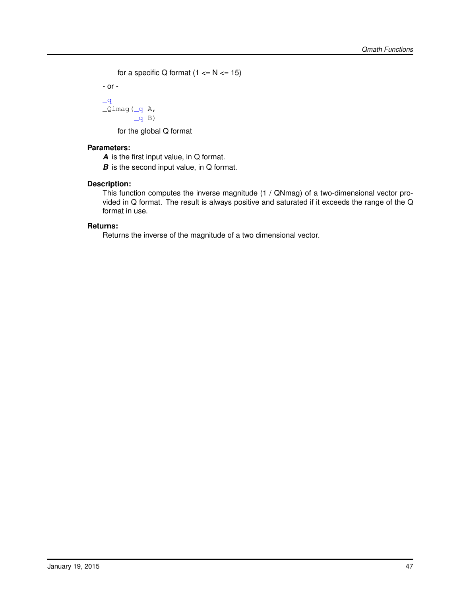for a specific Q format  $(1 \le N \le 15)$ 

```
- or -
qQimag(q A,
       _q B)
```
for the global Q format

#### **Parameters:**

*A* is the first input value, in Q format.

*B* is the second input value, in Q format.

#### **Description:**

This function computes the inverse magnitude (1 / QNmag) of a two-dimensional vector provided in Q format. The result is always positive and saturated if it exceeds the range of the Q format in use.

#### **Returns:**

Returns the inverse of the magnitude of a two dimensional vector.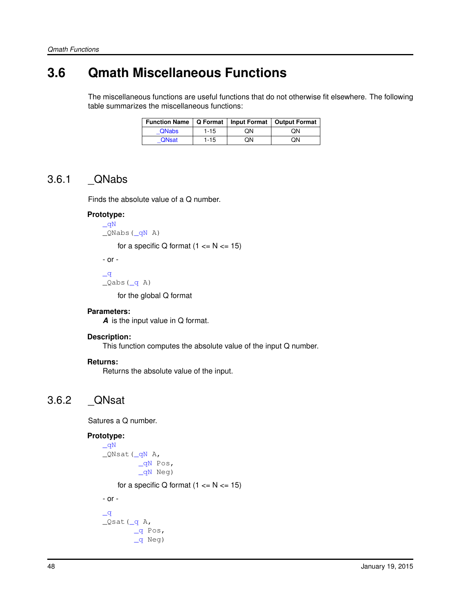# **3.6 Qmath Miscellaneous Functions**

The miscellaneous functions are useful functions that do not otherwise fit elsewhere. The following table summarizes the miscellaneous functions:

| Function Name   Q Format   Input Format   Output Format |          |    |    |
|---------------------------------------------------------|----------|----|----|
| <b>QNabs</b>                                            | $1 - 15$ | QN | OΝ |
| <b>QNsat</b>                                            | $1 - 15$ | ΩN | OΝ |

### <span id="page-47-0"></span>3.6.1 \_QNabs

Finds the absolute value of a Q number.

#### **Pro[totyp](#page-6-0)e:**

```
qN_QNabs(<sup>N</sup> A)
```
for a specific Q format  $(1 \leq N \leq 15)$ 

- or -

 $-q$  $\angle$ Qabs( $\angle$ q A)

for the global Q format

#### **Parameters:**

*A* is the input value in Q format.

#### **Description:**

This function computes the absolute value of the input Q number.

#### **Returns:**

Returns the absolute value of the input.

### <span id="page-47-1"></span>3.6.2 \_QNsat

Satures a Q number.

#### **Pro[totyp](#page-6-0)e:**

 $qN$ \_QNsat[\(\\_qN](#page-6-0) A, [\\_qN](#page-6-0) Pos,  $_qN$  Neg) for a specific Q format  $(1 \leq N \leq 15)$ - or  $q$ 

```
\sqrt{Q}sat(\sqrt{q} A,_q Pos,
          _q Neg)
```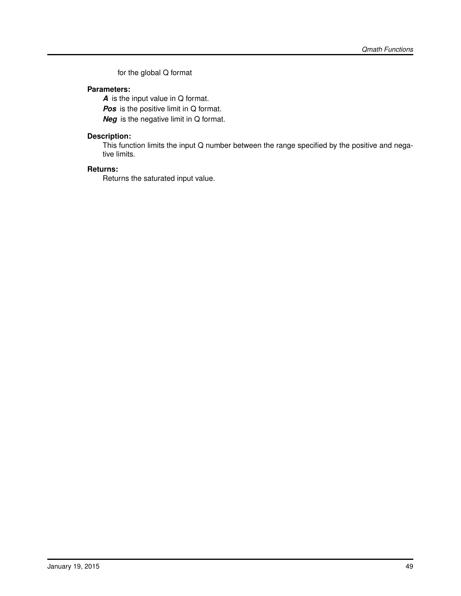for the global Q format

#### **Parameters:**

*A* is the input value in Q format.

**Pos** is the positive limit in Q format.

*Neg* is the negative limit in Q format.

#### **Description:**

This function limits the input Q number between the range specified by the positive and negative limits.

#### **Returns:**

Returns the saturated input value.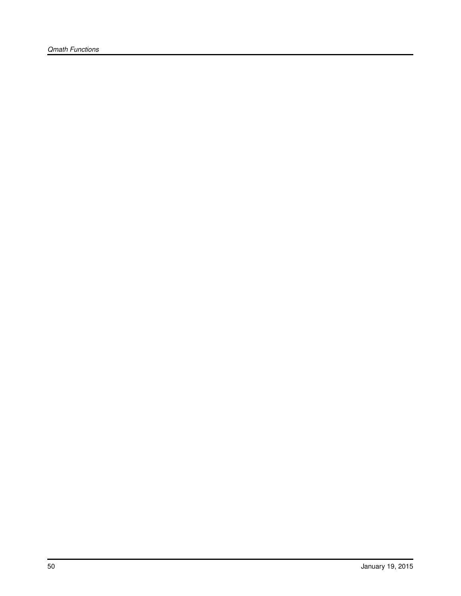*Qmath Functions*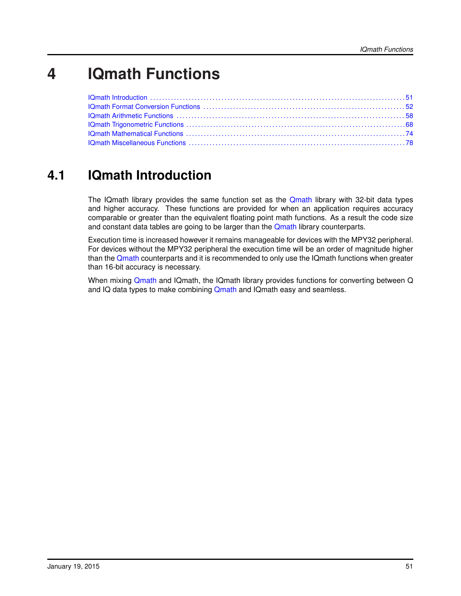# **4 IQmath Functions**

<span id="page-50-0"></span>

# <span id="page-50-1"></span>**4.1 IQmath Introduction**

The I[Qmath](#page-22-0) library provides the same function set as the Qmath library with 32-bit data types and higher accuracy. These functions are provided for when an application requires accuracy comparable or greater than the equivalent floating point math functions. As a result the code size and constant data tables are going to be larger than the [Qmath](#page-22-0) library counterparts.

Execution time is increased however it remains manageable for devices with the MPY32 peripheral. For devices without the MPY32 peripheral the execution time will be an order of magnitude higher than the [Qmath](#page-22-0) counterparts and it is recommended to only use the IQmath functions when greater than 16-bit accuracy is necessary.

When mixing [Qmath](#page-22-0) and IQmath, the IQmath library provides functions for converting between Q and IQ data types to make combining [Qmath](#page-22-0) and IQmath easy and seamless.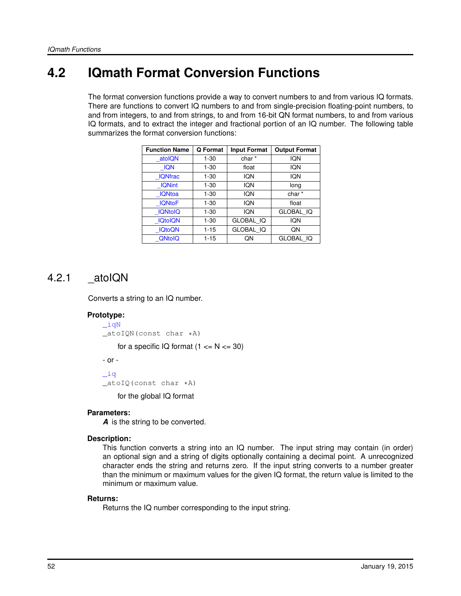# <span id="page-51-0"></span>**4.2 IQmath Format Conversion Functions**

The format conversion functions provide a way to convert numbers to and from various IQ formats. There are functions to convert IQ numbers to and from single-precision floating-point numbers, to and from integers, to and from strings, to and from 16-bit QN format numbers, to and from various IQ formats, and to extract the integer and fractional portion of an IQ number. The following table summarizes the format conversion functions:

| <b>Function Name</b> | Q Format | <b>Input Format</b> | <b>Output Format</b> |
|----------------------|----------|---------------------|----------------------|
| atoIQN               | $1 - 30$ | char <sup>*</sup>   | <b>IQN</b>           |
| <b>IQN</b>           | $1 - 30$ | float               | <b>IQN</b>           |
| <b>IQNfrac</b>       | $1 - 30$ | <b>IQN</b>          | <b>IQN</b>           |
| <b>IQNint</b>        | $1 - 30$ | <b>IQN</b>          | long                 |
| IQNtoa               | $1 - 30$ | <b>IQN</b>          | char <sup>*</sup>    |
| <b>IQNtoF</b>        | $1 - 30$ | <b>IQN</b>          | float                |
| <b>IQNtoIQ</b>       | $1 - 30$ | IQN                 | GLOBAL IQ            |
| <b>IQtoIQN</b>       | $1 - 30$ | GLOBAL IQ           | <b>IQN</b>           |
| <b>IQtoQN</b>        | $1 - 15$ | GLOBAL_IQ           | QN                   |
| <b>QNtolQ</b>        | $1 - 15$ | ΟN                  | GLOBAL IQ            |

### <span id="page-51-1"></span>4.2.1 atoIQN

Converts a string to an IQ number.

#### **Pro[totype](#page-8-0):**

```
_iqN
_atoIQN(const char *A)
```
for a specific IQ format  $(1 \leq N \leq 30)$ 

- or -

 $\overline{\phantom{a}}$  $\_atolQ$  (const char  $*A$ )

for the global IQ format

#### **Parameters:**

A is the string to be converted.

#### **Description:**

This function converts a string into an IQ number. The input string may contain (in order) an optional sign and a string of digits optionally containing a decimal point. A unrecognized character ends the string and returns zero. If the input string converts to a number greater than the minimum or maximum values for the given IQ format, the return value is limited to the minimum or maximum value.

#### <span id="page-51-2"></span>**Returns:**

Returns the IQ number corresponding to the input string.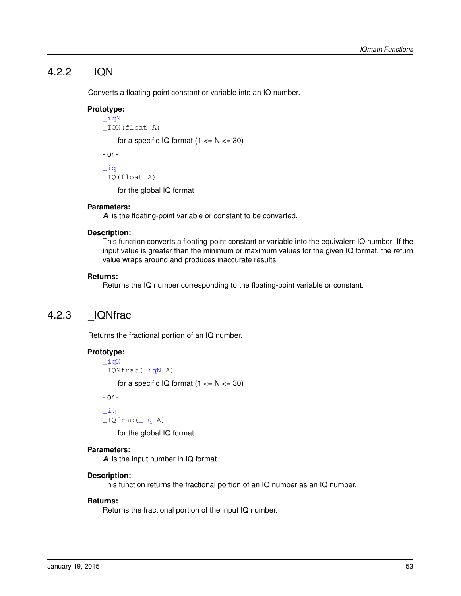### 4.2.2 **IQN**

Converts a floating-point constant or variable into an IQ number.

#### **Pro[totype](#page-8-0):**

```
-iqN_IQN(float A)
    for a specific IQ format (1 \le N \le 30)
```
- or -

 $\overline{\phantom{a}}$ \_IQ(float A)

for the global IQ format

#### **Parameters:**

*A* is the floating-point variable or constant to be converted.

#### **Description:**

This function converts a floating-point constant or variable into the equivalent IQ number. If the input value is greater than the minimum or maximum values for the given IQ format, the return value wraps around and produces inaccurate results.

#### **Returns:**

Returns the IQ number corresponding to the floating-point variable or constant.

### <span id="page-52-0"></span>4.2.3 \_IQNfrac

Returns the fractional portion of an IQ number.

#### **Pro[totype](#page-8-0):**

```
\overline{\phantom{a}}iqN
_IQNfrac(_iqN A)
      for a specific IQ format (1 \leq N \leq 30)- or -
\dot{\mathbf{i}}q
```
\_IQfrac[\(\\_iq](#page-8-0) A)

for the global IQ format

#### **Parameters:**

*A* is the input number in IQ format.

#### **Description:**

This function returns the fractional portion of an IQ number as an IQ number.

#### <span id="page-52-1"></span>**Returns:**

Returns the fractional portion of the input IQ number.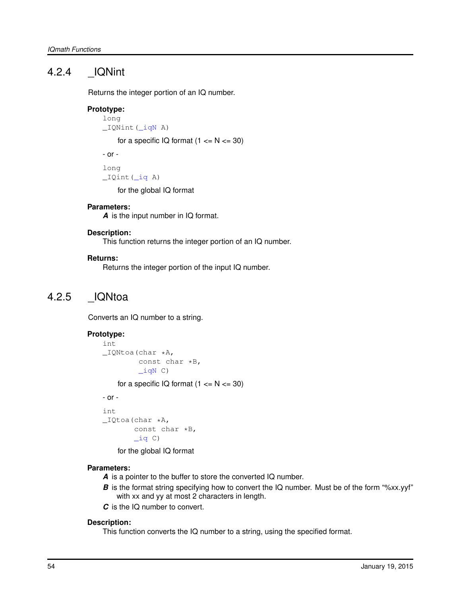### 4.2.4 \_IQNint

Returns the integer portion of an IQ number.

#### **Prototype:**

```
long
_IQNint(_iqN A)
    for a specific IQ format (1 \leq N \leq 30)
```
- or -

long \_IQint[\(\\_iq](#page-8-0) A)

for the global IQ format

#### **Parameters:**

*A* is the input number in IQ format.

#### **Description:**

This function returns the integer portion of an IQ number.

#### **Returns:**

Returns the integer portion of the input IQ number.

### <span id="page-53-0"></span>4.2.5 \_IQNtoa

Converts an IQ number to a string.

#### **Prototype:**

```
int
_IQNtoa(char *A,
        const char *B,
        _iqN C)
```
for a specific IQ format  $(1 \leq N \leq 30)$ 

```
- or -
int
_IIQtoa(char *A,
       const char *B,
       _iq C)
```
for the global IQ format

#### **Parameters:**

- *A* is a pointer to the buffer to store the converted IQ number.
- **B** is the format string specifying how to convert the IQ number. Must be of the form "%xx.yyf" with xx and yy at most 2 characters in length.
- *C* is the IQ number to convert.

#### **Description:**

This function converts the IQ number to a string, using the specified format.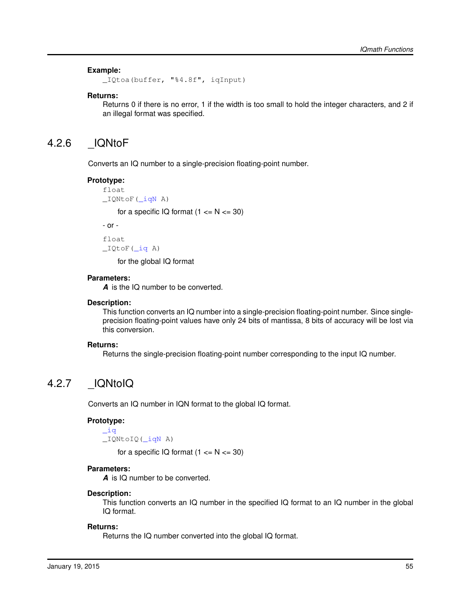#### **Example:**

```
_IQtoa(buffer, "%4.8f", iqInput)
```
#### **Returns:**

Returns 0 if there is no error, 1 if the width is too small to hold the integer characters, and 2 if an illegal format was specified.

### <span id="page-54-0"></span>4.2.6 \_IQNtoF

Converts an IQ number to a single-precision floating-point number.

#### **Prototype:**

```
float
_IQNtoF(_iqN A)
```
for a specific IQ format  $(1 \leq N \leq 30)$ 

- or -

```
float
_IQtoF(_iq A)
```
for the global IQ format

#### **Parameters:**

*A* is the IQ number to be converted.

#### **Description:**

This function converts an IQ number into a single-precision floating-point number. Since singleprecision floating-point values have only 24 bits of mantissa, 8 bits of accuracy will be lost via this conversion.

#### **Returns:**

Returns the single-precision floating-point number corresponding to the input IQ number.

### <span id="page-54-1"></span>4.2.7 \_IQNtoIQ

Converts an IQ number in IQN format to the global IQ format.

#### **Pro[totyp](#page-8-0)e:**

 $-iq$ \_IQNtoIQ[\(\\_iqN](#page-8-0) A)

for a specific IQ format  $(1 \leq N \leq 30)$ 

#### **Parameters:**

*A* is IQ number to be converted.

#### **Description:**

This function converts an IQ number in the specified IQ format to an IQ number in the global IQ format.

#### <span id="page-54-2"></span>**Returns:**

Returns the IQ number converted into the global IQ format.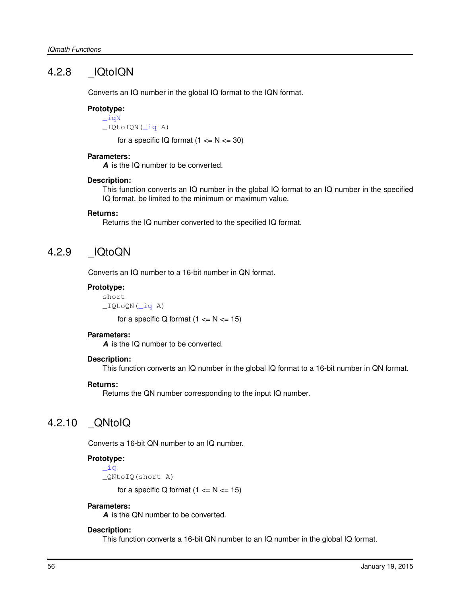### 4.2.8 \_IQtoIQN

Converts an IQ number in the global IQ format to the IQN format.

#### **Pro[totype](#page-8-0):**

 $\overline{\phantom{a}}$ iqN \_IQtoIQN[\(\\_iq](#page-8-0) A)

for a specific IQ format  $(1 \leq N \leq 30)$ 

#### **Parameters:**

*A* is the IQ number to be converted.

#### **Description:**

This function converts an IQ number in the global IQ format to an IQ number in the specified IQ format. be limited to the minimum or maximum value.

#### **Returns:**

Returns the IQ number converted to the specified IQ format.

### <span id="page-55-0"></span>4.2.9 **IQtoQN**

Converts an IQ number to a 16-bit number in QN format.

#### **Prototype:**

short \_IQtoQN[\(\\_iq](#page-8-0) A)

for a specific Q format  $(1 \le -N \le -15)$ 

#### **Parameters:**

A is the IQ number to be converted.

#### **Description:**

This function converts an IQ number in the global IQ format to a 16-bit number in QN format.

#### **Returns:**

Returns the QN number corresponding to the input IQ number.

### <span id="page-55-1"></span>4.2.10 \_QNtoIQ

Converts a 16-bit QN number to an IQ number.

#### **Pro[totyp](#page-8-0)e:**

 $\overline{\phantom{a}}$ \_QNtoIQ(short A)

for a specific Q format  $(1 \leq N \leq 15)$ 

#### **Parameters:**

*A* is the QN number to be converted.

#### **Description:**

This function converts a 16-bit QN number to an IQ number in the global IQ format.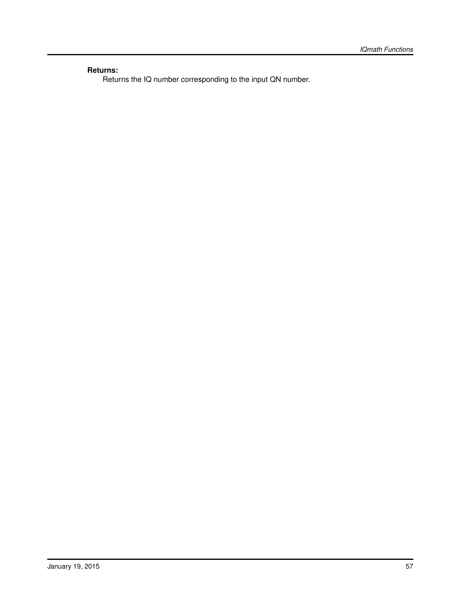#### **Returns:**

Returns the IQ number corresponding to the input QN number.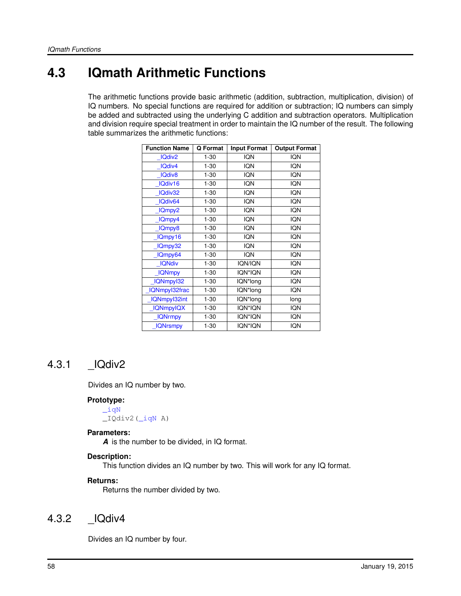# <span id="page-57-0"></span>**4.3 IQmath Arithmetic Functions**

The arithmetic functions provide basic arithmetic (addition, subtraction, multiplication, division) of IQ numbers. No special functions are required for addition or subtraction; IQ numbers can simply be added and subtracted using the underlying C addition and subtraction operators. Multiplication and division require special treatment in order to maintain the IQ number of the result. The following table summarizes the arithmetic functions:

| <b>Function Name</b> | Q Format | <b>Input Format</b> | <b>Output Format</b> |
|----------------------|----------|---------------------|----------------------|
| IQdiv <sub>2</sub>   | $1 - 30$ | <b>IQN</b>          | <b>IQN</b>           |
| IQdiv4               | $1 - 30$ | <b>IQN</b>          | <b>IQN</b>           |
| <b>IQdiv8</b>        | $1 - 30$ | <b>IQN</b>          | <b>IQN</b>           |
| IQdiv16              | $1 - 30$ | <b>IQN</b>          | <b>IQN</b>           |
| IQdiv32              | $1 - 30$ | <b>IQN</b>          | <b>IQN</b>           |
| IQdiv64              | $1 - 30$ | <b>IQN</b>          | <b>IQN</b>           |
| IQmpy2               | $1 - 30$ | <b>IQN</b>          | <b>IQN</b>           |
| IQmpy4               | $1 - 30$ | <b>IQN</b>          | <b>IQN</b>           |
| <b>IQmpy8</b>        | $1 - 30$ | <b>IQN</b>          | <b>IQN</b>           |
| IQmpy16              | $1 - 30$ | <b>IQN</b>          | <b>IQN</b>           |
| IQmpy32              | $1 - 30$ | <b>IQN</b>          | <b>IQN</b>           |
| IQmpy64              | $1 - 30$ | <b>IQN</b>          | <b>IQN</b>           |
| <b>IQNdiv</b>        | $1 - 30$ | IQN/IQN             | <b>IQN</b>           |
| <b>IQNmpy</b>        | $1 - 30$ | IQN*IQN             | <b>IQN</b>           |
| IQNmpyI32            | $1 - 30$ | IQN*long            | <b>IQN</b>           |
| IQNmpyI32frac        | $1 - 30$ | IQN*long            | <b>IQN</b>           |
| IQNmpyI32int         | $1 - 30$ | IQN*lona            | long                 |
| <b>IQNmpyIQX</b>     | $1 - 30$ | IQN*IQN             | <b>IQN</b>           |
| <b>IQNrmpy</b>       | $1 - 30$ | IQN*IQN             | <b>IQN</b>           |
| <b>IQNrsmpy</b>      | $1 - 30$ | IQN*IQN             | <b>IQN</b>           |

### <span id="page-57-1"></span>4.3.1 \_IQdiv2

Divides an IQ number by two.

#### **Pro[totype](#page-8-0):**

\_iqN \_IQdiv2[\(\\_iqN](#page-8-0) A)

#### **Parameters:**

*A* is the number to be divided, in IQ format.

#### **Description:**

This function divides an IQ number by two. This will work for any IQ format.

#### **Returns:**

Returns the number divided by two.

### <span id="page-57-2"></span>4.3.2 \_IQdiv4

Divides an IQ number by four.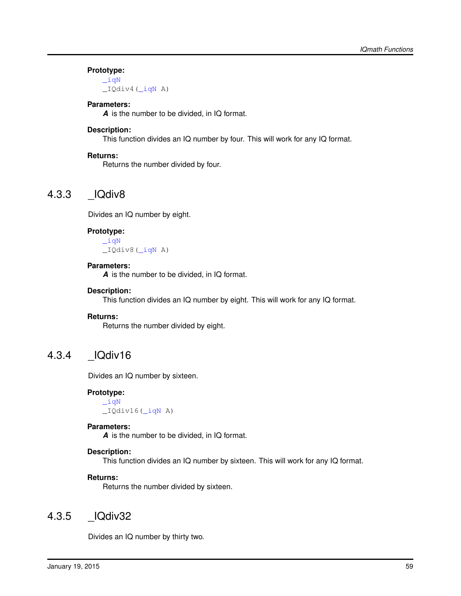\_iqN  $_I$ Qdiv4( $_I$ iqN A)

#### **Parameters:**

*A* is the number to be divided, in IQ format.

#### **Description:**

This function divides an IQ number by four. This will work for any IQ format.

#### **Returns:**

Returns the number divided by four.

### <span id="page-58-0"></span>4.3.3 \_IQdiv8

Divides an IQ number by eight.

#### **Pro[totype](#page-8-0):**

\_iqN \_IQdiv8[\(\\_iqN](#page-8-0) A)

#### **Parameters:**

*A* is the number to be divided, in IQ format.

#### **Description:**

This function divides an IQ number by eight. This will work for any IQ format.

#### **Returns:**

Returns the number divided by eight.

### <span id="page-58-1"></span>4.3.4 \_IQdiv16

Divides an IQ number by sixteen.

#### **Pro[totype](#page-8-0):**

\_iqN \_IQdiv16[\(\\_iqN](#page-8-0) A)

#### **Parameters:**

*A* is the number to be divided, in IQ format.

#### **Description:**

This function divides an IQ number by sixteen. This will work for any IQ format.

#### **Returns:**

Returns the number divided by sixteen.

### <span id="page-58-2"></span>4.3.5 \_IQdiv32

Divides an IQ number by thirty two.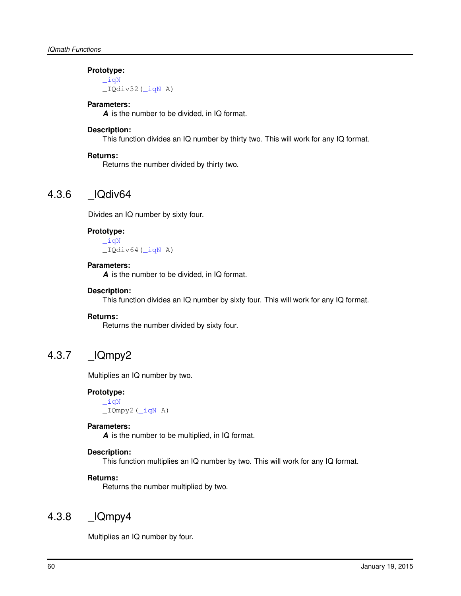\_iqN  $_I$ Qdiv32( $_I$ iqN A)

#### **Parameters:**

*A* is the number to be divided, in IQ format.

#### **Description:**

This function divides an IQ number by thirty two. This will work for any IQ format.

#### **Returns:**

Returns the number divided by thirty two.

### <span id="page-59-0"></span>4.3.6 \_IQdiv64

Divides an IQ number by sixty four.

#### **Pro[totype](#page-8-0):**

 $_i$ qN  $_I$ Qdiv64( $_I$ iqN A)

#### **Parameters:**

*A* is the number to be divided, in IQ format.

#### **Description:**

This function divides an IQ number by sixty four. This will work for any IQ format.

#### **Returns:**

Returns the number divided by sixty four.

### <span id="page-59-1"></span>4.3.7 \_IQmpy2

Multiplies an IQ number by two.

#### **Pro[totype](#page-8-0):**

\_iqN  $L$ IQmpy2( $L$ iqN A)

#### **Parameters:**

*A* is the number to be multiplied, in IQ format.

#### **Description:**

This function multiplies an IQ number by two. This will work for any IQ format.

#### **Returns:**

Returns the number multiplied by two.

### <span id="page-59-2"></span>4.3.8 \_IQmpy4

Multiplies an IQ number by four.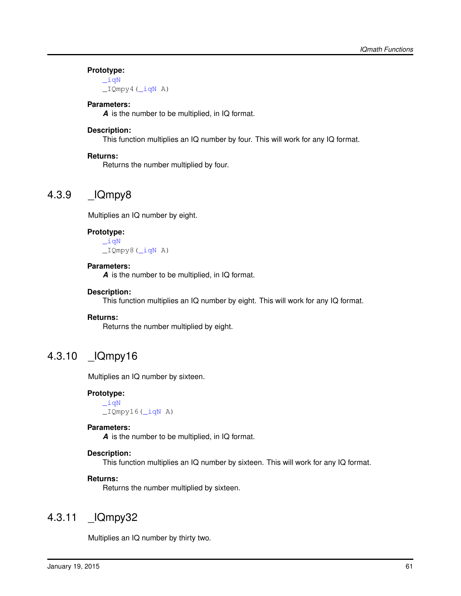\_iqN  $L$ IQmpy4( $L$ iqN A)

#### **Parameters:**

*A* is the number to be multiplied, in IQ format.

#### **Description:**

This function multiplies an IQ number by four. This will work for any IQ format.

#### **Returns:**

Returns the number multiplied by four.

### <span id="page-60-0"></span>4.3.9 \_IQmpy8

Multiplies an IQ number by eight.

#### **Pro[totype](#page-8-0):**

 $_i$ qN  $L$ IQmpy8( $L$ iqN A)

#### **Parameters:**

*A* is the number to be multiplied, in IQ format.

#### **Description:**

This function multiplies an IQ number by eight. This will work for any IQ format.

#### **Returns:**

Returns the number multiplied by eight.

### <span id="page-60-1"></span>4.3.10 \_IQmpy16

Multiplies an IQ number by sixteen.

#### **Pro[totype](#page-8-0):**

 $\angle$ iqN  $L$ IQmpy16( $L$ iqN A)

#### **Parameters:**

*A* is the number to be multiplied, in IQ format.

#### **Description:**

This function multiplies an IQ number by sixteen. This will work for any IQ format.

#### **Returns:**

Returns the number multiplied by sixteen.

### <span id="page-60-2"></span>4.3.11 \_IQmpy32

Multiplies an IQ number by thirty two.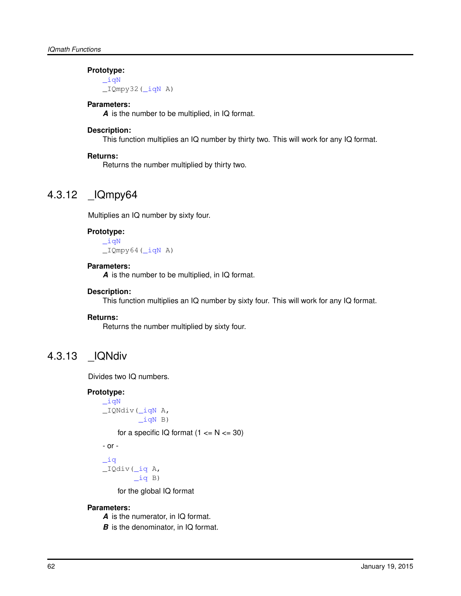\_iqN  $L$ IQmpy32( $L$ iqN A)

#### **Parameters:**

*A* is the number to be multiplied, in IQ format.

#### **Description:**

This function multiplies an IQ number by thirty two. This will work for any IQ format.

#### **Returns:**

Returns the number multiplied by thirty two.

### <span id="page-61-0"></span>4.3.12 \_IQmpy64

Multiplies an IQ number by sixty four.

#### **Pro[totype](#page-8-0):**

\_iqN \_IQmpy64[\(\\_iqN](#page-8-0) A)

#### **Parameters:**

*A* is the number to be multiplied, in IQ format.

#### **Description:**

This function multiplies an IQ number by sixty four. This will work for any IQ format.

#### **Returns:**

Returns the number multiplied by sixty four.

### <span id="page-61-1"></span>4.3.13 \_IQNdiv

Divides two IQ numbers.

#### **Pro[totype](#page-8-0):**

```
_iqN
_IQNdiv(_iqN A,
        (iqN B)
```
for a specific IQ format  $(1 \leq N \leq 30)$ 

```
- or -
-iq_IQdiv(_iq A,
        _iq B)
```
for the global IQ format

#### **Parameters:**

*A* is the numerator, in IQ format.

*B* is the denominator, in IQ format.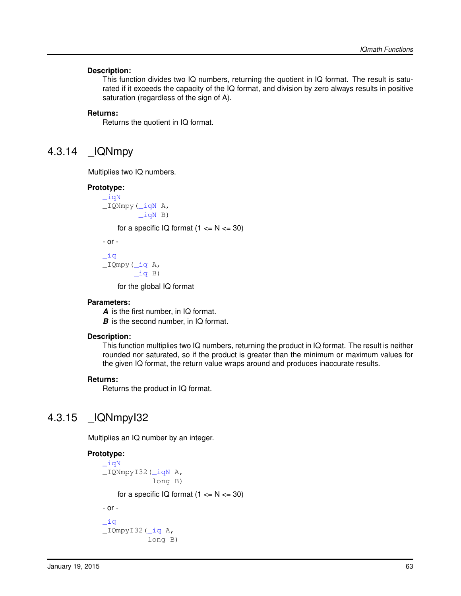#### **Description:**

This function divides two IQ numbers, returning the quotient in IQ format. The result is saturated if it exceeds the capacity of the IQ format, and division by zero always results in positive saturation (regardless of the sign of A).

#### **Returns:**

Returns the quotient in IQ format.

### <span id="page-62-0"></span>4.3.14 \_IQNmpy

Multiplies two IQ numbers.

#### **Pro[totype](#page-8-0):**

```
_iqN
_IQNmpy(_iqN A,
        (iqN B)
```
for a specific IQ format  $(1 \leq N \leq 30)$ 

- or -

 $\overline{\phantom{a}}$ \_IQmpy[\(\\_iq](#page-8-0) A,  $_i$ q B)

for the global IQ format

#### **Parameters:**

*A* is the first number, in IQ format.

*B* is the second number, in IQ format.

#### **Description:**

This function multiplies two IQ numbers, returning the product in IQ format. The result is neither rounded nor saturated, so if the product is greater than the minimum or maximum values for the given IQ format, the return value wraps around and produces inaccurate results.

#### **Returns:**

Returns the product in IQ format.

### <span id="page-62-1"></span>4.3.15 \_IQNmpyI32

Multiplies an IQ number by an integer.

#### **Pro[totype](#page-8-0):**

```
_iqN
_IQNmpyI32(_iqN A,
             long B)
    for a specific IQ format (1 \leq N \leq 30)- or -
_iq
LIQmpyI32(Liq A,
            long B)
```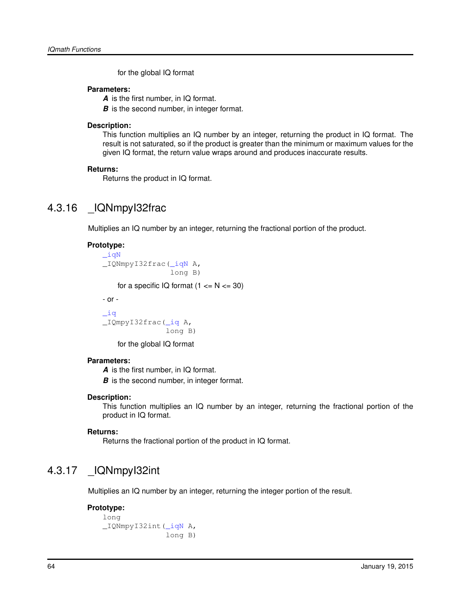for the global IQ format

#### **Parameters:**

*A* is the first number, in IQ format.

*B* is the second number, in integer format.

#### **Description:**

This function multiplies an IQ number by an integer, returning the product in IQ format. The result is not saturated, so if the product is greater than the minimum or maximum values for the given IQ format, the return value wraps around and produces inaccurate results.

#### **Returns:**

Returns the product in IQ format.

### <span id="page-63-0"></span>4.3.16 \_IQNmpyI32frac

Multiplies an IQ number by an integer, returning the fractional portion of the product.

#### **Pro[totype](#page-8-0):**

```
_iqN_IQNmpyI32frac(_iqN A,
               long B)
```
for a specific IQ format  $(1 \le N \le 30)$ 

- or -

```
\_iq
_IQmpyI32frac(_iq A,
               long B)
```
for the global IQ format

#### **Parameters:**

*A* is the first number, in IQ format.

*B* is the second number, in integer format.

#### **Description:**

This function multiplies an IQ number by an integer, returning the fractional portion of the product in IQ format.

#### **Returns:**

Returns the fractional portion of the product in IQ format.

### <span id="page-63-1"></span>4.3.17 \_IQNmpyI32int

Multiplies an IQ number by an integer, returning the integer portion of the result.

#### **Prototype:**

```
long
_IQNmpyI32int(_iqN A,
               long B)
```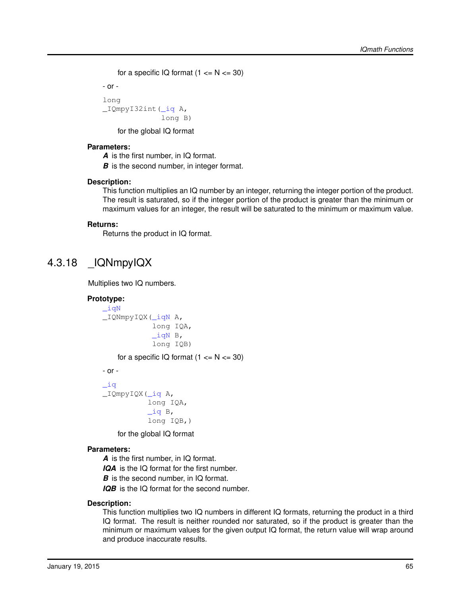for a specific IQ format  $(1 \leq N \leq 30)$ 

```
- or -
long
_IQmpyI32int(_iq A,
               long B)
```
for the global IQ format

#### **Parameters:**

*A* is the first number, in IQ format.

*B* is the second number, in integer format.

#### **Description:**

This function multiplies an IQ number by an integer, returning the integer portion of the product. The result is saturated, so if the integer portion of the product is greater than the minimum or maximum values for an integer, the result will be saturated to the minimum or maximum value.

#### **Returns:**

Returns the product in IQ format.

### <span id="page-64-0"></span>4.3.18 \_IQNmpyIQX

Multiplies two IQ numbers.

#### **Pro[totype](#page-8-0):**

```
iqN
_IQNmpyIQX(_iqN A,
           long IQA,
           _iiqN B,
           long IQB)
```
for a specific IQ format  $(1 \leq N \leq 30)$ 

```
- or -
-iq_IQmpyIQX(_iq A,
           long IQA,
           _iq B,
           long IQB,)
```
for the global IQ format

#### **Parameters:**

*A* is the first number, in IQ format.

*IQA* is the IQ format for the first number.

*B* is the second number, in IQ format.

*IQB* is the IQ format for the second number.

#### **Description:**

This function multiplies two IQ numbers in different IQ formats, returning the product in a third IQ format. The result is neither rounded nor saturated, so if the product is greater than the minimum or maximum values for the given output IQ format, the return value will wrap around and produce inaccurate results.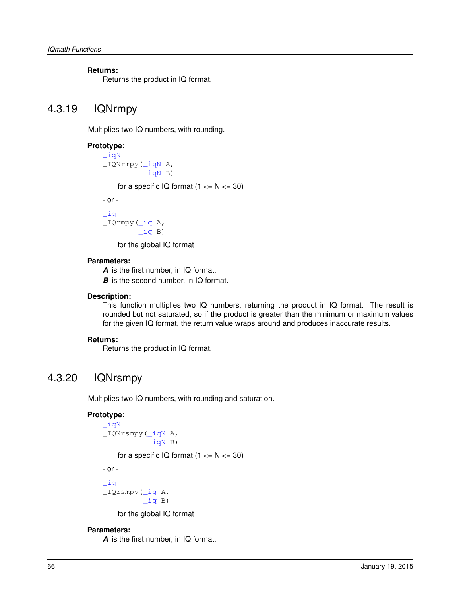#### **Returns:**

Returns the product in IQ format.

### <span id="page-65-0"></span>4.3.19 \_IQNrmpy

Multiplies two IQ numbers, with rounding.

#### **Pro[totype](#page-8-0):**

```
_i<sup>iqN</sup>
_IQNrmpy(_iqN A,
             _iqN B)
```
for a specific IQ format  $(1 \leq N \leq 30)$ 

- or -  $\overline{\mathfrak{a}}$ \_IQrmpy[\(\\_iq](#page-8-0) A,

```
_iq B)
```
for the global IQ format

#### **Parameters:**

*A* is the first number, in IQ format.

*B* is the second number, in IQ format.

#### **Description:**

This function multiplies two IQ numbers, returning the product in IQ format. The result is rounded but not saturated, so if the product is greater than the minimum or maximum values for the given IQ format, the return value wraps around and produces inaccurate results.

#### **Returns:**

Returns the product in IQ format.

### <span id="page-65-1"></span>4.3.20 \_IQNrsmpy

Multiplies two IQ numbers, with rounding and saturation.

#### **Pro[totype](#page-8-0):**

```
_i<sup>iqN</sup>
_IQNrsmpy(_iqN A,
              _iqN B)
```
for a specific IQ format  $(1 \leq N \leq 30)$ 

- or -

 $\dot{\alpha}$ \_IQrsmpy[\(\\_iq](#page-8-0) A,  $_iq$  B)

for the global IQ format

#### **Parameters:**

*A* is the first number, in IQ format.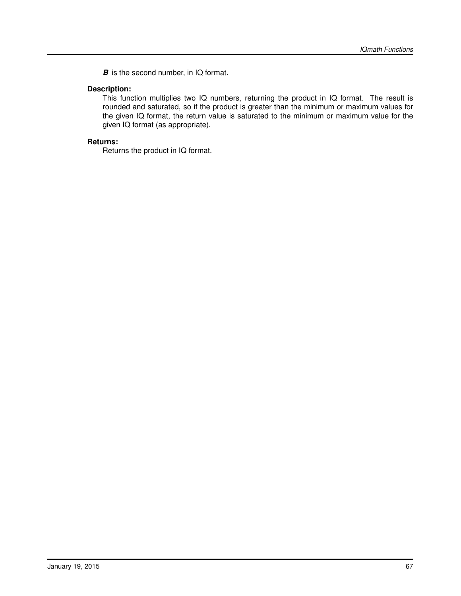*B* is the second number, in IQ format.

#### **Description:**

This function multiplies two IQ numbers, returning the product in IQ format. The result is rounded and saturated, so if the product is greater than the minimum or maximum values for the given IQ format, the return value is saturated to the minimum or maximum value for the given IQ format (as appropriate).

#### **Returns:**

Returns the product in IQ format.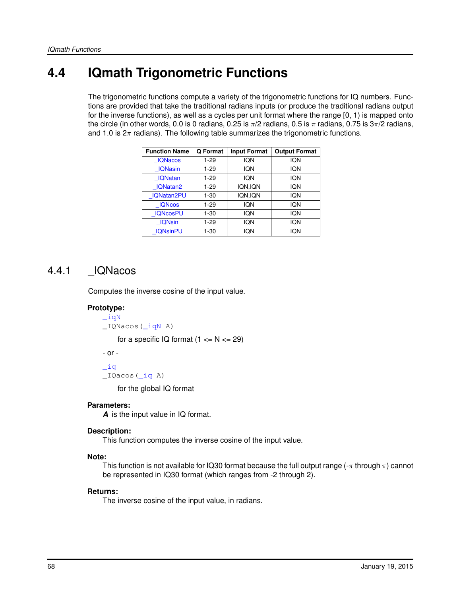# <span id="page-67-0"></span>**4.4 IQmath Trigonometric Functions**

The trigonometric functions compute a variety of the trigonometric functions for IQ numbers. Functions are provided that take the traditional radians inputs (or produce the traditional radians output for the inverse functions), as well as a cycles per unit format where the range [0, 1) is mapped onto the circle (in other words, 0.0 is 0 radians, 0.25 is  $\pi/2$  radians, 0.5 is  $\pi$  radians, 0.75 is  $3\pi/2$  radians, and 1.0 is  $2\pi$  radians). The following table summarizes the trigonometric functions.

| <b>Function Name</b> | Q Format | <b>Input Format</b> | <b>Output Format</b> |
|----------------------|----------|---------------------|----------------------|
| <b>IQNacos</b>       | $1 - 29$ | <b>IQN</b>          | <b>IQN</b>           |
| <b>IQNasin</b>       | $1 - 29$ | IQN                 | <b>IQN</b>           |
| <b>IQNatan</b>       | $1 - 29$ | <b>ION</b>          | <b>IQN</b>           |
| <b>IQNatan2</b>      | $1 - 29$ | IQN,IQN             | <b>IQN</b>           |
| <b>IQNatan2PU</b>    | $1 - 30$ | IQN,IQN             | <b>IQN</b>           |
| <b>IQNcos</b>        | $1 - 29$ | IQN                 | <b>IQN</b>           |
| <b>IQNcosPU</b>      | $1 - 30$ | <b>IQN</b>          | <b>IQN</b>           |
| <b>IQNsin</b>        | $1 - 29$ | <b>IQN</b>          | <b>IQN</b>           |
| <b>IQNsinPU</b>      | $1 - 30$ | IQN                 | <b>IQN</b>           |

### <span id="page-67-1"></span>4.4.1 \_IQNacos

Computes the inverse cosine of the input value.

#### **Pro[totype](#page-8-0):**

```
-iqN_IQNacos(_iqN A)
```
for a specific IQ format  $(1 \leq N \leq 29)$ 

#### - or -

 $\overline{\phantom{a}}$ iq \_IQacos[\(\\_iq](#page-8-0) A)

for the global IQ format

#### **Parameters:**

*A* is the input value in IQ format.

#### **Description:**

This function computes the inverse cosine of the input value.

#### **Note:**

This function is not available for IQ30 format because the full output range ( $-\pi$  through  $\pi$ ) cannot be represented in IQ30 format (which ranges from -2 through 2).

#### <span id="page-67-2"></span>**Returns:**

The inverse cosine of the input value, in radians.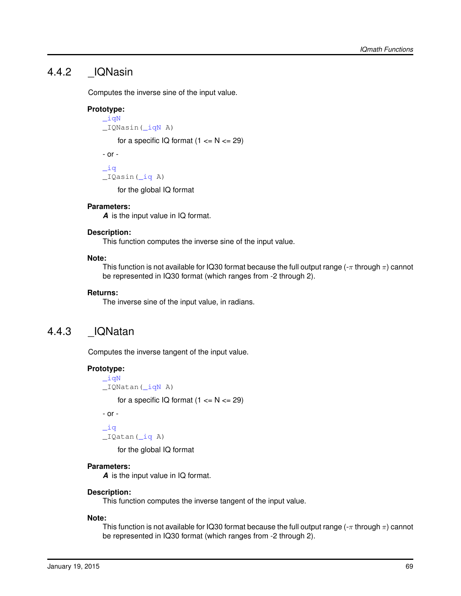### 4.4.2 \_IQNasin

Computes the inverse sine of the input value.

#### **Pro[totype](#page-8-0):**

```
_iqN
_IQNasin(_iqN A)
    for a specific IQ format (1 \leq N \leq 29)
```
- or -

 $\overline{\mathbf{u}}$ \_IQasin[\(\\_iq](#page-8-0) A)

for the global IQ format

#### **Parameters:**

*A* is the input value in IQ format.

#### **Description:**

This function computes the inverse sine of the input value.

#### **Note:**

This function is not available for IQ30 format because the full output range ( $-\pi$  through  $\pi$ ) cannot be represented in IQ30 format (which ranges from -2 through 2).

#### **Returns:**

The inverse sine of the input value, in radians.

### <span id="page-68-0"></span>4.4.3 \_IQNatan

Computes the inverse tangent of the input value.

#### **Pro[totype](#page-8-0):**

```
\overline{\phantom{a}}iqN
_IQNatan(_iqN A)
```
for a specific IQ format  $(1 \leq N \leq 29)$ 

- or -

```
_iq
_IQatan(_iq A)
```
for the global IQ format

#### **Parameters:**

*A* is the input value in IQ format.

#### **Description:**

This function computes the inverse tangent of the input value.

#### **Note:**

This function is not available for IQ30 format because the full output range ( $-\pi$  through  $\pi$ ) cannot be represented in IQ30 format (which ranges from -2 through 2).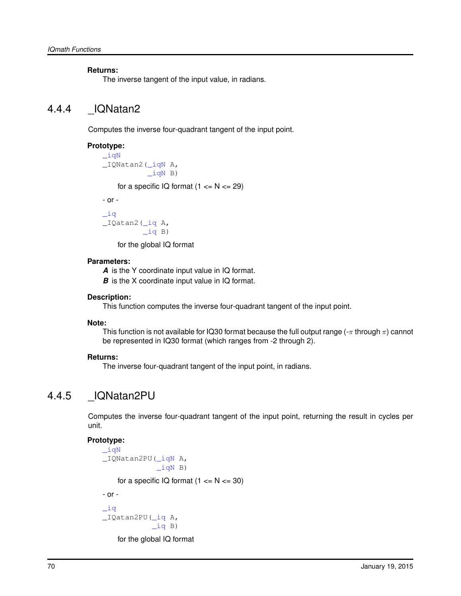#### **Returns:**

The inverse tangent of the input value, in radians.

### <span id="page-69-0"></span>4.4.4 \_IQNatan2

Computes the inverse four-quadrant tangent of the input point.

#### **Pro[totype](#page-8-0):**

```
_i<sup>iqN</sup>
_IQNatan2(_iqN A,
                 \_\text{iqN} B)
```
for a specific IQ format  $(1 \le N \le 29)$ 

- or -  $\overline{\square}$ iq \_IQatan2[\(\\_iq](#page-8-0) A,  $\_\text{iq}$  B)

for the global IQ format

#### **Parameters:**

**A** is the Y coordinate input value in IQ format. *B* is the X coordinate input value in IQ format.

#### **Description:**

This function computes the inverse four-quadrant tangent of the input point.

#### **Note:**

This function is not available for IQ30 format because the full output range ( $-\pi$  through  $\pi$ ) cannot be represented in IQ30 format (which ranges from -2 through 2).

#### **Returns:**

The inverse four-quadrant tangent of the input point, in radians.

### <span id="page-69-1"></span>4.4.5 \_IQNatan2PU

Computes the inverse four-quadrant tangent of the input point, returning the result in cycles per unit.

#### **Pro[totype](#page-8-0):**

```
_i<sup>iqN</sup>
_IQNatan2PU(_iqN A,
                   \angleiqN B)
```
for a specific IQ format  $(1 \leq N \leq 30)$ 

- or - [\\_iq](#page-8-0) \_IQatan2PU[\(\\_iq](#page-8-0) A,  $\_\text{iq}$  B)

for the global IQ format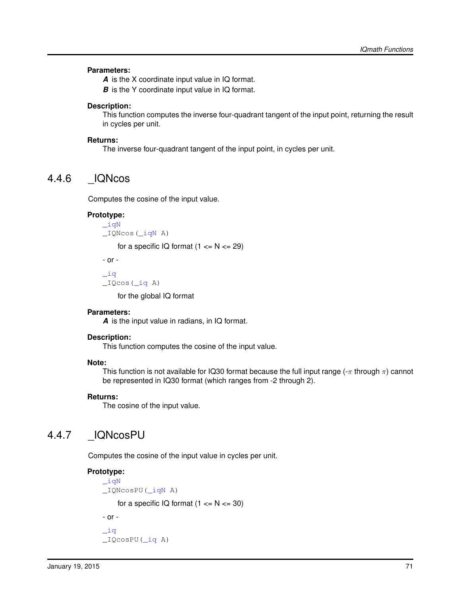#### **Parameters:**

**A** is the X coordinate input value in IQ format.

*B* is the Y coordinate input value in IQ format.

#### **Description:**

This function computes the inverse four-quadrant tangent of the input point, returning the result in cycles per unit.

#### **Returns:**

The inverse four-quadrant tangent of the input point, in cycles per unit.

### <span id="page-70-0"></span>4.4.6 \_IQNcos

Computes the cosine of the input value.

#### **Pro[totype](#page-8-0):**

```
\angleiqN
_IQNcos(_iqN A)
```
for a specific IQ format  $(1 \leq N \leq 29)$ 

- or -  $\overline{\phantom{a}}$ \_IQcos[\(\\_iq](#page-8-0) A)

for the global IQ format

#### **Parameters:**

*A* is the input value in radians, in IQ format.

#### **Description:**

This function computes the cosine of the input value.

#### **Note:**

This function is not available for IQ30 format because the full input range ( $-\pi$  through  $\pi$ ) cannot be represented in IQ30 format (which ranges from -2 through 2).

#### **Returns:**

The cosine of the input value.

### <span id="page-70-1"></span>4.4.7 \_IQNcosPU

Computes the cosine of the input value in cycles per unit.

#### **Pro[totype](#page-8-0):**

```
_iqN
_IQNcosPU(_iqN A)
```
for a specific IQ format  $(1 \leq N \leq 30)$ 

- or -

 $i$ q \_IQcosPU[\(\\_iq](#page-8-0) A)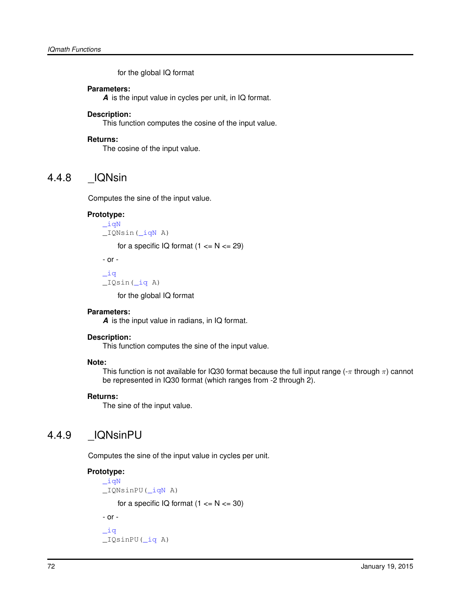for the global IQ format

#### **Parameters:**

*A* is the input value in cycles per unit, in IQ format.

#### **Description:**

This function computes the cosine of the input value.

#### **Returns:**

The cosine of the input value.

### <span id="page-71-0"></span>4.4.8 \_IQNsin

Computes the sine of the input value.

#### **Pro[totype](#page-8-0):**

```
_i<sup>iqN</sup>
_IQNsin(_iqN A)
```
for a specific IQ format  $(1 \leq N \leq 29)$ 

- or -

 $\overline{\phantom{a}}$ \_IQsin[\(\\_iq](#page-8-0) A)

for the global IQ format

#### **Parameters:**

*A* is the input value in radians, in IQ format.

#### **Description:**

This function computes the sine of the input value.

#### **Note:**

This function is not available for IQ30 format because the full input range ( $-\pi$  through  $\pi$ ) cannot be represented in IQ30 format (which ranges from -2 through 2).

#### **Returns:**

The sine of the input value.

### <span id="page-71-1"></span>4.4.9 \_IQNsinPU

Computes the sine of the input value in cycles per unit.

#### **Pro[totype](#page-8-0):**

```
_i<sup>iqN</sup>
_IQNsinPU(_iqN A)
```
for a specific IQ format  $(1 \leq N \leq 30)$ 

- or - [\\_iq](#page-8-0)

\_IQsinPU[\(\\_iq](#page-8-0) A)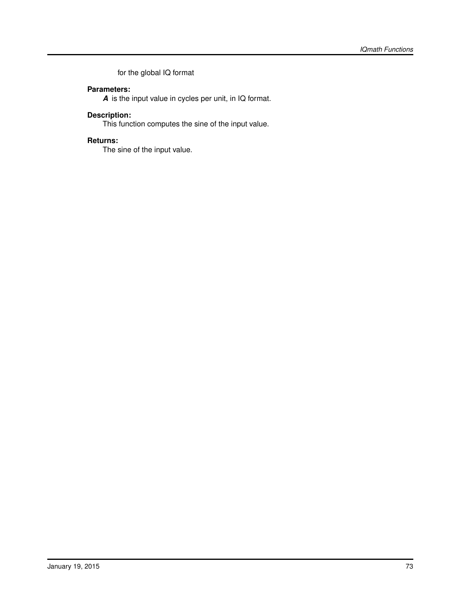for the global IQ format

### **Parameters:**

*A* is the input value in cycles per unit, in IQ format.

### **Description:**

This function computes the sine of the input value.

### **Returns:**

The sine of the input value.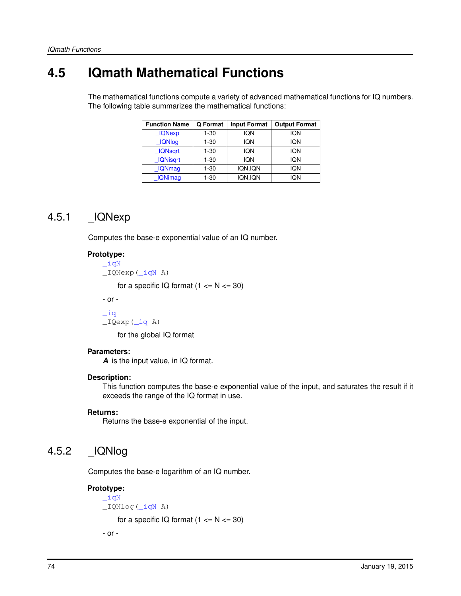## **4.5 IQmath Mathematical Functions**

The mathematical functions compute a variety of advanced mathematical functions for IQ numbers. The following table summarizes the mathematical functions:

| <b>Function Name</b> | Q Format | <b>Input Format</b> | <b>Output Format</b> |
|----------------------|----------|---------------------|----------------------|
| <b>IQNexp</b>        | $1 - 30$ | ION                 | <b>IQN</b>           |
| <b>IQNIog</b>        | $1 - 30$ | ION                 | ION                  |
| <b>IQNsqrt</b>       | $1 - 30$ | ION                 | ION                  |
| <b>IQNisgrt</b>      | $1 - 30$ | ION                 | ION                  |
| <b>IQNmag</b>        | $1 - 30$ | IQN,IQN             | <b>IQN</b>           |
| <b>IQNimag</b>       | $1 - 30$ | IQN,IQN             | ION                  |

### <span id="page-73-0"></span>4.5.1 \_IQNexp

Computes the base-e exponential value of an IQ number.

### **Pro[totype](#page-8-0):**

```
\overline{\phantom{a}}iqN
_IQNexp(_iqN A)
```
for a specific IQ format  $(1 \leq N \leq 30)$ 

- or -  $-iq$ 

\_IQexp[\(\\_iq](#page-8-0) A)

for the global IQ format

### **Parameters:**

*A* is the input value, in IQ format.

### **Description:**

This function computes the base-e exponential value of the input, and saturates the result if it exceeds the range of the IQ format in use.

### **Returns:**

Returns the base-e exponential of the input.

### <span id="page-73-1"></span>4.5.2 \_IQNlog

Computes the base-e logarithm of an IQ number.

### **Pro[totype](#page-8-0):**

```
\angle iqN
_IQNlog(_iqN A)
     for a specific IQ format (1 \leq N \leq 30)- or -
```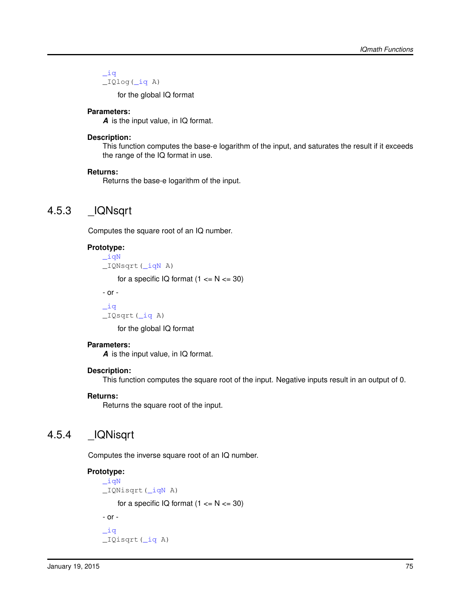$\overline{\phantom{a}}$ iq \_IQlog[\(\\_iq](#page-8-0) A)

for the global IQ format

### **Parameters:**

*A* is the input value, in IQ format.

#### **Description:**

This function computes the base-e logarithm of the input, and saturates the result if it exceeds the range of the IQ format in use.

#### **Returns:**

Returns the base-e logarithm of the input.

### <span id="page-74-0"></span>4.5.3 \_IQNsqrt

Computes the square root of an IQ number.

### **Pro[totype](#page-8-0):**

```
_iqN_IQNsqrt(_iqN A)
```
for a specific IQ format  $(1 \leq N \leq 30)$ 

- or -

[\\_iq](#page-8-0) \_IQsqrt[\(\\_iq](#page-8-0) A)

for the global IQ format

#### **Parameters:**

*A* is the input value, in IQ format.

#### **Description:**

This function computes the square root of the input. Negative inputs result in an output of 0.

### **Returns:**

Returns the square root of the input.

### <span id="page-74-1"></span>4.5.4 \_IQNisqrt

Computes the inverse square root of an IQ number.

### **Pro[totype](#page-8-0):**

```
_iqN
_IQNisqrt(_iqN A)
    for a specific IQ format (1 \leq N \leq 30)
```

```
- or -
\dot{\mathbf{i}}q
_IQisqrt(_iq A)
```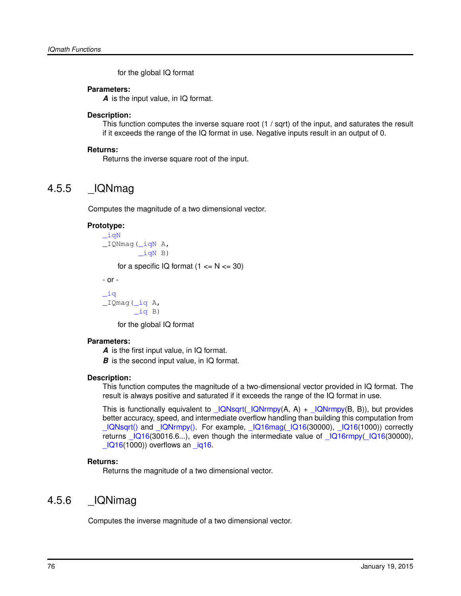for the global IQ format

#### **Parameters:**

*A* is the input value, in IQ format.

### **Description:**

This function computes the inverse square root (1 / sqrt) of the input, and saturates the result if it exceeds the range of the IQ format in use. Negative inputs result in an output of 0.

### **Returns:**

Returns the inverse square root of the input.

### <span id="page-75-0"></span>4.5.5 \_IQNmag

Computes the magnitude of a two dimensional vector.

#### **Pro[totype](#page-8-0):**

```
_iqN
_IQNmag(_iqN A,
        (iqN B)
```
for a specific IQ format  $(1 \le N \le 30)$ 

- or -

[\\_iq](#page-8-0)  $\_I$ Qmag( $\_iq$  A, [\\_iq](#page-8-0) B)

for the global IQ format

### **Parameters:**

**A** is the first input value, in IQ format.

*B* is the second input value, in IQ format.

### **Description:**

This function computes the magnitude of a two-dimensional vector provided in IQ format. The result is always positive and saturated if it exceeds the range of the IQ format in use.

This is functionally equivalent to  $\Box QNsqrt(\Box QNrmpy(A, A) + \Box QNrmpy(B, B))$ , but provides better accuracy, speed, and intermediate overflow handling than building this computation from [\\_IQNsqrt\(\)](#page-74-0) and [\\_IQNrmpy\(\).](#page-65-0) For example, [\\_IQ16mag](#page-75-0)[\(\\_IQ16\(](#page-51-0)30000), [\\_IQ16\(](#page-51-0)1000)) correctly returns  $IQ16(30016.6...)$ , even though the intermediate value of  $IQ16rmpy(IQ16(30000),$  $IQ16(1000)$ ) overflows an  $iq16$ .

### **Returns:**

Returns the magnitude of a two dimensional vector.

### <span id="page-75-1"></span>4.5.6 \_IQNimag

Computes the inverse magnitude of a two dimensional vector.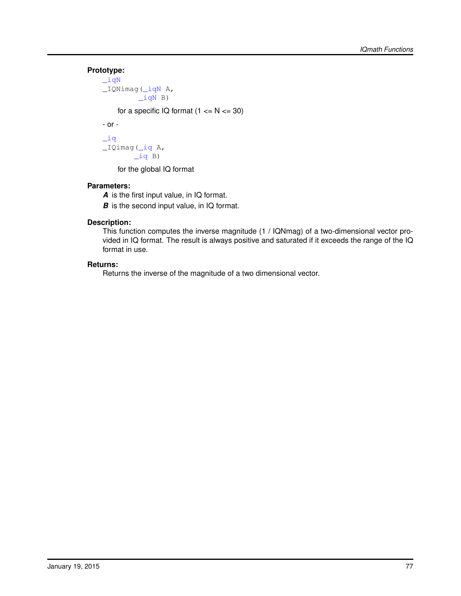### **Pro[totype](#page-8-0):**

\_iqN \_IQNimag[\(\\_iqN](#page-8-0) A,  $\_\text{iqN}$  B) for a specific IQ format  $(1 \leq N \leq 30)$ 

- or - [\\_iq](#page-8-0) \_IQimag[\(\\_iq](#page-8-0) A,  $_iq$  B)

for the global IQ format

### **Parameters:**

*A* is the first input value, in IQ format.

*B* is the second input value, in IQ format.

### **Description:**

This function computes the inverse magnitude (1 / IQNmag) of a two-dimensional vector provided in IQ format. The result is always positive and saturated if it exceeds the range of the IQ format in use.

### **Returns:**

Returns the inverse of the magnitude of a two dimensional vector.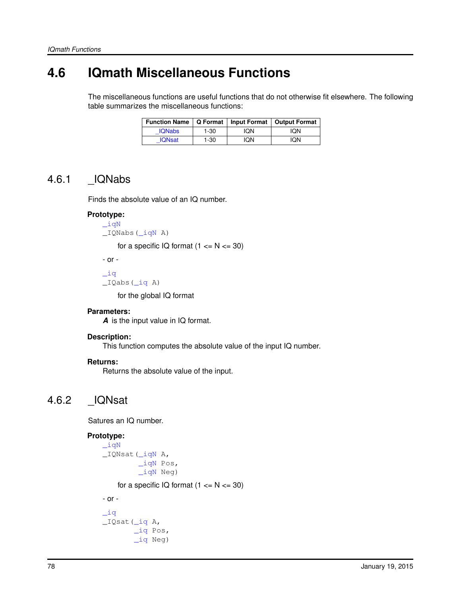## **4.6 IQmath Miscellaneous Functions**

The miscellaneous functions are useful functions that do not otherwise fit elsewhere. The following table summarizes the miscellaneous functions:

| Function Name   Q Format   Input Format   Output Format |      |     |     |
|---------------------------------------------------------|------|-----|-----|
| <b>IQNabs</b>                                           | 1-30 | ION | ION |
| <b>IQNsat</b>                                           | 1-30 | ION | IQN |

### <span id="page-77-0"></span>4.6.1 \_IQNabs

Finds the absolute value of an IQ number.

### **Pro[totype](#page-8-0):**

```
_i<sup>iqN</sup>
_IQNabs(_iqN A)
```
for a specific IQ format  $(1 \leq N \leq 30)$ 

- or -

[\\_iq](#page-8-0) \_IQabs[\(\\_iq](#page-8-0) A)

for the global IQ format

### **Parameters:**

*A* is the input value in IQ format.

### **Description:**

This function computes the absolute value of the input IQ number.

### **Returns:**

Returns the absolute value of the input.

### <span id="page-77-1"></span>4.6.2 \_IQNsat

Satures an IQ number.

### **Pro[totype](#page-8-0):**

```
_iqN
_IQNsat(_iqN A,
        _iqN Pos,
        _iqN Neg)
```
for a specific IQ format  $(1 \leq N \leq 30)$ 

```
- or -
_iq
_IQsat(_iq A,
       _iq Pos,
        _iq Neg)
```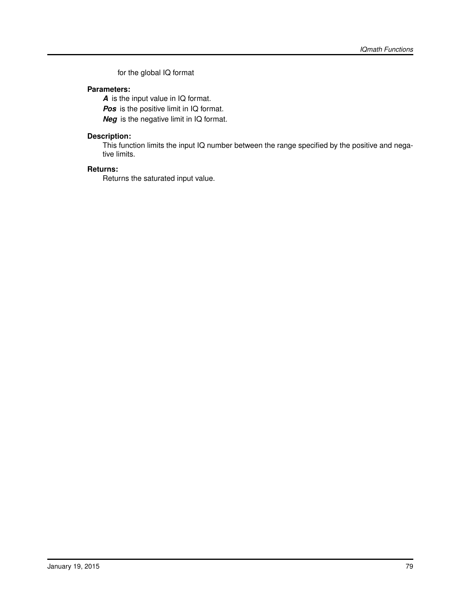for the global IQ format

### **Parameters:**

*A* is the input value in IQ format.

**Pos** is the positive limit in IQ format.

*Neg* is the negative limit in IQ format.

### **Description:**

This function limits the input IQ number between the range specified by the positive and negative limits.

### **Returns:**

Returns the saturated input value.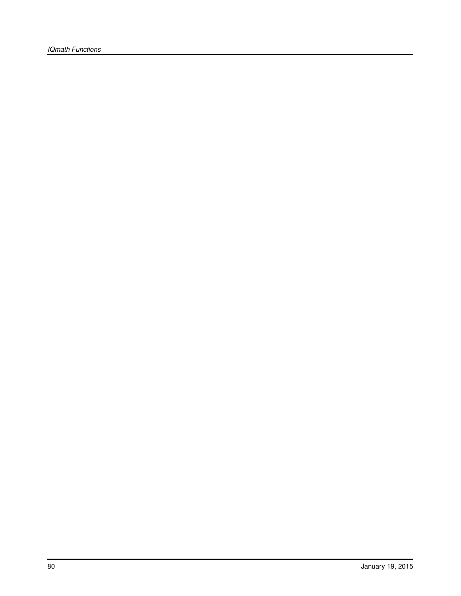*IQmath Functions*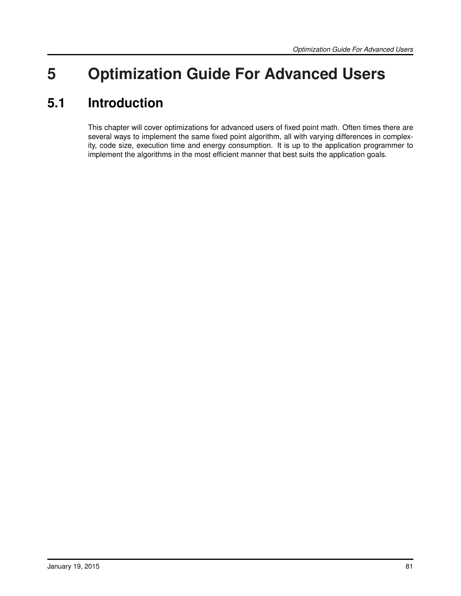# **5 Optimization Guide For Advanced Users**

## **5.1 Introduction**

This chapter will cover optimizations for advanced users of fixed point math. Often times there are several ways to implement the same fixed point algorithm, all with varying differences in complexity, code size, execution time and energy consumption. It is up to the application programmer to implement the algorithms in the most efficient manner that best suits the application goals.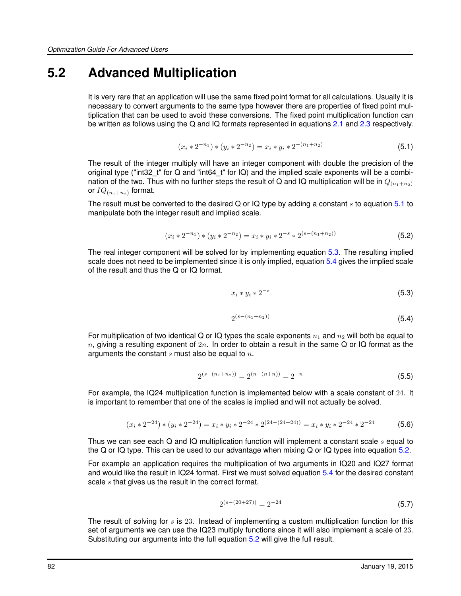## **5.2 Advanced Multiplication**

It is very rare that an application will use the same fixed point format for all calculations. Usually it is necessary to convert arguments to the same type however there are properties of fixed point multiplication that can be used to avoid these conversions. The fixed point multiplication function can be written as follows using the Q and IQ formats represented in equations [2.1](#page-6-0) and [2.3](#page-8-1) respectively.

<span id="page-81-0"></span>
$$
(x_i * 2^{-n_1}) * (y_i * 2^{-n_2}) = x_i * y_i * 2^{-(n_1+n_2)}
$$
\n(5.1)

The result of the integer multiply will have an integer component with double the precision of the original type ("int32 t" for Q and "int64 t" for  $IQ$ ) and the implied scale exponents will be a combination of the two. Thus with no further steps the result of Q and IQ multiplication will be in  $Q_{(n_1+n_2)}$ or  $IQ_{(n_1+n_2)}$  format.

The result must be converted to the desired Q or IQ type by adding a constant  $s$  to equation [5.1](#page-81-0) to manipulate both the integer result and implied scale.

<span id="page-81-3"></span>
$$
(x_i * 2^{-n_1}) * (y_i * 2^{-n_2}) = x_i * y_i * 2^{-s} * 2^{(s - (n_1 + n_2))}
$$
\n
$$
(5.2)
$$

The real integer component will be solved for by implementing equation [5.3.](#page-81-1) The resulting implied scale does not need to be implemented since it is only implied, equation [5.4](#page-81-2) gives the implied scale of the result and thus the Q or IQ format.

<span id="page-81-1"></span>
$$
x_i \ast y_i \ast 2^{-s} \tag{5.3}
$$

<span id="page-81-2"></span>
$$
2^{(s-(n_1+n_2))} \tag{5.4}
$$

For multiplication of two identical Q or IQ types the scale exponents  $n_1$  and  $n_2$  will both be equal to n, giving a resulting exponent of  $2n$ . In order to obtain a result in the same Q or IQ format as the arguments the constant  $s$  must also be equal to  $n$ .

$$
2^{(s-(n_1+n_2))} = 2^{(n-(n+n))} = 2^{-n}
$$
\n(5.5)

For example, the IQ24 multiplication function is implemented below with a scale constant of 24. It is important to remember that one of the scales is implied and will not actually be solved.

$$
(x_i * 2^{-24}) * (y_i * 2^{-24}) = x_i * y_i * 2^{-24} * 2^{(24 - (24 + 24))} = x_i * y_i * 2^{-24} * 2^{-24}
$$
(5.6)

Thus we can see each Q and IQ multiplication function will implement a constant scale  $s$  equal to the Q or IQ type. This can be used to our advantage when mixing Q or IQ types into equation [5.2.](#page-81-3)

For example an application requires the multiplication of two arguments in IQ20 and IQ27 format and would like the result in IQ24 format. First we must solved equation [5.4](#page-81-2) for the desired constant scale s that gives us the result in the correct format.

$$
2^{(s - (20 + 27))} = 2^{-24}
$$
\n(5.7)

The result of solving for  $s$  is 23. Instead of implementing a custom multiplication function for this set of arguments we can use the IQ23 multiply functions since it will also implement a scale of 23. Substituting our arguments into the full equation [5.2](#page-81-3) will give the full result.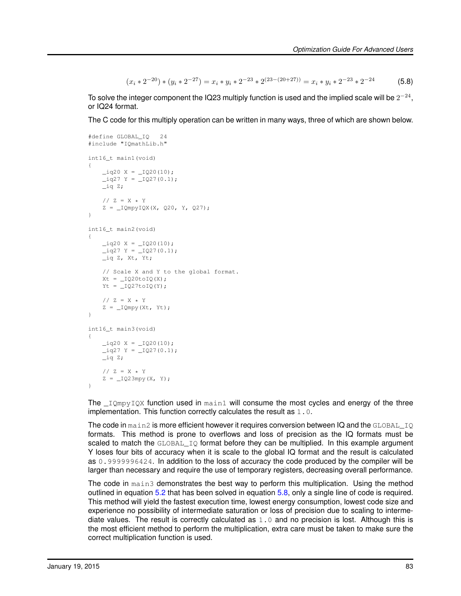<span id="page-82-0"></span>
$$
(x_i * 2^{-20}) * (y_i * 2^{-27}) = x_i * y_i * 2^{-23} * 2^{(23 - (20 + 27))} = x_i * y_i * 2^{-23} * 2^{-24}
$$
(5.8)

To solve the integer component the IQ23 multiply function is used and the implied scale will be  $2^{-24}$ , or IQ24 format.

The C code for this multiply operation can be written in many ways, three of which are shown below.

```
#define GLOBAL_IQ 24
#include "IQmathLib.h"
int16_t main1(void)
{
    \_iq20 X = _IQ20(10);_i<sup>iq27</sup> Y = _i<sub>227</sub>(0.1);
    _iq z;// Z = X \star Y
    Z = _IQmpyIQX(X, Q20, Y, Q27);
}
int16_t main2(void)
{
    _iq20 X = IQQ0(10);\_{iq27} Y = \_{IQ27(0.1)};
     _iq Z, Xt, Yt;
    // Scale X and Y to the global format.
    Xt = \angle IQ20toIQ(X);Yt = \angle IQ27toIQ(Y);1/7 = X + YZ = \text{IQmpy}(Xt, Yt);}
int16_t main3(void)
{
    \_iq20 X = _IQ20(10);_i<sup>iq27</sup> Y = _i<sub>227</sub>(0.1);
    _iq Z;
    // Z = X \star Y
    Z = \angle IQ23mpy(X, Y);}
```
The  $IQmpyIQX$  function used in main1 will consume the most cycles and energy of the three implementation. This function correctly calculates the result as 1.0.

The code in  $main2$  is more efficient however it requires conversion between IQ and the GLOBAL IQ formats. This method is prone to overflows and loss of precision as the IQ formats must be scaled to match the GLOBAL\_IQ format before they can be multiplied. In this example argument Y loses four bits of accuracy when it is scale to the global IQ format and the result is calculated as 0.9999996424. In addition to the loss of accuracy the code produced by the compiler will be larger than necessary and require the use of temporary registers, decreasing overall performance.

The code in main3 demonstrates the best way to perform this multiplication. Using the method outlined in equation [5.2](#page-81-3) that has been solved in equation [5.8,](#page-82-0) only a single line of code is required. This method will yield the fastest execution time, lowest energy consumption, lowest code size and experience no possibility of intermediate saturation or loss of precision due to scaling to intermediate values. The result is correctly calculated as  $1.0$  and no precision is lost. Although this is the most efficient method to perform the multiplication, extra care must be taken to make sure the correct multiplication function is used.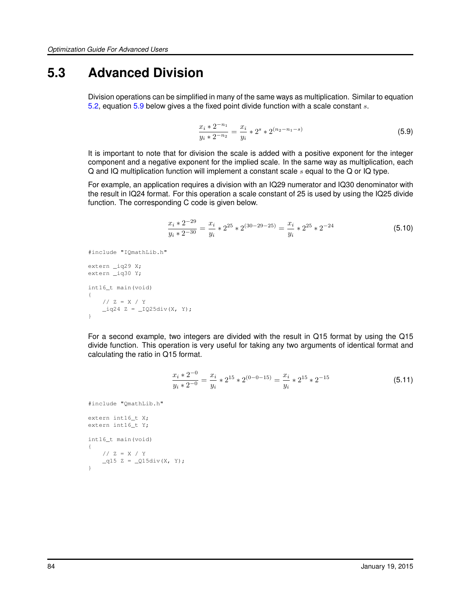## **5.3 Advanced Division**

Division operations can be simplified in many of the same ways as multiplication. Similar to equation [5.2,](#page-81-3) equation [5.9](#page-83-0) below gives a the fixed point divide function with a scale constant  $s$ .

<span id="page-83-0"></span>
$$
\frac{x_i * 2^{-n_1}}{y_i * 2^{-n_2}} = \frac{x_i}{y_i} * 2^s * 2^{(n_2 - n_1 - s)}
$$
(5.9)

It is important to note that for division the scale is added with a positive exponent for the integer component and a negative exponent for the implied scale. In the same way as multiplication, each Q and IQ multiplication function will implement a constant scale  $s$  equal to the Q or IQ type.

For example, an application requires a division with an IQ29 numerator and IQ30 denominator with the result in IQ24 format. For this operation a scale constant of 25 is used by using the IQ25 divide function. The corresponding C code is given below.

$$
\frac{x_i * 2^{-29}}{y_i * 2^{-30}} = \frac{x_i}{y_i} * 2^{25} * 2^{(30 - 29 - 25)} = \frac{x_i}{y_i} * 2^{25} * 2^{-24}
$$
\n
$$
(5.10)
$$

```
#include "IQmathLib.h"
extern _iq29 X;
extern _iq30 Y;
int16_t main(void)
{
    // Z = X / Y_iq24 Z = _iIQ25div(X, Y);
}
```
For a second example, two integers are divided with the result in Q15 format by using the Q15 divide function. This operation is very useful for taking any two arguments of identical format and calculating the ratio in Q15 format.

$$
\frac{x_i * 2^{-0}}{y_i * 2^{-0}} = \frac{x_i}{y_i} * 2^{15} * 2^{(0 - 0 - 15)} = \frac{x_i}{y_i} * 2^{15} * 2^{-15}
$$
\n
$$
(5.11)
$$

#include "QmathLib.h"

```
extern int16_t X;
extern int16_t Y;
int16_t main(void)
{
    // Z = X / Y_q15 Z = _q15div(X, Y);}
```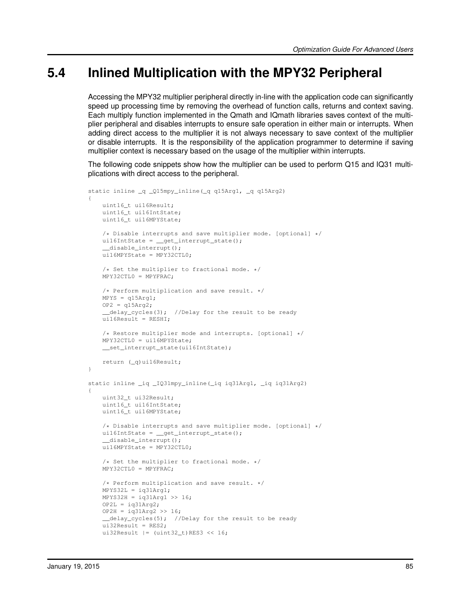## **5.4 Inlined Multiplication with the MPY32 Peripheral**

Accessing the MPY32 multiplier peripheral directly in-line with the application code can significantly speed up processing time by removing the overhead of function calls, returns and context saving. Each multiply function implemented in the Qmath and IQmath libraries saves context of the multiplier peripheral and disables interrupts to ensure safe operation in either main or interrupts. When adding direct access to the multiplier it is not always necessary to save context of the multiplier or disable interrupts. It is the responsibility of the application programmer to determine if saving multiplier context is necessary based on the usage of the multiplier within interrupts.

The following code snippets show how the multiplier can be used to perform Q15 and IQ31 multiplications with direct access to the peripheral.

```
static inline _q _Q15mpy_inline(_q q15Arg1, _q q15Arg2)
{
   uint16 t ui16Result:
   uint16_t ui16IntState;
   uint16_t ui16MPYState;
   /* Disable interrupts and save multiplier mode. [optional] */
   ui16IntState = get_interestrupt\_state();
    __disable_interrupt();
   ui16MPYState = MPY32CTL0;
    /* Set the multiplier to fractional mode. */MPY32CTL0 = MPYFRAC;
    /* Perform multiplication and save result. */
   MPYS = q15Arg1;OP2 = q15Arg2;
    __delay_cycles(3); //Delay for the result to be ready
   ui16Result = RESHI;
    /* Restore multiplier mode and interrupts. [optional] */MPY32CTL0 = ui16MPYState;
    __set_interrupt_state(ui16IntState);
   return (_q)ui16Result;
}
static inline _iq _IQ31mpy_inline(_iq iq31Arg1, _iq iq31Arg2)
{
   uint32_t ui32Result;
   uint16_t ui16IntState;
   uint16 t ui16MPYState:
    /* Disable interrupts and save multiplier mode. [optional] */
   ui16IntState = get_interestrupt\_state();
    disable_interrupt();
   ui16MPYState = MPY32CTL0;
    /* Set the multiplier to fractional mode. */
   MPY32CTL0 = MPYFRAC;
   /* Perform multiplication and save result. */
   MPYS32L = iq31Arg1;MPYS32H = iq31Arg1 >> 16;OP2L = iq31Arg2;OP2H = iq31Arg2 >> 16;
    __delay_cycles(5); //Delay for the result to be ready
   ui32Result = RES2;
   ui32Result = (uint32 t)RES3 << 16;
```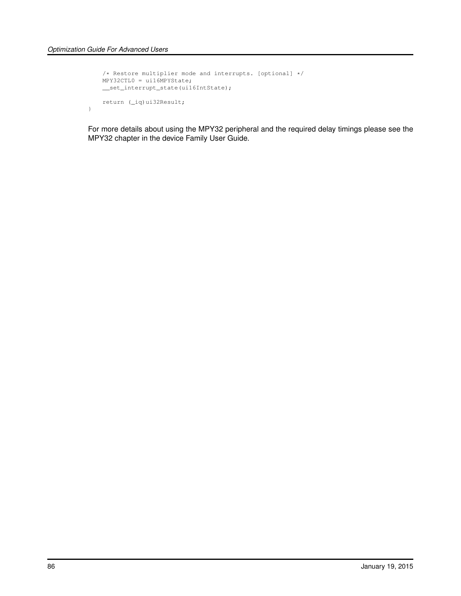```
/* Restore multiplier mode and interrupts. [optional] */
   MPY32CTL0 = ui16MPYState;
   __set_interrupt_state(ui16IntState);
   return (_iq)ui32Result;
}
```
For more details about using the MPY32 peripheral and the required delay timings please see the MPY32 chapter in the device Family User Guide.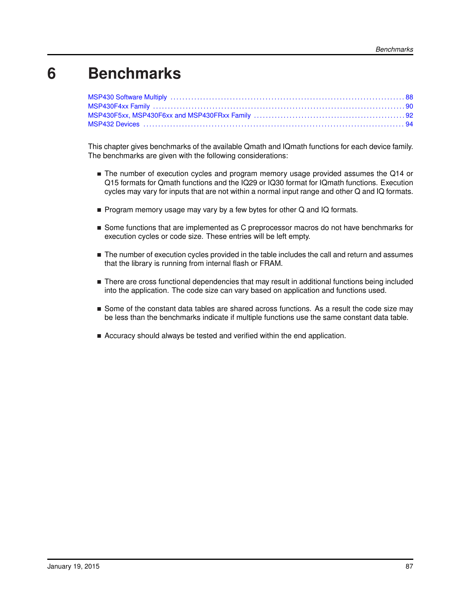# **6 Benchmarks**

This chapter gives benchmarks of the available Qmath and IQmath functions for each device family. The benchmarks are given with the following considerations:

- The number of execution cycles and program memory usage provided assumes the Q14 or Q15 formats for Qmath functions and the IQ29 or IQ30 format for IQmath functions. Execution cycles may vary for inputs that are not within a normal input range and other Q and IQ formats.
- **Program memory usage may vary by a few bytes for other Q and IQ formats.**
- Some functions that are implemented as C preprocessor macros do not have benchmarks for execution cycles or code size. These entries will be left empty.
- **The number of execution cycles provided in the table includes the call and return and assumes** that the library is running from internal flash or FRAM.
- **There are cross functional dependencies that may result in additional functions being included** into the application. The code size can vary based on application and functions used.
- Some of the constant data tables are shared across functions. As a result the code size may be less than the benchmarks indicate if multiple functions use the same constant data table.
- Accuracy should always be tested and verified within the end application.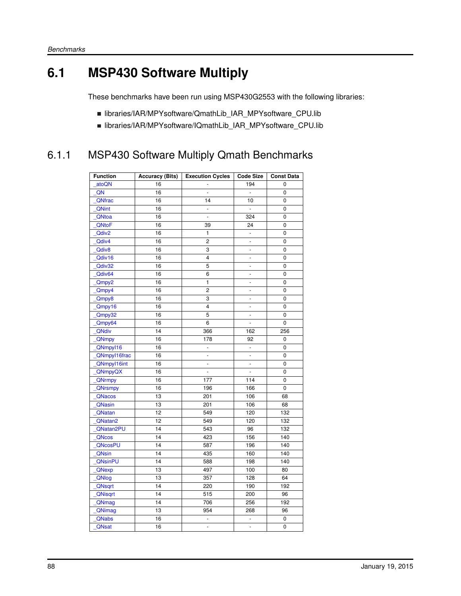## <span id="page-87-0"></span>**6.1 MSP430 Software Multiply**

These benchmarks have been run using MSP430G2553 with the following libraries:

- libraries/IAR/MPYsoftware/QmathLib\_IAR\_MPYsoftware\_CPU.lib
- libraries/IAR/MPYsoftware/IQmathLib\_IAR\_MPYsoftware\_CPU.lib

### 6.1.1 MSP430 Software Multiply Qmath Benchmarks

| <b>Function</b>   | <b>Accuracy (Bits)</b> | <b>Execution Cycles</b> | <b>Code Size</b> | <b>Const Data</b> |
|-------------------|------------------------|-------------------------|------------------|-------------------|
| atoQN             | 16                     |                         | 194              | 0                 |
| QN                | 16                     | ÷,                      | $\overline{a}$   | $\mathbf 0$       |
| <b>QNfrac</b>     | 16                     | 14                      | 10               | 0                 |
| <b>QNint</b>      | 16                     | $\blacksquare$          | $\frac{1}{2}$    | 0                 |
| <b>QNtoa</b>      | 16                     | ÷,                      | 324              | 0                 |
| <b>QNtoF</b>      | 16                     | 39                      | 24               | 0                 |
| Qdiv <sub>2</sub> | 16                     | $\mathbf{1}$            | $\overline{a}$   | 0                 |
| Qdiv4             | 16                     | $\overline{c}$          | $\overline{a}$   | $\mathbf 0$       |
| Qdiv <sub>8</sub> | 16                     | 3                       | ÷,               | 0                 |
| Qdiv16            | 16                     | $\overline{4}$          | $\overline{a}$   | $\pmb{0}$         |
| Qdiv32            | 16                     | 5                       | $\overline{a}$   | $\mathbf 0$       |
| Qdiv64            | 16                     | 6                       | ÷                | 0                 |
| Qmpy2             | 16                     | 1                       |                  | 0                 |
| Qmpy4             | 16                     | $\overline{c}$          |                  | 0                 |
| Qmpy8             | 16                     | 3                       | $\overline{a}$   | $\mathbf 0$       |
| Qmpy16            | 16                     | 4                       | ä,               | 0                 |
| Qmpy32            | 16                     | 5                       | L                | 0                 |
| Qmpy64            | 16                     | 6                       | L,               | 0                 |
| QNdiv             | 14                     | 366                     | 162              | 256               |
| <b>QNmpy</b>      | 16                     | 178                     | 92               | 0                 |
| QNmpyl16          | 16                     | L,                      | $\overline{a}$   | 0                 |
| QNmpyl16frac      | 16                     | ÷                       | ÷                | 0                 |
| QNmpyl16int       | 16                     | ä,                      | $\overline{a}$   | 0                 |
| QNmpyQX           | 16                     | L,                      | $\overline{a}$   | 0                 |
| <b>QNrmpy</b>     | 16                     | 177                     | 114              | 0                 |
| <b>QNrsmpy</b>    | 16                     | 196                     | 166              | 0                 |
| <b>QNacos</b>     | 13                     | 201                     | 106              | 68                |
| <b>QNasin</b>     | 13                     | 201                     | 106              | 68                |
| <b>QNatan</b>     | 12                     | 549                     | 120              | 132               |
| QNatan2           | 12                     | 549                     | 120              | 132               |
| QNatan2PU         | 14                     | 543                     | 96               | 132               |
| <b>QNcos</b>      | 14                     | 423                     | 156              | 140               |
| <b>QNcosPU</b>    | 14                     | 587                     | 196              | 140               |
| <b>QNsin</b>      | 14                     | 435                     | 160              | 140               |
| <b>QNsinPU</b>    | 14                     | 588                     | 198              | 140               |
| <b>QNexp</b>      | 13                     | 497                     | 100              | 80                |
| QNlog             | 13                     | 357                     | 128              | 64                |
| <b>QNsqrt</b>     | 14                     | 220                     | 190              | 192               |
| <b>QNisqrt</b>    | 14                     | 515                     | 200              | 96                |
| QNmag             | 14                     | 706                     | 256              | 192               |
| QNimag            | 13                     | 954                     | 268              | 96                |
| <b>QNabs</b>      | 16                     | ÷,                      |                  | 0                 |
| <b>QNsat</b>      | 16                     |                         |                  | 0                 |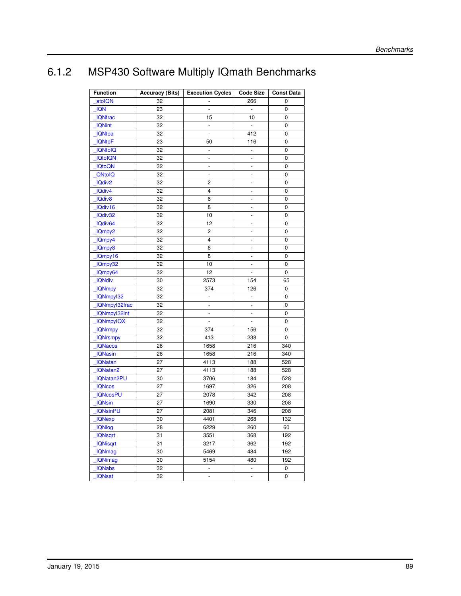## 6.1.2 MSP430 Software Multiply IQmath Benchmarks

| <b>Function</b>    | <b>Accuracy (Bits)</b> | <b>Execution Cycles</b>  | <b>Code Size</b> | <b>Const Data</b> |
|--------------------|------------------------|--------------------------|------------------|-------------------|
| atoIQN             | 32                     |                          | 266              | 0                 |
| <b>IQN</b>         | 23                     |                          | $\overline{a}$   | 0                 |
| <b>IQNfrac</b>     | 32                     | 15                       | 10               | 0                 |
| <b>IQNint</b>      | 32                     | $\overline{\phantom{a}}$ | $\overline{a}$   | 0                 |
| <b>IQNtoa</b>      | 32                     | L                        | 412              | 0                 |
| <b>IQNtoF</b>      | 23                     | 50                       | 116              | 0                 |
| <b>IQNtoIQ</b>     | 32                     | $\blacksquare$           | $\blacksquare$   | 0                 |
| <b>IQtoIQN</b>     | 32                     | ÷,                       | ÷,               | 0                 |
| <b>IQtoQN</b>      | 32                     | L.                       | ÷.               | 0                 |
| QNtoIQ             | 32                     | $\blacksquare$           | ÷,               | 0                 |
| IQdiv <sub>2</sub> | 32                     | $\overline{2}$           | $\overline{a}$   | 0                 |
| IQdiv4             | 32                     | $\overline{4}$           | ÷.               | 0                 |
| IQdiv8             | 32                     | 6                        | L.               | 0                 |
| IQdiv16            | 32                     | 8                        | $\overline{a}$   | 0                 |
| IQdiv32            | 32                     | 10                       | ÷                | 0                 |
| IQdiv64            | 32                     | 12                       | ÷,               | 0                 |
| IQmpy2             | 32                     | $\overline{c}$           | $\blacksquare$   | 0                 |
| IQmpy4             | 32                     | $\overline{\mathbf{4}}$  | $\overline{a}$   | 0                 |
| IQmpy8             | 32                     | 6                        | $\overline{a}$   | 0                 |
| IQmpy16            | 32                     | 8                        | $\overline{a}$   | 0                 |
| IQmpy32            | 32                     | 10                       | $\overline{a}$   | 0                 |
| IQmpy64            | 32                     | 12                       | L                | 0                 |
| <b>IQNdiv</b>      | 30                     | 2573                     | 154              | 65                |
| <b>IQNmpy</b>      | 32                     | 374                      | 126              | 0                 |
| IQNmpyI32          | 32                     | L,                       | ä,               | 0                 |
| IQNmpyI32frac      | 32                     | $\blacksquare$           | $\blacksquare$   | 0                 |
| IQNmpyI32int       | 32                     | $\overline{a}$           | ÷,               | 0                 |
| <b>IQNmpyIQX</b>   | 32                     | $\overline{a}$           | ÷,               | 0                 |
| <b>IQNrmpy</b>     | 32                     | 374                      | 156              | 0                 |
| <b>IQNrsmpy</b>    | 32                     | 413                      | 238              | 0                 |
| <b>IQNacos</b>     | 26                     | 1658                     | 216              | 340               |
| <b>IQNasin</b>     | 26                     | 1658                     | 216              | 340               |
| <b>IQNatan</b>     | 27                     | 4113                     | 188              | 528               |
| <b>IQNatan2</b>    | 27                     | 4113                     | 188              | 528               |
| <b>IQNatan2PU</b>  | 30                     | 3706                     | 184              | 528               |
| <b>IQNcos</b>      | 27                     | 1697                     | 326              | 208               |
| <b>IQNcosPU</b>    | 27                     | 2078                     | 342              | 208               |
| <b>IQNsin</b>      | 27                     | 1690                     | 330              | 208               |
| <b>IQNsinPU</b>    | 27                     | 2081                     | 346              | 208               |
| <b>IQNexp</b>      | 30                     | 4401                     | 268              | 132               |
| <b>IQNIog</b>      | 28                     | 6229                     | 260              | 60                |
| <b>IQNsqrt</b>     | 31                     | 3551                     | 368              | 192               |
| <b>IQNisqrt</b>    | 31                     | 3217                     | 362              | 192               |
| <b>IQNmag</b>      | 30                     | 5469                     | 484              | 192               |
| <b>IQNimag</b>     | 30                     | 5154                     | 480              | 192               |
| <b>IQNabs</b>      | 32                     | $\overline{a}$           | $\overline{a}$   | 0                 |
| <b>IQNsat</b>      | 32                     | $\overline{a}$           | $\overline{a}$   | 0                 |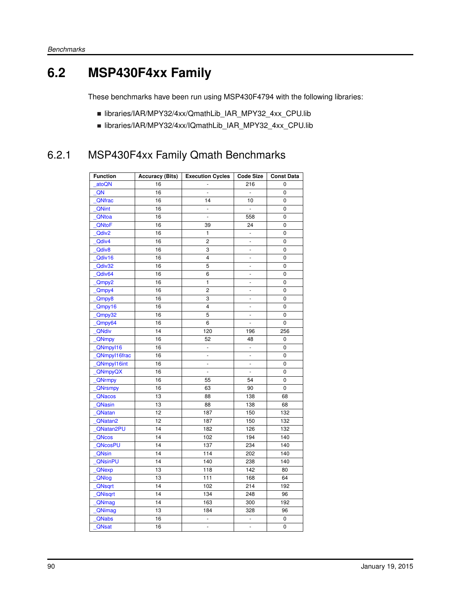## <span id="page-89-0"></span>**6.2 MSP430F4xx Family**

These benchmarks have been run using MSP430F4794 with the following libraries:

- libraries/IAR/MPY32/4xx/QmathLib\_IAR\_MPY32\_4xx\_CPU.lib
- libraries/IAR/MPY32/4xx/IQmathLib\_IAR\_MPY32\_4xx\_CPU.lib

## 6.2.1 MSP430F4xx Family Qmath Benchmarks

| <b>Function</b>   | <b>Accuracy (Bits)</b> | <b>Execution Cycles</b> | <b>Code Size</b>         | <b>Const Data</b> |
|-------------------|------------------------|-------------------------|--------------------------|-------------------|
| atoQN             | 16                     |                         | 216                      | 0                 |
| QN                | 16                     | ÷,                      | L,                       | 0                 |
| <b>QNfrac</b>     | 16                     | 14                      | 10                       | 0                 |
| <b>QNint</b>      | 16                     | ÷,                      | $\overline{a}$           | 0                 |
| <b>QNtoa</b>      | 16                     |                         | 558                      | 0                 |
| <b>QNtoF</b>      | 16                     | 39                      | 24                       | 0                 |
| Qdiv <sub>2</sub> | 16                     | 1                       | $\overline{a}$           | 0                 |
| Qdiv4             | 16                     | 2                       | L.                       | 0                 |
| Qdiv <sub>8</sub> | 16                     | 3                       | ä,                       | 0                 |
| Qdiv16            | 16                     | 4                       | ÷,                       | 0                 |
| Qdiv32            | 16                     | 5                       |                          | 0                 |
| Qdiv64            | 16                     | 6                       | $\frac{1}{2}$            | 0                 |
| Qmpy2             | 16                     | 1                       | ä,                       | 0                 |
| Qmpy4             | 16                     | $\overline{c}$          | L,                       | 0                 |
| Qmpy8             | 16                     | 3                       | $\frac{1}{2}$            | 0                 |
| Qmpy16            | 16                     | 4                       | $\overline{\phantom{a}}$ | 0                 |
| Qmpy32            | 16                     | 5                       | $\overline{a}$           | 0                 |
| Qmpy64            | 16                     | $\overline{6}$          | L.                       | 0                 |
| QNdiv             | 14                     | 120                     | 196                      | 256               |
| <b>QNmpy</b>      | 16                     | 52                      | 48                       | 0                 |
| QNmpyl16          | 16                     | L,                      | $\overline{a}$           | 0                 |
| QNmpyl16frac      | 16                     | $\blacksquare$          | $\overline{\phantom{a}}$ | 0                 |
| QNmpyl16int       | 16                     | ÷,                      | ä,                       | 0                 |
| QNmpyQX           | 16                     | $\blacksquare$          | $\frac{1}{2}$            | $\mathbf 0$       |
| <b>QNrmpy</b>     | 16                     | 55                      | 54                       | 0                 |
| <b>QNrsmpy</b>    | 16                     | 63                      | 90                       | 0                 |
| <b>QNacos</b>     | 13                     | 88                      | 138                      | 68                |
| <b>QNasin</b>     | 13                     | 88                      | 138                      | 68                |
| QNatan            | 12                     | 187                     | 150                      | 132               |
| QNatan2           | 12                     | 187                     | 150                      | 132               |
| QNatan2PU         | 14                     | 182                     | 126                      | 132               |
| <b>QNcos</b>      | 14                     | 102                     | 194                      | 140               |
| <b>QNcosPU</b>    | 14                     | 137                     | 234                      | 140               |
| <b>QNsin</b>      | 14                     | 114                     | 202                      | 140               |
| QNsinPU           | 14                     | 140                     | 238                      | 140               |
| <b>QNexp</b>      | 13                     | 118                     | 142                      | 80                |
| QNlog             | 13                     | 111                     | 168                      | 64                |
| <b>QNsqrt</b>     | 14                     | 102                     | 214                      | 192               |
| <b>QNisqrt</b>    | 14                     | 134                     | 248                      | 96                |
| QNmag             | 14                     | 163                     | 300                      | 192               |
| <b>QNimag</b>     | 13                     | 184                     | 328                      | 96                |
| <b>QNabs</b>      | 16                     | ÷,                      | ÷,                       | 0                 |
| <b>QNsat</b>      | 16                     | ÷,                      |                          | 0                 |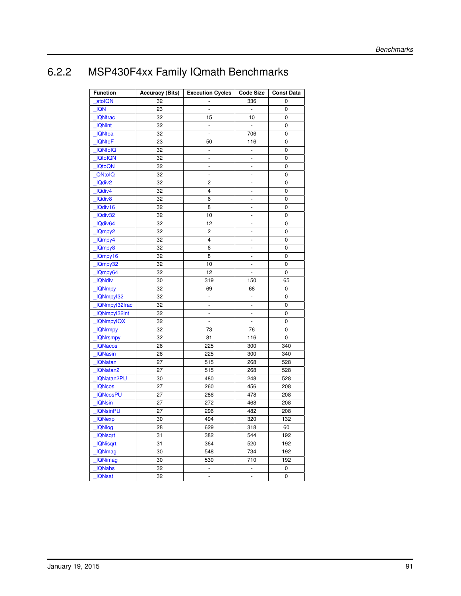## 6.2.2 MSP430F4xx Family IQmath Benchmarks

| <b>Function</b>    | <b>Accuracy (Bits)</b> | <b>Execution Cycles</b> | <b>Code Size</b>         | <b>Const Data</b> |
|--------------------|------------------------|-------------------------|--------------------------|-------------------|
| atolQN             | 32                     |                         | 336                      | 0                 |
| <b>IQN</b>         | 23                     | $\overline{a}$          | $\overline{a}$           | 0                 |
| <b>IQNfrac</b>     | 32                     | 15                      | 10                       | 0                 |
| <b>IQNint</b>      | 32                     | ÷,                      | L,                       | 0                 |
| <b>IQNtoa</b>      | 32                     |                         | 706                      | 0                 |
| <b>IQNtoF</b>      | 23                     | 50                      | 116                      | 0                 |
| <b>IQNtoIQ</b>     | 32                     | ÷,                      | ÷,                       | 0                 |
| <b>IQtoIQN</b>     | 32                     | ÷,                      | ÷,                       | 0                 |
| <b>IQtoQN</b>      | 32                     | ÷,                      | L                        | 0                 |
| QNtoIQ             | 32                     | ÷,                      | ÷,                       | 0                 |
| IQdiv <sub>2</sub> | 32                     | 2                       | ÷,                       | 0                 |
| IQdiv4             | 32                     | $\overline{4}$          | L.                       | 0                 |
| <b>IQdiv8</b>      | 32                     | 6                       | $\overline{a}$           | 0                 |
| IQdiv16            | 32                     | 8                       |                          | 0                 |
| IQdiv32            | 32                     | 10                      | $\overline{\phantom{a}}$ | 0                 |
| IQdiv64            | 32                     | 12                      | $\overline{a}$           | 0                 |
| IQmpy2             | 32                     | $\overline{c}$          | ÷,                       | 0                 |
| IQmpy4             | 32                     | $\overline{\mathbf{4}}$ | ÷,                       | 0                 |
| IQmpy8             | 32                     | 6                       | ÷,                       | 0                 |
| IQmpy16            | 32                     | 8                       | ÷,                       | 0                 |
| IQmpy32            | 32                     | 10                      | $\overline{a}$           | 0                 |
| IQmpy64            | 32                     | 12                      | $\overline{a}$           | 0                 |
| <b>IQNdiv</b>      | 30                     | 319                     | 150                      | 65                |
| <b>IQNmpy</b>      | 32                     | 69                      | 68                       | 0                 |
| IQNmpyI32          | 32                     | ÷,                      | ÷,                       | 0                 |
| IQNmpyI32frac      | 32                     | ä,                      | $\blacksquare$           | 0                 |
| IQNmpyI32int       | 32                     | ÷,                      | $\overline{a}$           | 0                 |
| <b>IQNmpyIQX</b>   | 32                     | $\frac{1}{2}$           | ÷,                       | 0                 |
| <b>IQNrmpy</b>     | 32                     | 73                      | 76                       | 0                 |
| <b>IQNrsmpy</b>    | 32                     | 81                      | 116                      | 0                 |
| <b>IQNacos</b>     | 26                     | 225                     | 300                      | 340               |
| <b>IQNasin</b>     | 26                     | 225                     | 300                      | 340               |
| <b>IQNatan</b>     | 27                     | 515                     | 268                      | 528               |
| <b>IQNatan2</b>    | 27                     | 515                     | 268                      | 528               |
| <b>IQNatan2PU</b>  | 30                     | 480                     | 248                      | 528               |
| <b>IQNcos</b>      | 27                     | 260                     | 456                      | 208               |
| <b>IQNcosPU</b>    | 27                     | 286                     | 478                      | 208               |
| <b>IQNsin</b>      | 27                     | 272                     | 468                      | 208               |
| <b>IQNsinPU</b>    | 27                     | 296                     | 482                      | 208               |
| <b>IQNexp</b>      | 30                     | 494                     | 320                      | 132               |
| <b>IQNlog</b>      | 28                     | 629                     | 318                      | 60                |
| <b>IQNsqrt</b>     | 31                     | 382                     | 544                      | 192               |
| <b>IQNisqrt</b>    | 31                     | 364                     | 520                      | 192               |
| <b>IQNmag</b>      | 30                     | 548                     | 734                      | 192               |
| <b>IQNimag</b>     | 30                     | 530                     | 710                      | 192               |
| <b>IQNabs</b>      | 32                     | L,                      | $\frac{1}{2}$            | 0                 |
| <b>IQNsat</b>      | 32                     | $\overline{a}$          | $\overline{a}$           | 0                 |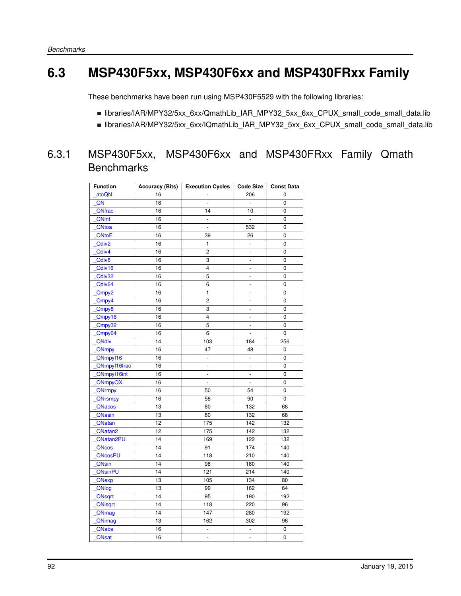## <span id="page-91-0"></span>**6.3 MSP430F5xx, MSP430F6xx and MSP430FRxx Family**

These benchmarks have been run using MSP430F5529 with the following libraries:

- libraries/IAR/MPY32/5xx\_6xx/QmathLib\_IAR\_MPY32\_5xx\_6xx\_CPUX\_small\_code\_small\_data.lib
- libraries/IAR/MPY32/5xx\_6xx/IQmathLib\_IAR\_MPY32\_5xx\_6xx\_CPUX\_small\_code\_small\_data.lib

### 6.3.1 MSP430F5xx, MSP430F6xx and MSP430FRxx Family Qmath **Benchmarks**

| <b>Function</b>     | <b>Accuracy (Bits)</b> | <b>Execution Cycles</b> | <b>Code Size</b>         | <b>Const Data</b> |
|---------------------|------------------------|-------------------------|--------------------------|-------------------|
| atoQN               | 16                     |                         | 206                      | 0                 |
| QN                  | 16                     | $\blacksquare$          | ÷,                       | 0                 |
| QNfrac              | 16                     | 14                      | 10                       | 0                 |
| <b>QNint</b>        | 16                     | ÷,                      | $\overline{a}$           | $\mathbf 0$       |
| <b>QNtoa</b>        | 16                     | ÷,                      | 532                      | 0                 |
| <b>QNtoF</b>        | 16                     | 39                      | 26                       | 0                 |
| Qdiv <sub>2</sub>   | 16                     | 1                       | $\frac{1}{2}$            | 0                 |
| Qdiv4               | 16                     | 2                       | $\blacksquare$           | $\mathbf 0$       |
| Qdiv <sub>8</sub>   | 16                     | 3                       | $\frac{1}{2}$            | 0                 |
| Qdiv16              | 16                     | $\overline{4}$          | ä,                       | 0                 |
| Qdiv32              | 16                     | 5                       | $\blacksquare$           | 0                 |
| Qdiv64              | 16                     | 6                       | $\blacksquare$           | 0                 |
| Qmpy <sub>2</sub>   | 16                     | $\mathbf{1}$            | ÷                        | 0                 |
| Qmpy4               | 16                     | 2                       | $\overline{\phantom{a}}$ | $\pmb{0}$         |
| Qmpy8               | 16                     | 3                       | ÷                        | 0                 |
| Qmpy16              | 16                     | 4                       | ÷,                       | 0                 |
| Qmpy32              | 16                     | 5                       | $\overline{a}$           | $\mathbf 0$       |
| Qmpy64              | 16                     | 6                       | ÷,                       | 0                 |
| QNdiv               | 14                     | 103                     | 184                      | 256               |
| <b>QNmpy</b>        | 16                     | 47                      | 48                       | $\mathbf 0$       |
| QNmpyl16            | 16                     | ÷,                      | ÷,                       | 0                 |
| QNmpyl16frac        | 16                     | ÷,                      | $\blacksquare$           | 0                 |
| QNmpyl16int         | 16                     | ÷                       | $\frac{1}{2}$            | $\mathbf 0$       |
| QNmpyQX             | 16                     | ä,                      | $\frac{1}{2}$            | $\mathbf 0$       |
| <b>QNrmpy</b>       | 16                     | 50                      | 54                       | 0                 |
| <b>QNrsmpy</b>      | 16                     | 58                      | 90                       | 0                 |
| <b>QNacos</b>       | 13                     | 80                      | 132                      | 68                |
| <b>QNasin</b>       | 13                     | 80                      | 132                      | 68                |
| <b>QNatan</b>       | 12                     | 175                     | 142                      | 132               |
| QNatan <sub>2</sub> | 12                     | 175                     | 142                      | 132               |
| QNatan2PU           | 14                     | 169                     | 122                      | 132               |
| <b>QNcos</b>        | 14                     | 91                      | 174                      | 140               |
| <b>QNcosPU</b>      | 14                     | 118                     | 210                      | 140               |
| <b>QNsin</b>        | 14                     | 98                      | 180                      | 140               |
| QNsinPU             | 14                     | 121                     | 214                      | 140               |
| QNexp               | 13                     | 105                     | 134                      | 80                |
| QNlog               | 13                     | 99                      | 162                      | 64                |
| <b>QNsqrt</b>       | 14                     | 95                      | 190                      | 192               |
| QNisqrt             | 14                     | 118                     | 220                      | 96                |
| QNmag               | 14                     | 147                     | 280                      | 192               |
| QNimag              | 13                     | 162                     | 302                      | 96                |
| <b>QNabs</b>        | 16                     | ÷,                      | $\overline{a}$           | 0                 |
| <b>QNsat</b>        | 16                     | ÷                       | ۰                        | 0                 |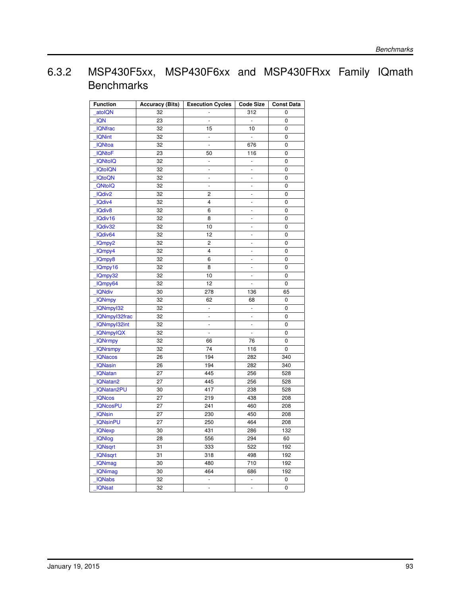### 6.3.2 MSP430F5xx, MSP430F6xx and MSP430FRxx Family IQmath **Benchmarks**

| <b>Function</b>     | <b>Accuracy (Bits)</b> | <b>Execution Cycles</b>  | <b>Code Size</b>         | <b>Const Data</b> |
|---------------------|------------------------|--------------------------|--------------------------|-------------------|
| atoIQN              | 32                     |                          | 312                      | 0                 |
| <b>IQN</b>          | 23                     |                          | $\overline{a}$           | 0                 |
| <b>IQNfrac</b>      | 32                     | 15                       | 10                       | 0                 |
| <b>IQNint</b>       | 32                     | $\overline{\phantom{a}}$ | $\overline{a}$           | $\mathbf 0$       |
| <b>IQNtoa</b>       | 32                     | ÷,                       | 676                      | 0                 |
| <b>IQNtoF</b>       | 23                     | 50                       | 116                      | 0                 |
| <b>IQNtoIQ</b>      | 32                     | ä,                       | $\frac{1}{2}$            | 0                 |
| <b>IQtoIQN</b>      | 32                     | $\blacksquare$           | ÷,                       | 0                 |
| <b>IQtoQN</b>       | 32                     | $\blacksquare$           | $\blacksquare$           | $\mathbf 0$       |
| QNtoIQ              | 32                     | ÷,                       | ä,                       | 0                 |
| IQdiv <sub>2</sub>  | 32                     | $\overline{c}$           | L,                       | $\mathbf 0$       |
| IQdiv4              | 32                     | $\overline{4}$           | $\frac{1}{2}$            | 0                 |
| <b>IQdiv8</b>       | 32                     | 6                        | L                        | 0                 |
| IQdiv16             | 32                     | 8                        | ÷,                       | 0                 |
| IQdiv32             | 32                     | 10                       | ÷,                       | 0                 |
| IQdiv64             | 32                     | 12                       | $\blacksquare$           | $\mathbf 0$       |
| IQmpy2              | 32                     | $\overline{c}$           | $\overline{a}$           | 0                 |
| IQmpy4              | 32                     | $\overline{4}$           | L                        | $\mathbf 0$       |
| IQmpy8              | 32                     | 6                        | $\frac{1}{2}$            | 0                 |
| IQmpy16             | 32                     | 8                        | ٠                        | 0                 |
| IQmpy32             | 32                     | 10                       | $\blacksquare$           | 0                 |
| IQmpy64             | 32                     | 12                       | ٠                        | $\mathbf 0$       |
| <b>IQNdiv</b>       | 30                     | 278                      | 136                      | 65                |
| <b>IQNmpy</b>       | 32                     | 62                       | 68                       | 0                 |
| IQNmpyI32           | 32                     | $\overline{a}$           | $\overline{a}$           | 0                 |
| IQNmpyI32frac       | 32                     | ÷,                       | ÷,                       | 0                 |
| <b>IQNmpyI32int</b> | 32                     | $\frac{1}{2}$            | $\overline{\phantom{a}}$ | $\mathbf 0$       |
| <b>IQNmpyIQX</b>    | 32                     | $\overline{\phantom{a}}$ | $\overline{a}$           | 0                 |
| <b>IQNrmpy</b>      | 32                     | 66                       | 76                       | 0                 |
| <b>IQNrsmpy</b>     | 32                     | 74                       | 116                      | 0                 |
| <b>IQNacos</b>      | 26                     | 194                      | 282                      | 340               |
| <b>IQNasin</b>      | 26                     | 194                      | 282                      | 340               |
| <b>IQNatan</b>      | 27                     | 445                      | 256                      | 528               |
| <b>IQNatan2</b>     | 27                     | 445                      | 256                      | 528               |
| <b>IQNatan2PU</b>   | 30                     | 417                      | 238                      | 528               |
| <b>IQNcos</b>       | 27                     | 219                      | 438                      | 208               |
| <b>IQNcosPU</b>     | 27                     | 241                      | 460                      | 208               |
| <b>IQNsin</b>       | 27                     | 230                      | 450                      | 208               |
| <b>IQNsinPU</b>     | 27                     | 250                      | 464                      | 208               |
| <b>IQNexp</b>       | 30                     | 431                      | 286                      | 132               |
| <b>IQNlog</b>       | 28                     | 556                      | 294                      | 60                |
| <b>IQNsqrt</b>      | 31                     | 333                      | 522                      | 192               |
| <b>IQNisqrt</b>     | 31                     | 318                      | 498                      | 192               |
| <b>IQNmag</b>       | 30                     | 480                      | 710                      | 192               |
| <b>IQNimag</b>      | 30                     | 464                      | 686                      | 192               |
| <b>IQNabs</b>       | 32                     | L,                       | $\overline{a}$           | 0                 |
| <b>IQNsat</b>       | 32                     | $\overline{a}$           | $\overline{a}$           | 0                 |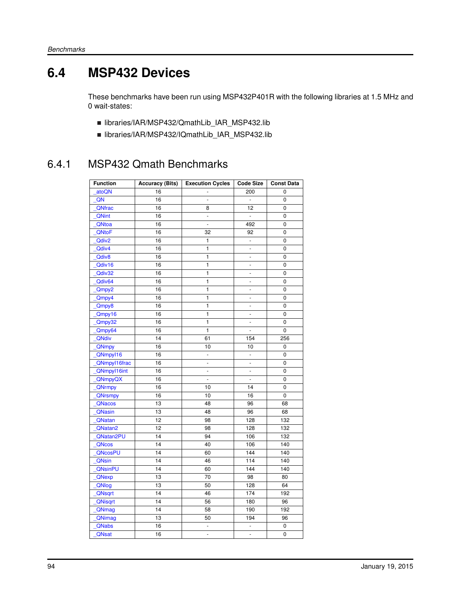## <span id="page-93-0"></span>**6.4 MSP432 Devices**

These benchmarks have been run using MSP432P401R with the following libraries at 1.5 MHz and 0 wait-states:

- libraries/IAR/MSP432/QmathLib\_IAR\_MSP432.lib
- libraries/IAR/MSP432/IQmathLib\_IAR\_MSP432.lib

### 6.4.1 MSP432 Qmath Benchmarks

| <b>Function</b>     | <b>Accuracy (Bits)</b> | <b>Execution Cycles</b>      | <b>Code Size</b>         | <b>Const Data</b> |
|---------------------|------------------------|------------------------------|--------------------------|-------------------|
| atoQN               | 16                     |                              | 200                      | 0                 |
| QN                  | 16                     | $\frac{1}{2}$                | $\overline{a}$           | 0                 |
| <b>QNfrac</b>       | 16                     | 8                            | 12                       | 0                 |
| <b>QNint</b>        | 16                     | $\blacksquare$               | $\frac{1}{2}$            | 0                 |
| <b>QNtoa</b>        | 16                     | ÷,                           | 492                      | 0                 |
| <b>QNtoF</b>        | 16                     | 32                           | 92                       | 0                 |
| Qdiv <sub>2</sub>   | 16                     | 1                            | $\overline{\phantom{a}}$ | 0                 |
| Qdiv4               | 16                     | 1                            | $\overline{a}$           | $\mathbf 0$       |
| Qdiv <sub>8</sub>   | 16                     | 1                            | $\centerdot$             | 0                 |
| Qdiv16              | 16                     | 1                            | $\overline{a}$           | $\mathbf 0$       |
| Qdiv32              | 16                     | $\mathbf{1}$                 |                          | $\mathbf 0$       |
| Qdiv64              | 16                     | $\mathbf{1}$                 | ä,                       | 0                 |
| Qmpy2               | 16                     | 1                            | ÷,                       | 0                 |
| Qmpy4               | 16                     | $\mathbf{1}$                 | $\frac{1}{2}$            | $\mathbf 0$       |
| Qmpy8               | 16                     | 1                            | $\overline{a}$           | $\mathbf 0$       |
| Qmpy16              | 16                     | 1                            | ä,                       | 0                 |
| Qmpy32              | 16                     | 1                            | ä,                       | 0                 |
| Qmpy64              | 16                     | 1                            | $\overline{\phantom{a}}$ | 0                 |
| QNdiv               | 14                     | 61                           | 154                      | 256               |
| <b>QNmpy</b>        | 16                     | 10                           | 10                       | 0                 |
| QNmpyl16            | 16                     | ÷,                           | $\overline{a}$           | $\mathbf 0$       |
| QNmpyl16frac        | 16                     | $\qquad \qquad \blacksquare$ | $\blacksquare$           | 0                 |
| QNmpyl16int         | 16                     | ÷,                           | ä,                       | $\mathbf 0$       |
| QNmpyQX             | 16                     | Ξ                            | $\overline{a}$           | $\mathbf 0$       |
| QNrmpy              | 16                     | 10                           | 14                       | 0                 |
| <b>QNrsmpy</b>      | 16                     | 10                           | 16                       | 0                 |
| <b>QNacos</b>       | 13                     | 48                           | 96                       | 68                |
| <b>QNasin</b>       | 13                     | 48                           | 96                       | 68                |
| <b>QNatan</b>       | 12                     | 98                           | 128                      | 132               |
| QNatan <sub>2</sub> | 12                     | 98                           | 128                      | 132               |
| QNatan2PU           | 14                     | 94                           | 106                      | 132               |
| <b>QNcos</b>        | 14                     | 40                           | 106                      | 140               |
| QNcosPU             | 14                     | 60                           | 144                      | 140               |
| <b>QNsin</b>        | 14                     | 46                           | 114                      | 140               |
| <b>QNsinPU</b>      | 14                     | 60                           | 144                      | 140               |
| QNexp               | 13                     | 70                           | 98                       | 80                |
| QNlog               | 13                     | 50                           | 128                      | 64                |
| QNsqrt              | 14                     | 46                           | 174                      | 192               |
| <b>QNisqrt</b>      | 14                     | 56                           | 180                      | 96                |
| QNmag               | 14                     | 58                           | 190                      | 192               |
| QNimag              | 13                     | 50                           | 194                      | 96                |
| <b>QNabs</b>        | 16                     | ÷,                           |                          | $\pmb{0}$         |
| <b>QNsat</b>        | 16                     | ٠                            |                          | 0                 |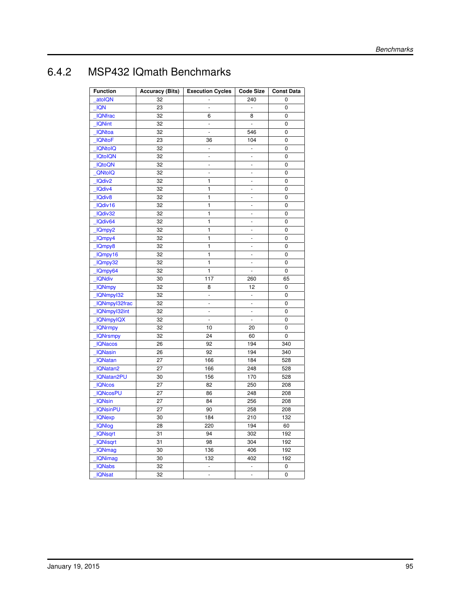## 6.4.2 MSP432 IQmath Benchmarks

| <b>Function</b>    | <b>Accuracy (Bits)</b> | <b>Execution Cycles</b>  | <b>Code Size</b>         | <b>Const Data</b> |
|--------------------|------------------------|--------------------------|--------------------------|-------------------|
| atoIQN             | 32                     |                          | 240                      | 0                 |
| <b>IQN</b>         | 23                     |                          | $\overline{a}$           | 0                 |
| <b>IQNfrac</b>     | 32                     | 6                        | 8                        | 0                 |
| <b>IQNint</b>      | 32                     | $\frac{1}{2}$            | $\overline{a}$           | 0                 |
| <b>IQNtoa</b>      | 32                     | ÷,                       | 546                      | 0                 |
| <b>IQNtoF</b>      | 23                     | 36                       | 104                      | 0                 |
| <b>IQNtoIQ</b>     | 32                     | $\overline{\phantom{a}}$ | -                        | 0                 |
| <b>IQtoIQN</b>     | 32                     | ÷                        | -                        | 0                 |
| <b>IQtoQN</b>      | 32                     | ÷,                       | $\overline{\phantom{a}}$ | 0                 |
| QNtoIQ             | 32                     | ÷,                       | $\frac{1}{2}$            | 0                 |
| IQdiv <sub>2</sub> | 32                     | 1                        | $\overline{a}$           | 0                 |
| IQdiv4             | 32                     | $\mathbf{1}$             | $\overline{a}$           | $\mathbf 0$       |
| IQdiv8             | 32                     | 1                        | ä,                       | 0                 |
| IQdiv16            | 32                     | $\mathbf{1}$             | $\overline{a}$           | 0                 |
| IQdiv32            | 32                     | 1                        | ÷                        | 0                 |
| IQdiv64            | 32                     | 1                        | $\overline{\phantom{a}}$ | 0                 |
| IQmpy2             | 32                     | 1                        | $\overline{\phantom{a}}$ | 0                 |
| IQmpy4             | 32                     | 1                        | $\overline{\phantom{a}}$ | 0                 |
| IQmpy8             | 32                     | $\mathbf{1}$             | $\blacksquare$           | 0                 |
| IQmpy16            | 32                     | 1                        | $\overline{a}$           | 0                 |
| IQmpy32            | 32                     | $\mathbf{1}$             | $\overline{a}$           | $\mathbf 0$       |
| IQmpy64            | 32                     | 1                        | $\overline{a}$           | 0                 |
| <b>IQNdiv</b>      | 30                     | 117                      | 260                      | 65                |
| <b>IQNmpy</b>      | 32                     | 8                        | 12                       | 0                 |
| IQNmpyI32          | 32                     | $\frac{1}{2}$            | $\overline{\phantom{a}}$ | 0                 |
| IQNmpyI32frac      | 32                     | ÷                        | ÷                        | 0                 |
| IQNmpyI32int       | 32                     | ä,                       | ÷,                       | 0                 |
| <b>IQNmpyIQX</b>   | 32                     | ÷,                       | $\overline{\phantom{a}}$ | 0                 |
| <b>IQNrmpy</b>     | 32                     | 10                       | 20                       | 0                 |
| <b>IQNrsmpy</b>    | 32                     | 24                       | 60                       | 0                 |
| <b>IQNacos</b>     | 26                     | 92                       | 194                      | 340               |
| <b>IQNasin</b>     | 26                     | 92                       | 194                      | 340               |
| <b>IQNatan</b>     | 27                     | 166                      | 184                      | 528               |
| IQNatan2           | 27                     | 166                      | 248                      | 528               |
| <b>IQNatan2PU</b>  | 30                     | 156                      | 170                      | 528               |
| <b>IQNcos</b>      | 27                     | 82                       | 250                      | 208               |
| <b>IQNcosPU</b>    | 27                     | 86                       | 248                      | 208               |
| <b>IQNsin</b>      | 27                     | 84                       | 256                      | 208               |
| <b>IQNsinPU</b>    | 27                     | 90                       | 258                      | 208               |
| <b>IQNexp</b>      | 30                     | 184                      | 210                      | 132               |
| <b>IQNIog</b>      | 28                     | 220                      | 194                      | 60                |
| <b>IQNsqrt</b>     | 31                     | 94                       | 302                      | 192               |
| <b>IQNisqrt</b>    | 31                     | 98                       | 304                      | 192               |
| <b>IQNmag</b>      | 30                     | 136                      | 406                      | 192               |
| <b>IQNimag</b>     | 30                     | 132                      | 402                      | 192               |
| <b>IQNabs</b>      | 32                     | L,                       | L,                       | 0                 |
| <b>IQNsat</b>      | 32                     | ÷                        | ÷,                       | 0                 |